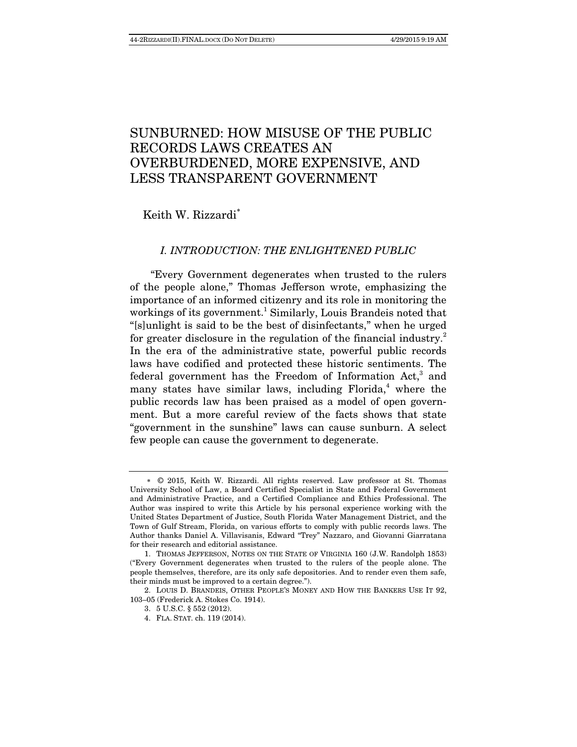# SUNBURNED: HOW MISUSE OF THE PUBLIC RECORDS LAWS CREATES AN OVERBURDENED, MORE EXPENSIVE, AND LESS TRANSPARENT GOVERNMENT

Keith W. Rizzardi

# I. INTRODUCTION: THE ENLIGHTENED PUBLIC

"Every Government degenerates when trusted to the rulers of the people alone," Thomas Jefferson wrote, emphasizing the importance of an informed citizenry and its role in monitoring the workings of its government.<sup>1</sup> Similarly, Louis Brandeis noted that "[s]unlight is said to be the best of disinfectants," when he urged for greater disclosure in the regulation of the financial industry.<sup>2</sup> In the era of the administrative state, powerful public records laws have codified and protected these historic sentiments. The federal government has the Freedom of Information Act,<sup>3</sup> and many states have similar laws, including Florida,<sup>4</sup> where the public records law has been praised as a model of open government. But a more careful review of the facts shows that state "government in the sunshine" laws can cause sunburn. A select few people can cause the government to degenerate.

 2. LOUIS D. BRANDEIS, OTHER PEOPLE'S MONEY AND HOW THE BANKERS USE IT 92, 103–05 (Frederick A. Stokes Co. 1914).

 <sup>© 2015,</sup> Keith W. Rizzardi. All rights reserved. Law professor at St. Thomas University School of Law, a Board Certified Specialist in State and Federal Government and Administrative Practice, and a Certified Compliance and Ethics Professional. The Author was inspired to write this Article by his personal experience working with the United States Department of Justice, South Florida Water Management District, and the Town of Gulf Stream, Florida, on various efforts to comply with public records laws. The Author thanks Daniel A. Villavisanis, Edward "Trey" Nazzaro, and Giovanni Giarratana for their research and editorial assistance.

 <sup>1.</sup> THOMAS JEFFERSON, NOTES ON THE STATE OF VIRGINIA 160 (J.W. Randolph 1853) ("Every Government degenerates when trusted to the rulers of the people alone. The people themselves, therefore, are its only safe depositories. And to render even them safe, their minds must be improved to a certain degree.").

 <sup>3. 5</sup> U.S.C. § 552 (2012).

 <sup>4.</sup> FLA. STAT. ch. 119 (2014).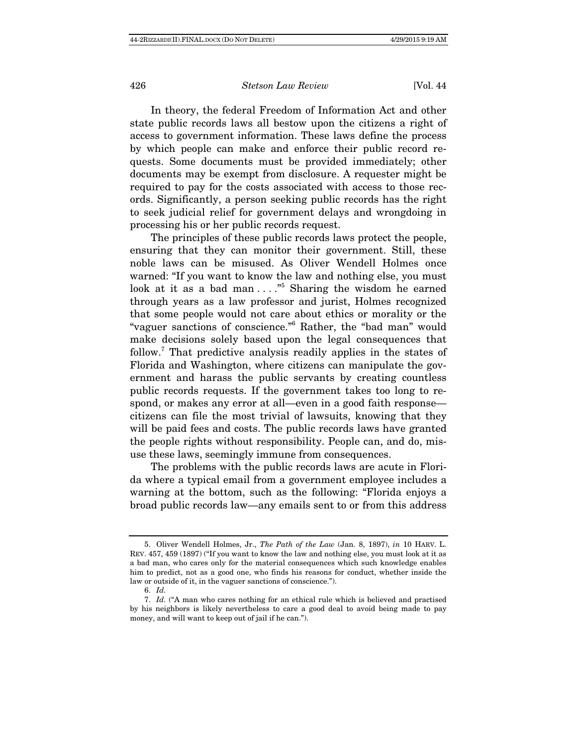In theory, the federal Freedom of Information Act and other state public records laws all bestow upon the citizens a right of access to government information. These laws define the process by which people can make and enforce their public record requests. Some documents must be provided immediately; other documents may be exempt from disclosure. A requester might be required to pay for the costs associated with access to those records. Significantly, a person seeking public records has the right to seek judicial relief for government delays and wrongdoing in processing his or her public records request.

The principles of these public records laws protect the people, ensuring that they can monitor their government. Still, these noble laws can be misused. As Oliver Wendell Holmes once warned: "If you want to know the law and nothing else, you must look at it as a bad man . . . . "<sup>5</sup> Sharing the wisdom he earned through years as a law professor and jurist, Holmes recognized that some people would not care about ethics or morality or the "vaguer sanctions of conscience."6 Rather, the "bad man" would make decisions solely based upon the legal consequences that follow.<sup>7</sup> That predictive analysis readily applies in the states of Florida and Washington, where citizens can manipulate the government and harass the public servants by creating countless public records requests. If the government takes too long to respond, or makes any error at all—even in a good faith response citizens can file the most trivial of lawsuits, knowing that they will be paid fees and costs. The public records laws have granted the people rights without responsibility. People can, and do, misuse these laws, seemingly immune from consequences.

The problems with the public records laws are acute in Florida where a typical email from a government employee includes a warning at the bottom, such as the following: "Florida enjoys a broad public records law—any emails sent to or from this address

 <sup>5.</sup> Oliver Wendell Holmes, Jr., The Path of the Law (Jan. 8, 1897), in 10 HARV. L. REV. 457, 459 (1897) ("If you want to know the law and nothing else, you must look at it as a bad man, who cares only for the material consequences which such knowledge enables him to predict, not as a good one, who finds his reasons for conduct, whether inside the law or outside of it, in the vaguer sanctions of conscience.").

 <sup>6.</sup> Id.

 <sup>7.</sup> Id. ("A man who cares nothing for an ethical rule which is believed and practised by his neighbors is likely nevertheless to care a good deal to avoid being made to pay money, and will want to keep out of jail if he can.").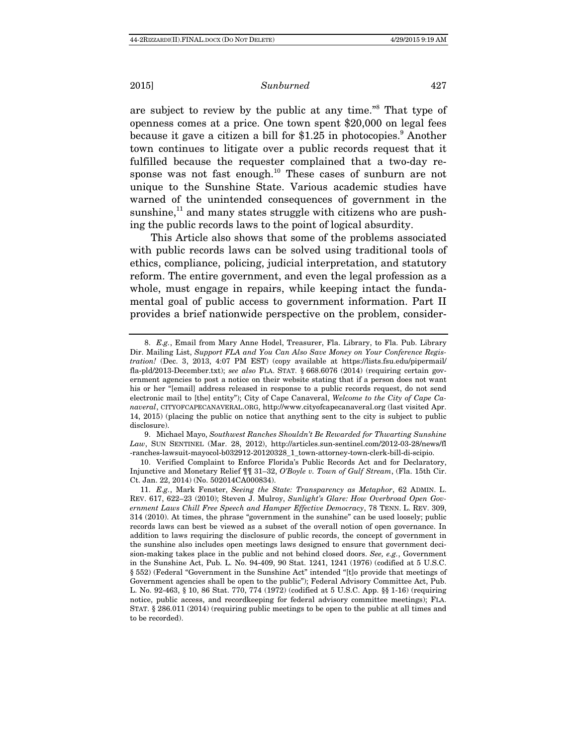are subject to review by the public at any time."8 That type of openness comes at a price. One town spent \$20,000 on legal fees because it gave a citizen a bill for \$1.25 in photocopies.<sup>9</sup> Another town continues to litigate over a public records request that it fulfilled because the requester complained that a two-day response was not fast enough.<sup>10</sup> These cases of sunburn are not unique to the Sunshine State. Various academic studies have warned of the unintended consequences of government in the sunshine, $^{11}$  and many states struggle with citizens who are pushing the public records laws to the point of logical absurdity.

This Article also shows that some of the problems associated with public records laws can be solved using traditional tools of ethics, compliance, policing, judicial interpretation, and statutory reform. The entire government, and even the legal profession as a whole, must engage in repairs, while keeping intact the fundamental goal of public access to government information. Part II provides a brief nationwide perspective on the problem, consider-

 <sup>8.</sup> E.g., Email from Mary Anne Hodel, Treasurer, Fla. Library, to Fla. Pub. Library Dir. Mailing List, Support FLA and You Can Also Save Money on Your Conference Registration! (Dec. 3, 2013, 4:07 PM EST) (copy available at https://lists.fsu.edu/pipermail/ fla-pld/2013-December.txt); see also FLA. STAT. § 668.6076 (2014) (requiring certain government agencies to post a notice on their website stating that if a person does not want his or her "[email] address released in response to a public records request, do not send electronic mail to [the] entity"); City of Cape Canaveral, Welcome to the City of Cape Canaveral, CITYOFCAPECANAVERAL.ORG, http://www.cityofcapecanaveral.org (last visited Apr. 14, 2015) (placing the public on notice that anything sent to the city is subject to public disclosure).

 <sup>9.</sup> Michael Mayo, Southwest Ranches Shouldn't Be Rewarded for Thwarting Sunshine Law, SUN SENTINEL (Mar. 28, 2012), http://articles.sun-sentinel.com/2012-03-28/news/fl -ranches-lawsuit-mayocol-b032912-20120328\_1\_town-attorney-town-clerk-bill-di-scipio.

 <sup>10.</sup> Verified Complaint to Enforce Florida's Public Records Act and for Declaratory, Injunctive and Monetary Relief ¶¶ 31–32, O'Boyle v. Town of Gulf Stream, (Fla. 15th Cir. Ct. Jan. 22, 2014) (No. 502014CA000834).

 <sup>11.</sup> E.g., Mark Fenster, Seeing the State: Transparency as Metaphor, 62 ADMIN. L. REV. 617, 622–23 (2010); Steven J. Mulroy, Sunlight's Glare: How Overbroad Open Government Laws Chill Free Speech and Hamper Effective Democracy, 78 TENN. L. REV. 309, 314 (2010). At times, the phrase "government in the sunshine" can be used loosely; public records laws can best be viewed as a subset of the overall notion of open governance. In addition to laws requiring the disclosure of public records, the concept of government in the sunshine also includes open meetings laws designed to ensure that government decision-making takes place in the public and not behind closed doors. See, e.g., Government in the Sunshine Act, Pub. L. No. 94-409, 90 Stat. 1241, 1241 (1976) (codified at 5 U.S.C. § 552) (Federal "Government in the Sunshine Act" intended "[t]o provide that meetings of Government agencies shall be open to the public"); Federal Advisory Committee Act, Pub. L. No. 92-463, § 10, 86 Stat. 770, 774 (1972) (codified at 5 U.S.C. App. §§ 1-16) (requiring notice, public access, and recordkeeping for federal advisory committee meetings); FLA. STAT. § 286.011 (2014) (requiring public meetings to be open to the public at all times and to be recorded).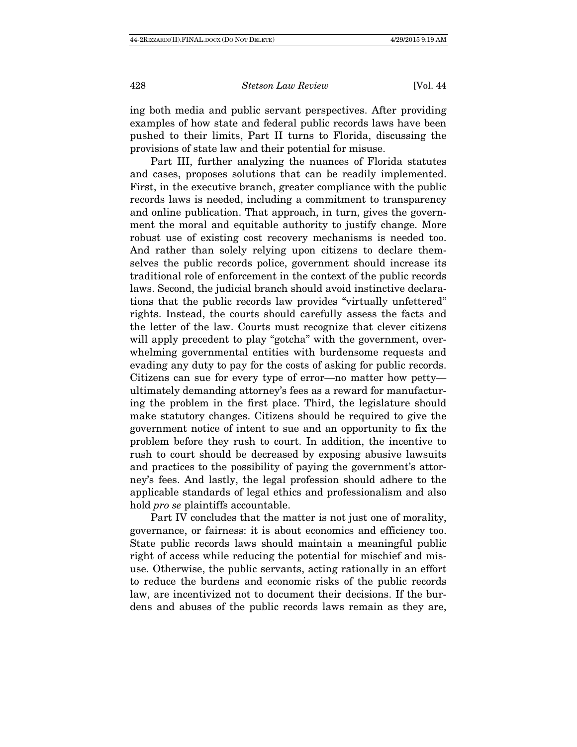ing both media and public servant perspectives. After providing examples of how state and federal public records laws have been pushed to their limits, Part II turns to Florida, discussing the provisions of state law and their potential for misuse.

Part III, further analyzing the nuances of Florida statutes and cases, proposes solutions that can be readily implemented. First, in the executive branch, greater compliance with the public records laws is needed, including a commitment to transparency and online publication. That approach, in turn, gives the government the moral and equitable authority to justify change. More robust use of existing cost recovery mechanisms is needed too. And rather than solely relying upon citizens to declare themselves the public records police, government should increase its traditional role of enforcement in the context of the public records laws. Second, the judicial branch should avoid instinctive declarations that the public records law provides "virtually unfettered" rights. Instead, the courts should carefully assess the facts and the letter of the law. Courts must recognize that clever citizens will apply precedent to play "gotcha" with the government, overwhelming governmental entities with burdensome requests and evading any duty to pay for the costs of asking for public records. Citizens can sue for every type of error—no matter how petty ultimately demanding attorney's fees as a reward for manufacturing the problem in the first place. Third, the legislature should make statutory changes. Citizens should be required to give the government notice of intent to sue and an opportunity to fix the problem before they rush to court. In addition, the incentive to rush to court should be decreased by exposing abusive lawsuits and practices to the possibility of paying the government's attorney's fees. And lastly, the legal profession should adhere to the applicable standards of legal ethics and professionalism and also hold pro se plaintiffs accountable.

Part IV concludes that the matter is not just one of morality, governance, or fairness: it is about economics and efficiency too. State public records laws should maintain a meaningful public right of access while reducing the potential for mischief and misuse. Otherwise, the public servants, acting rationally in an effort to reduce the burdens and economic risks of the public records law, are incentivized not to document their decisions. If the burdens and abuses of the public records laws remain as they are,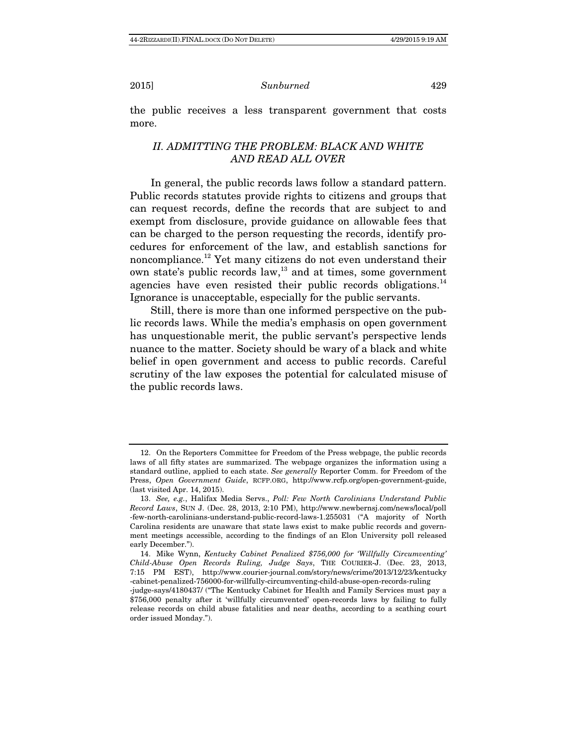the public receives a less transparent government that costs more.

# II. ADMITTING THE PROBLEM: BLACK AND WHITE AND READ ALL OVER

In general, the public records laws follow a standard pattern. Public records statutes provide rights to citizens and groups that can request records, define the records that are subject to and exempt from disclosure, provide guidance on allowable fees that can be charged to the person requesting the records, identify procedures for enforcement of the law, and establish sanctions for noncompliance.12 Yet many citizens do not even understand their own state's public records law, $^{13}$  and at times, some government agencies have even resisted their public records obligations. $^{14}$ Ignorance is unacceptable, especially for the public servants.

Still, there is more than one informed perspective on the public records laws. While the media's emphasis on open government has unquestionable merit, the public servant's perspective lends nuance to the matter. Society should be wary of a black and white belief in open government and access to public records. Careful scrutiny of the law exposes the potential for calculated misuse of the public records laws.

 <sup>12.</sup> On the Reporters Committee for Freedom of the Press webpage, the public records laws of all fifty states are summarized. The webpage organizes the information using a standard outline, applied to each state. See generally Reporter Comm. for Freedom of the Press, Open Government Guide, RCFP.ORG, http://www.rcfp.org/open-government-guide, (last visited Apr. 14, 2015).

 <sup>13.</sup> See, e.g., Halifax Media Servs., Poll: Few North Carolinians Understand Public Record Laws, SUN J. (Dec. 28, 2013, 2:10 PM), http://www.newbernsj.com/news/local/poll -few-north-carolinians-understand-public-record-laws-1.255031 ("A majority of North Carolina residents are unaware that state laws exist to make public records and government meetings accessible, according to the findings of an Elon University poll released early December.").

 <sup>14.</sup> Mike Wynn, Kentucky Cabinet Penalized \$756,000 for 'Willfully Circumventing' Child-Abuse Open Records Ruling, Judge Says, THE COURIER-J. (Dec. 23, 2013, 7:15 PM EST), http://www.courier-journal.com/story/news/crime/2013/12/23/kentucky -cabinet-penalized-756000-for-willfully-circumventing-child-abuse-open-records-ruling

<sup>-</sup>judge-says/4180437/ ("The Kentucky Cabinet for Health and Family Services must pay a \$756,000 penalty after it 'willfully circumvented' open-records laws by failing to fully release records on child abuse fatalities and near deaths, according to a scathing court order issued Monday.").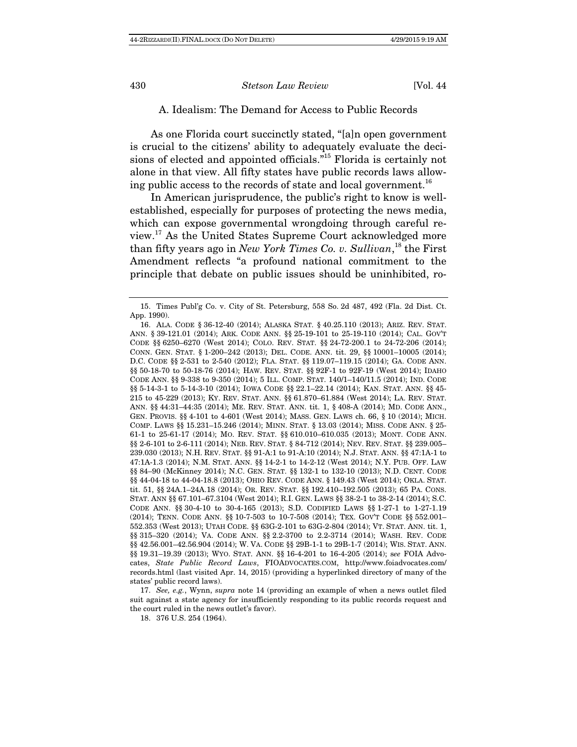# A. Idealism: The Demand for Access to Public Records

As one Florida court succinctly stated, "[a]n open government is crucial to the citizens' ability to adequately evaluate the decisions of elected and appointed officials."15 Florida is certainly not alone in that view. All fifty states have public records laws allowing public access to the records of state and local government.<sup>16</sup>

In American jurisprudence, the public's right to know is wellestablished, especially for purposes of protecting the news media, which can expose governmental wrongdoing through careful review.17 As the United States Supreme Court acknowledged more than fifty years ago in New York Times Co. v. Sullivan,<sup>18</sup> the First Amendment reflects "a profound national commitment to the principle that debate on public issues should be uninhibited, ro-

 17. See, e.g., Wynn, supra note 14 (providing an example of when a news outlet filed suit against a state agency for insufficiently responding to its public records request and the court ruled in the news outlet's favor).

18. 376 U.S. 254 (1964).

 <sup>15.</sup> Times Publ'g Co. v. City of St. Petersburg, 558 So. 2d 487, 492 (Fla. 2d Dist. Ct. App. 1990).

 <sup>16.</sup> ALA. CODE § 36-12-40 (2014); ALASKA STAT. § 40.25.110 (2013); ARIZ. REV. STAT. ANN. § 39-121.01 (2014); ARK. CODE ANN. §§ 25-19-101 to 25-19-110 (2014); CAL. GOV'T CODE §§ 6250–6270 (West 2014); COLO. REV. STAT. §§ 24-72-200.1 to 24-72-206 (2014); CONN. GEN. STAT. § 1-200–242 (2013); DEL. CODE. ANN. tit. 29, §§ 10001–10005 (2014); D.C. CODE §§ 2-531 to 2-540 (2012); FLA. STAT. §§ 119.07–119.15 (2014); GA. CODE ANN. §§ 50-18-70 to 50-18-76 (2014); HAW. REV. STAT. §§ 92F-1 to 92F-19 (West 2014); IDAHO CODE ANN. §§ 9-338 to 9-350 (2014); 5 ILL. COMP. STAT. 140/1–140/11.5 (2014); IND. CODE §§ 5-14-3-1 to 5-14-3-10 (2014); IOWA CODE §§ 22.1-22.14 (2014); KAN. STAT. ANN. §§ 45-215 to 45-229 (2013); KY. REV. STAT. ANN. §§ 61.870–61.884 (West 2014); LA. REV. STAT. ANN. §§ 44:31–44:35 (2014); ME. REV. STAT. ANN. tit. 1, § 408-A (2014); MD. CODE ANN., GEN. PROVIS. §§ 4-101 to 4-601 (West 2014); MASS. GEN. LAWS ch. 66, § 10 (2014); MICH. COMP. LAWS §§ 15.231–15.246 (2014); MINN. STAT. § 13.03 (2014); MISS. CODE ANN. § 25- 61-1 to 25-61-17 (2014); MO. REV. STAT. §§ 610.010–610.035 (2013); MONT. CODE ANN. §§ 2-6-101 to 2-6-111 (2014); NEB. REV. STAT. § 84-712 (2014); NEV. REV. STAT. §§ 239.005– 239.030 (2013); N.H. REV. STAT. §§ 91-A:1 to 91-A:10 (2014); N.J. STAT. ANN. §§ 47:1A-1 to 47:1A-1.3 (2014); N.M. STAT. ANN. §§ 14-2-1 to 14-2-12 (West 2014); N.Y. PUB. OFF. LAW §§ 84–90 (McKinney 2014); N.C. GEN. STAT. §§ 132-1 to 132-10 (2013); N.D. CENT. CODE §§ 44-04-18 to 44-04-18.8 (2013); OHIO REV. CODE ANN. § 149.43 (West 2014); OKLA. STAT. tit. 51, §§ 24A.1–24A.18 (2014); OR. REV. STAT. §§ 192.410–192.505 (2013); 65 PA. CONS. STAT. ANN §§ 67.101–67.3104 (West 2014); R.I. GEN. LAWS §§ 38-2-1 to 38-2-14 (2014); S.C. CODE ANN. §§ 30-4-10 to 30-4-165 (2013); S.D. CODIFIED LAWS §§ 1-27-1 to 1-27-1.19 (2014); TENN. CODE ANN. §§ 10-7-503 to 10-7-508 (2014); TEX. GOV'T CODE §§ 552.001– 552.353 (West 2013); UTAH CODE. §§ 63G-2-101 to 63G-2-804 (2014); VT. STAT. ANN. tit. 1, §§ 315-320 (2014); VA. CODE ANN. §§ 2.2-3700 to 2.2-3714 (2014); WASH. REV. CODE §§ 42.56.001–42.56.904 (2014); W. VA. CODE §§ 29B-1-1 to 29B-1-7 (2014); WIS. STAT. ANN. §§ 19.31–19.39 (2013); WYO. STAT. ANN. §§ 16-4-201 to 16-4-205 (2014); see FOIA Advocates, State Public Record Laws, FIOADVOCATES.COM, http://www.foiadvocates.com/ records.html (last visited Apr. 14, 2015) (providing a hyperlinked directory of many of the states' public record laws).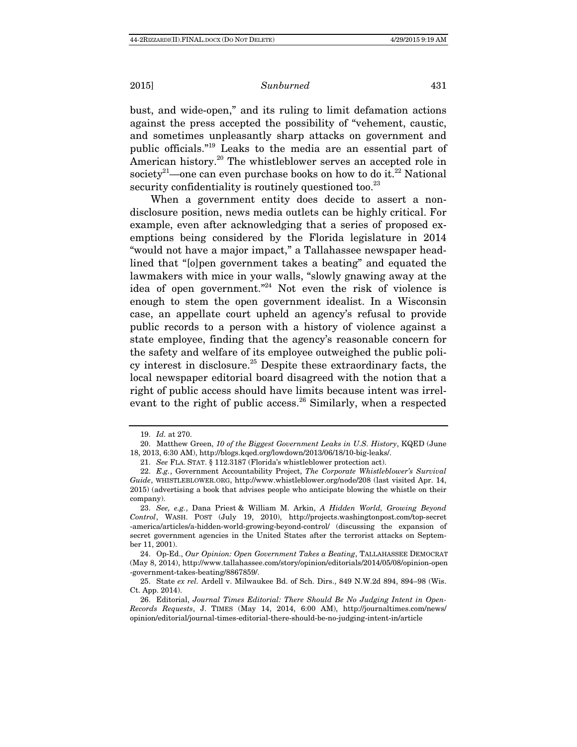bust, and wide-open," and its ruling to limit defamation actions against the press accepted the possibility of "vehement, caustic, and sometimes unpleasantly sharp attacks on government and public officials."19 Leaks to the media are an essential part of American history.<sup>20</sup> The whistleblower serves an accepted role in society<sup>21</sup>—one can even purchase books on how to do it.<sup>22</sup> National security confidentiality is routinely questioned too.<sup>23</sup>

When a government entity does decide to assert a nondisclosure position, news media outlets can be highly critical. For example, even after acknowledging that a series of proposed exemptions being considered by the Florida legislature in 2014 "would not have a major impact," a Tallahassee newspaper headlined that "[o]pen government takes a beating" and equated the lawmakers with mice in your walls, "slowly gnawing away at the idea of open government."24 Not even the risk of violence is enough to stem the open government idealist. In a Wisconsin case, an appellate court upheld an agency's refusal to provide public records to a person with a history of violence against a state employee, finding that the agency's reasonable concern for the safety and welfare of its employee outweighed the public policy interest in disclosure.<sup>25</sup> Despite these extraordinary facts, the local newspaper editorial board disagreed with the notion that a right of public access should have limits because intent was irrelevant to the right of public access.<sup>26</sup> Similarly, when a respected

 <sup>19.</sup> Id. at 270.

 <sup>20.</sup> Matthew Green, 10 of the Biggest Government Leaks in U.S. History, KQED (June 18, 2013, 6:30 AM), http://blogs.kqed.org/lowdown/2013/06/18/10-big-leaks/.

 <sup>21.</sup> See FLA. STAT. § 112.3187 (Florida's whistleblower protection act).

 <sup>22.</sup> E.g., Government Accountability Project, The Corporate Whistleblower's Survival Guide, WHISTLEBLOWER.ORG, http://www.whistleblower.org/node/208 (last visited Apr. 14, 2015) (advertising a book that advises people who anticipate blowing the whistle on their company).

 <sup>23.</sup> See, e.g., Dana Priest & William M. Arkin, A Hidden World, Growing Beyond Control, WASH. POST (July 19, 2010), http://projects.washingtonpost.com/top-secret -america/articles/a-hidden-world-growing-beyond-control/ (discussing the expansion of secret government agencies in the United States after the terrorist attacks on September 11, 2001).

 <sup>24.</sup> Op-Ed., Our Opinion: Open Government Takes a Beating, TALLAHASSEE DEMOCRAT (May 8, 2014), http://www.tallahassee.com/story/opinion/editorials/2014/05/08/opinion-open -government-takes-beating/8867859/.

 <sup>25.</sup> State ex rel. Ardell v. Milwaukee Bd. of Sch. Dirs., 849 N.W.2d 894, 894–98 (Wis. Ct. App. 2014).

 <sup>26.</sup> Editorial, Journal Times Editorial: There Should Be No Judging Intent in Open-Records Requests, J. TIMES (May 14, 2014, 6:00 AM), http://journaltimes.com/news/ opinion/editorial/journal-times-editorial-there-should-be-no-judging-intent-in/article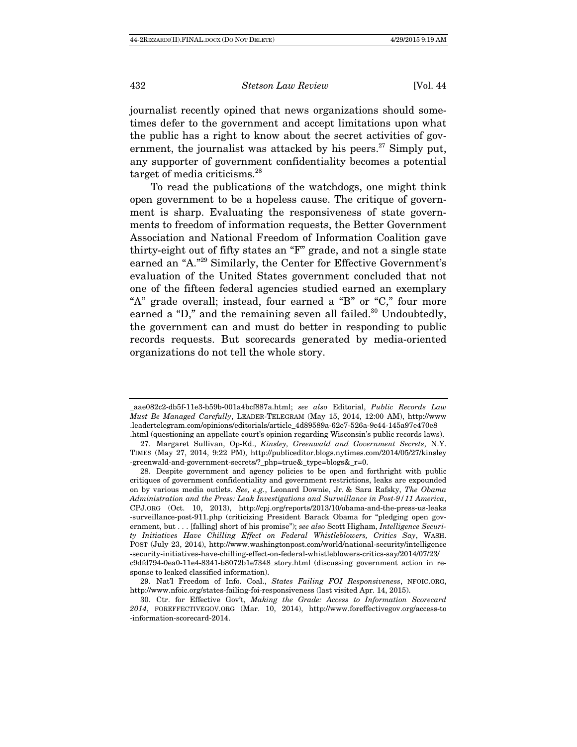journalist recently opined that news organizations should sometimes defer to the government and accept limitations upon what the public has a right to know about the secret activities of government, the journalist was attacked by his peers. $27$  Simply put, any supporter of government confidentiality becomes a potential target of media criticisms.<sup>28</sup>

To read the publications of the watchdogs, one might think open government to be a hopeless cause. The critique of government is sharp. Evaluating the responsiveness of state governments to freedom of information requests, the Better Government Association and National Freedom of Information Coalition gave thirty-eight out of fifty states an "F" grade, and not a single state earned an "A."29 Similarly, the Center for Effective Government's evaluation of the United States government concluded that not one of the fifteen federal agencies studied earned an exemplary "A" grade overall; instead, four earned a "B" or "C," four more earned a "D," and the remaining seven all failed. $30$  Undoubtedly, the government can and must do better in responding to public records requests. But scorecards generated by media-oriented organizations do not tell the whole story.

\_aae082c2-db5f-11e3-b59b-001a4bcf887a.html; see also Editorial, Public Records Law Must Be Managed Carefully, LEADER-TELEGRAM (May 15, 2014, 12:00 AM), http://www .leadertelegram.com/opinions/editorials/article\_4d89589a-62e7-526a-9c44-145a97e470e8 .html (questioning an appellate court's opinion regarding Wisconsin's public records laws).

 <sup>27.</sup> Margaret Sullivan, Op-Ed., Kinsley, Greenwald and Government Secrets, N.Y. TIMES (May 27, 2014, 9:22 PM), http://publiceditor.blogs.nytimes.com/2014/05/27/kinsley -greenwald-and-government-secrets/?\_php=true&\_type=blogs&\_r=0.

 <sup>28.</sup> Despite government and agency policies to be open and forthright with public critiques of government confidentiality and government restrictions, leaks are expounded on by various media outlets. See, e.g., Leonard Downie, Jr. & Sara Rafsky, The Obama Administration and the Press: Leak Investigations and Surveillance in Post-9/11 America, CPJ.ORG (Oct. 10, 2013), http://cpj.org/reports/2013/10/obama-and-the-press-us-leaks -surveillance-post-911.php (criticizing President Barack Obama for "pledging open government, but . . . [falling] short of his promise"); see also Scott Higham, Intelligence Security Initiatives Have Chilling Effect on Federal Whistleblowers, Critics Say, WASH. POST (July 23, 2014), http://www.washingtonpost.com/world/national-security/intelligence -security-initiatives-have-chilling-effect-on-federal-whistleblowers-critics-say/2014/07/23/ c9dfd794-0ea0-11e4-8341-b8072b1e7348\_story.html (discussing government action in response to leaked classified information).

 <sup>29.</sup> Nat'l Freedom of Info. Coal., States Failing FOI Responsiveness, NFOIC.ORG, http://www.nfoic.org/states-failing-foi-responsiveness (last visited Apr. 14, 2015).

 <sup>30.</sup> Ctr. for Effective Gov't, Making the Grade: Access to Information Scorecard 2014, FOREFFECTIVEGOV.ORG (Mar. 10, 2014), http://www.foreffectivegov.org/access-to -information-scorecard-2014.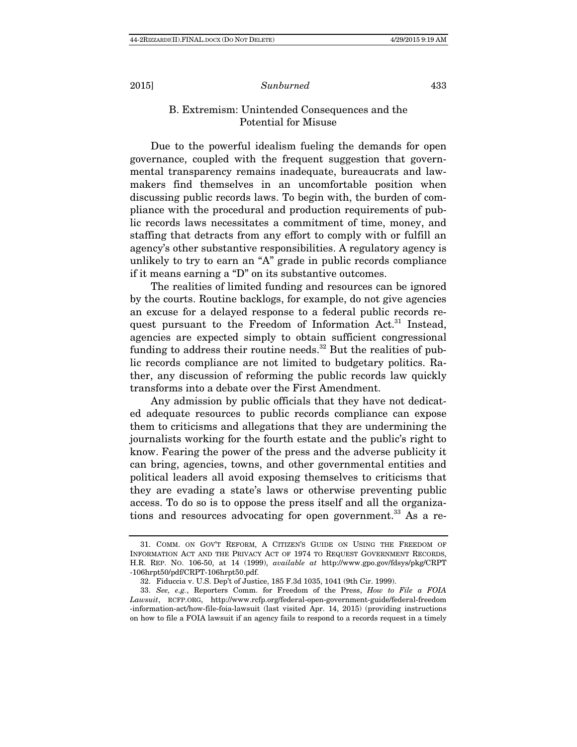# B. Extremism: Unintended Consequences and the Potential for Misuse

Due to the powerful idealism fueling the demands for open governance, coupled with the frequent suggestion that governmental transparency remains inadequate, bureaucrats and lawmakers find themselves in an uncomfortable position when discussing public records laws. To begin with, the burden of compliance with the procedural and production requirements of public records laws necessitates a commitment of time, money, and staffing that detracts from any effort to comply with or fulfill an agency's other substantive responsibilities. A regulatory agency is unlikely to try to earn an "A" grade in public records compliance if it means earning a "D" on its substantive outcomes.

The realities of limited funding and resources can be ignored by the courts. Routine backlogs, for example, do not give agencies an excuse for a delayed response to a federal public records request pursuant to the Freedom of Information  $Act.^{31}$  Instead, agencies are expected simply to obtain sufficient congressional funding to address their routine needs.<sup>32</sup> But the realities of public records compliance are not limited to budgetary politics. Rather, any discussion of reforming the public records law quickly transforms into a debate over the First Amendment.

Any admission by public officials that they have not dedicated adequate resources to public records compliance can expose them to criticisms and allegations that they are undermining the journalists working for the fourth estate and the public's right to know. Fearing the power of the press and the adverse publicity it can bring, agencies, towns, and other governmental entities and political leaders all avoid exposing themselves to criticisms that they are evading a state's laws or otherwise preventing public access. To do so is to oppose the press itself and all the organizations and resources advocating for open government.<sup>33</sup> As a re-

 <sup>31.</sup> COMM. ON GOV'T REFORM, A CITIZEN'S GUIDE ON USING THE FREEDOM OF INFORMATION ACT AND THE PRIVACY ACT OF 1974 TO REQUEST GOVERNMENT RECORDS, H.R. REP. NO. 106-50, at 14 (1999), available at http://www.gpo.gov/fdsys/pkg/CRPT -106hrpt50/pdf/CRPT-106hrpt50.pdf.

 <sup>32.</sup> Fiduccia v. U.S. Dep't of Justice, 185 F.3d 1035, 1041 (9th Cir. 1999).

 <sup>33.</sup> See, e.g., Reporters Comm. for Freedom of the Press, How to File a FOIA Lawsuit, RCFP.ORG, http://www.rcfp.org/federal-open-government-guide/federal-freedom -information-act/how-file-foia-lawsuit (last visited Apr. 14, 2015) (providing instructions on how to file a FOIA lawsuit if an agency fails to respond to a records request in a timely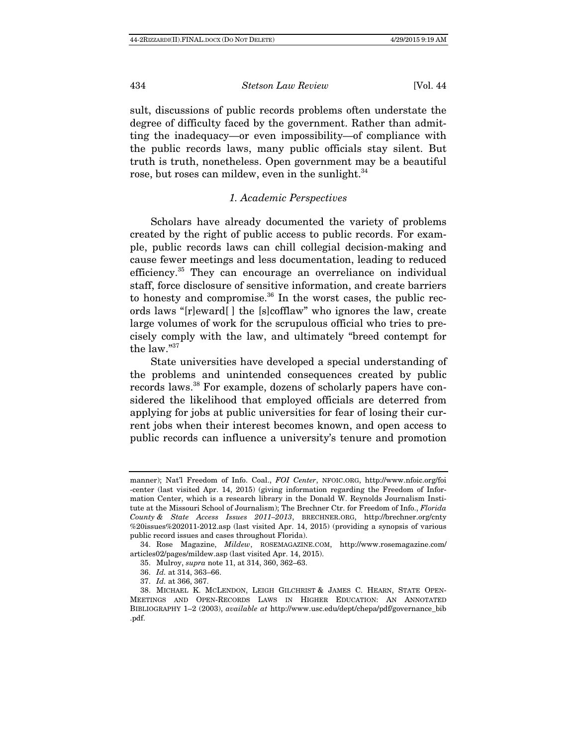sult, discussions of public records problems often understate the degree of difficulty faced by the government. Rather than admitting the inadequacy—or even impossibility—of compliance with the public records laws, many public officials stay silent. But truth is truth, nonetheless. Open government may be a beautiful rose, but roses can mildew, even in the sunlight.<sup>34</sup>

# 1. Academic Perspectives

Scholars have already documented the variety of problems created by the right of public access to public records. For example, public records laws can chill collegial decision-making and cause fewer meetings and less documentation, leading to reduced efficiency.<sup>35</sup> They can encourage an overreliance on individual staff, force disclosure of sensitive information, and create barriers to honesty and compromise. $36$  In the worst cases, the public records laws "[r]eward[ ] the [s]cofflaw" who ignores the law, create large volumes of work for the scrupulous official who tries to precisely comply with the law, and ultimately "breed contempt for the law."<sup>37</sup>

State universities have developed a special understanding of the problems and unintended consequences created by public records laws.<sup>38</sup> For example, dozens of scholarly papers have considered the likelihood that employed officials are deterred from applying for jobs at public universities for fear of losing their current jobs when their interest becomes known, and open access to public records can influence a university's tenure and promotion

manner); Nat'l Freedom of Info. Coal., FOI Center, NFOIC.ORG, http://www.nfoic.org/foi -center (last visited Apr. 14, 2015) (giving information regarding the Freedom of Information Center, which is a research library in the Donald W. Reynolds Journalism Institute at the Missouri School of Journalism); The Brechner Ctr. for Freedom of Info., Florida County & State Access Issues 2011–2013, BRECHNER.ORG, http://brechner.org/cnty %20issues%202011-2012.asp (last visited Apr. 14, 2015) (providing a synopsis of various public record issues and cases throughout Florida).

 <sup>34.</sup> Rose Magazine, Mildew, ROSEMAGAZINE.COM, http://www.rosemagazine.com/ articles02/pages/mildew.asp (last visited Apr. 14, 2015).

 <sup>35.</sup> Mulroy, supra note 11, at 314, 360, 362–63.

<sup>36.</sup> Id. at 314, 363–66.

<sup>37.</sup> Id. at 366, 367.

 <sup>38.</sup> MICHAEL K. MCLENDON, LEIGH GILCHRIST & JAMES C. HEARN, STATE OPEN-MEETINGS AND OPEN-RECORDS LAWS IN HIGHER EDUCATION: AN ANNOTATED BIBLIOGRAPHY 1–2 (2003), available at http://www.usc.edu/dept/chepa/pdf/governance\_bib .pdf.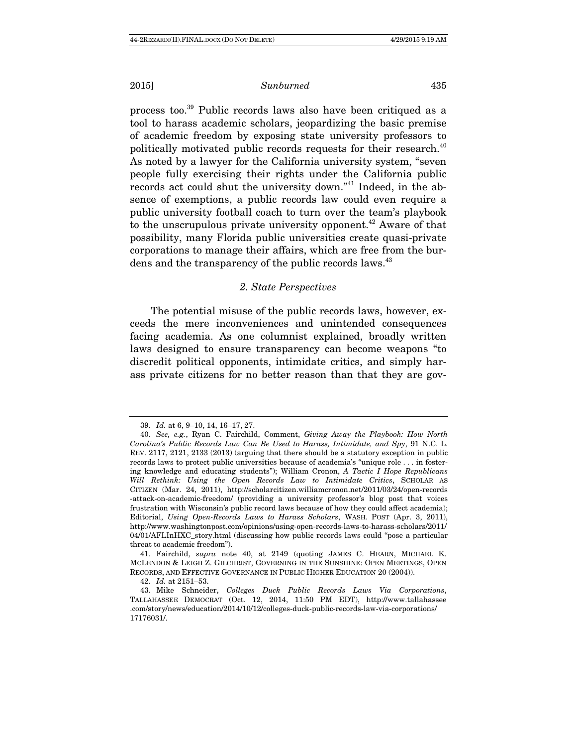process too.39 Public records laws also have been critiqued as a tool to harass academic scholars, jeopardizing the basic premise of academic freedom by exposing state university professors to politically motivated public records requests for their research.<sup>40</sup> As noted by a lawyer for the California university system, "seven people fully exercising their rights under the California public records act could shut the university down."41 Indeed, in the absence of exemptions, a public records law could even require a public university football coach to turn over the team's playbook to the unscrupulous private university opponent.<sup> $42$ </sup> Aware of that possibility, many Florida public universities create quasi-private corporations to manage their affairs, which are free from the burdens and the transparency of the public records laws.<sup>43</sup>

#### 2. State Perspectives

The potential misuse of the public records laws, however, exceeds the mere inconveniences and unintended consequences facing academia. As one columnist explained, broadly written laws designed to ensure transparency can become weapons "to discredit political opponents, intimidate critics, and simply harass private citizens for no better reason than that they are gov-

 <sup>39.</sup> Id. at 6, 9–10, 14, 16–17, 27.

 <sup>40.</sup> See, e.g., Ryan C. Fairchild, Comment, Giving Away the Playbook: How North Carolina's Public Records Law Can Be Used to Harass, Intimidate, and Spy, 91 N.C. L. REV. 2117, 2121, 2133 (2013) (arguing that there should be a statutory exception in public records laws to protect public universities because of academia's "unique role . . . in fostering knowledge and educating students"); William Cronon, A Tactic I Hope Republicans Will Rethink: Using the Open Records Law to Intimidate Critics, SCHOLAR AS CITIZEN (Mar. 24, 2011), http://scholarcitizen.williamcronon.net/2011/03/24/open-records -attack-on-academic-freedom/ (providing a university professor's blog post that voices frustration with Wisconsin's public record laws because of how they could affect academia); Editorial, Using Open-Records Laws to Harass Scholars, WASH. POST (Apr. 3, 2011), http://www.washingtonpost.com/opinions/using-open-records-laws-to-harass-scholars/2011/ 04/01/AFLInHXC\_story.html (discussing how public records laws could "pose a particular threat to academic freedom").

 <sup>41.</sup> Fairchild, supra note 40, at 2149 (quoting JAMES C. HEARN, MICHAEL K. MCLENDON & LEIGH Z. GILCHRIST, GOVERNING IN THE SUNSHINE: OPEN MEETINGS, OPEN RECORDS, AND EFFECTIVE GOVERNANCE IN PUBLIC HIGHER EDUCATION 20 (2004)).

 <sup>42.</sup> Id. at 2151–53.

 <sup>43.</sup> Mike Schneider, Colleges Duck Public Records Laws Via Corporations, TALLAHASSEE DEMOCRAT (Oct. 12, 2014, 11:50 PM EDT), http://www.tallahassee .com/story/news/education/2014/10/12/colleges-duck-public-records-law-via-corporations/ 17176031/.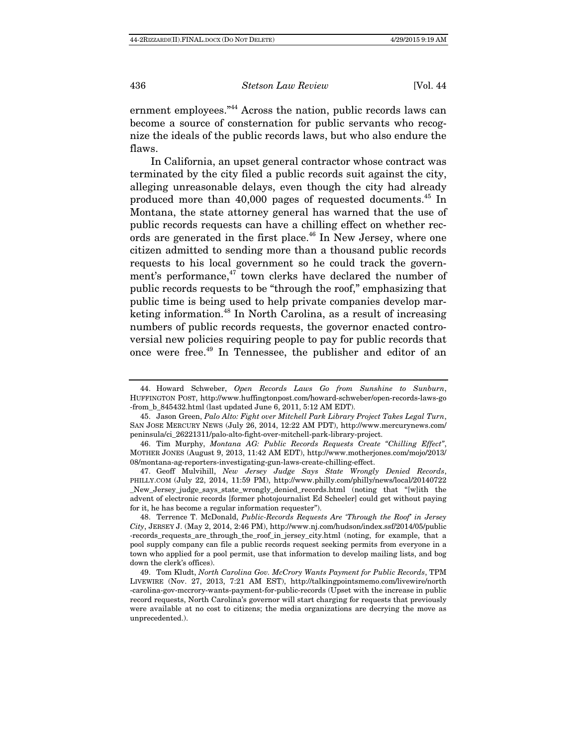ernment employees."44 Across the nation, public records laws can become a source of consternation for public servants who recognize the ideals of the public records laws, but who also endure the flaws.

In California, an upset general contractor whose contract was terminated by the city filed a public records suit against the city, alleging unreasonable delays, even though the city had already produced more than 40,000 pages of requested documents.45 In Montana, the state attorney general has warned that the use of public records requests can have a chilling effect on whether records are generated in the first place.<sup>46</sup> In New Jersey, where one citizen admitted to sending more than a thousand public records requests to his local government so he could track the government's performance, $47$  town clerks have declared the number of public records requests to be "through the roof," emphasizing that public time is being used to help private companies develop marketing information.48 In North Carolina, as a result of increasing numbers of public records requests, the governor enacted controversial new policies requiring people to pay for public records that once were free.49 In Tennessee, the publisher and editor of an

 <sup>44.</sup> Howard Schweber, Open Records Laws Go from Sunshine to Sunburn, HUFFINGTON POST, http://www.huffingtonpost.com/howard-schweber/open-records-laws-go -from\_b\_845432.html (last updated June 6, 2011, 5:12 AM EDT).

 <sup>45.</sup> Jason Green, Palo Alto: Fight over Mitchell Park Library Project Takes Legal Turn, SAN JOSE MERCURY NEWS (July 26, 2014, 12:22 AM PDT), http://www.mercurynews.com/ peninsula/ci\_26221311/palo-alto-fight-over-mitchell-park-library-project.

 <sup>46.</sup> Tim Murphy, Montana AG: Public Records Requests Create "Chilling Effect", MOTHER JONES (August 9, 2013, 11:42 AM EDT), http://www.motherjones.com/mojo/2013/ 08/montana-ag-reporters-investigating-gun-laws-create-chilling-effect.

 <sup>47.</sup> Geoff Mulvihill, New Jersey Judge Says State Wrongly Denied Records, PHILLY.COM (July 22, 2014, 11:59 PM), http://www.philly.com/philly/news/local/20140722 \_New\_Jersey\_judge\_says\_state\_wrongly\_denied\_records.html (noting that "[w]ith the advent of electronic records [former photojournalist Ed Scheeler] could get without paying for it, he has become a regular information requester").

 <sup>48.</sup> Terrence T. McDonald, Public-Records Requests Are 'Through the Roof' in Jersey City, JERSEY J. (May 2, 2014, 2:46 PM), http://www.nj.com/hudson/index.ssf/2014/05/public -records\_requests\_are\_through\_the\_roof\_in\_jersey\_city.html (noting, for example, that a pool supply company can file a public records request seeking permits from everyone in a town who applied for a pool permit, use that information to develop mailing lists, and bog down the clerk's offices).

 <sup>49.</sup> Tom Kludt, North Carolina Gov. McCrory Wants Payment for Public Records, TPM LIVEWIRE (Nov. 27, 2013, 7:21 AM EST), http://talkingpointsmemo.com/livewire/north -carolina-gov-mccrory-wants-payment-for-public-records (Upset with the increase in public record requests, North Carolina's governor will start charging for requests that previously were available at no cost to citizens; the media organizations are decrying the move as unprecedented.).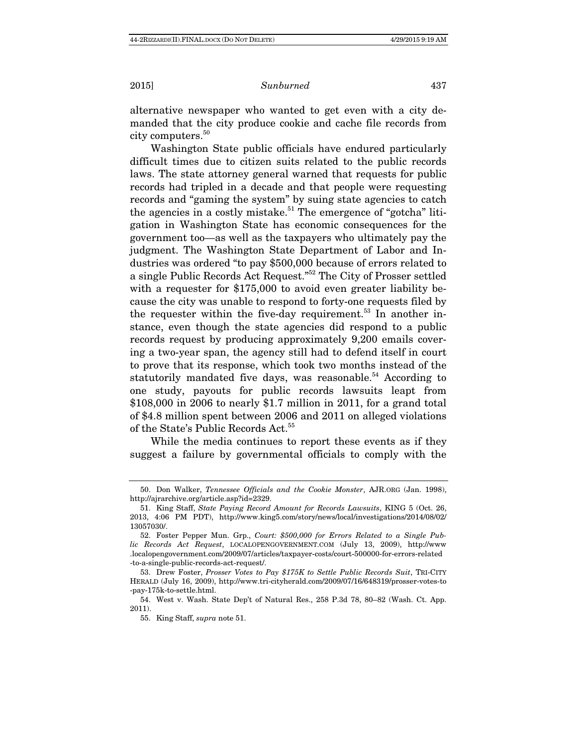alternative newspaper who wanted to get even with a city demanded that the city produce cookie and cache file records from city computers.50

Washington State public officials have endured particularly difficult times due to citizen suits related to the public records laws. The state attorney general warned that requests for public records had tripled in a decade and that people were requesting records and "gaming the system" by suing state agencies to catch the agencies in a costly mistake.<sup>51</sup> The emergence of "gotcha" litigation in Washington State has economic consequences for the government too—as well as the taxpayers who ultimately pay the judgment. The Washington State Department of Labor and Industries was ordered "to pay \$500,000 because of errors related to a single Public Records Act Request."52 The City of Prosser settled with a requester for \$175,000 to avoid even greater liability because the city was unable to respond to forty-one requests filed by the requester within the five-day requirement.<sup>53</sup> In another instance, even though the state agencies did respond to a public records request by producing approximately 9,200 emails covering a two-year span, the agency still had to defend itself in court to prove that its response, which took two months instead of the statutorily mandated five days, was reasonable.<sup>54</sup> According to one study, payouts for public records lawsuits leapt from \$108,000 in 2006 to nearly \$1.7 million in 2011, for a grand total of \$4.8 million spent between 2006 and 2011 on alleged violations of the State's Public Records Act.<sup>55</sup>

While the media continues to report these events as if they suggest a failure by governmental officials to comply with the

 <sup>50.</sup> Don Walker, Tennessee Officials and the Cookie Monster, AJR.ORG (Jan. 1998), http://ajrarchive.org/article.asp?id=2329.

 <sup>51.</sup> King Staff, State Paying Record Amount for Records Lawsuits, KING 5 (Oct. 26, 2013, 4:06 PM PDT), http://www.king5.com/story/news/local/investigations/2014/08/02/ 13057030/.

 <sup>52.</sup> Foster Pepper Mun. Grp., Court: \$500,000 for Errors Related to a Single Public Records Act Request, LOCALOPENGOVERNMENT.COM (July 13, 2009), http://www .localopengovernment.com/2009/07/articles/taxpayer-costs/court-500000-for-errors-related -to-a-single-public-records-act-request/.

 <sup>53.</sup> Drew Foster, Prosser Votes to Pay \$175K to Settle Public Records Suit, TRI-CITY HERALD (July 16, 2009), http://www.tri-cityherald.com/2009/07/16/648319/prosser-votes-to -pay-175k-to-settle.html.

 <sup>54.</sup> West v. Wash. State Dep't of Natural Res., 258 P.3d 78, 80–82 (Wash. Ct. App. 2011).

 <sup>55.</sup> King Staff, supra note 51.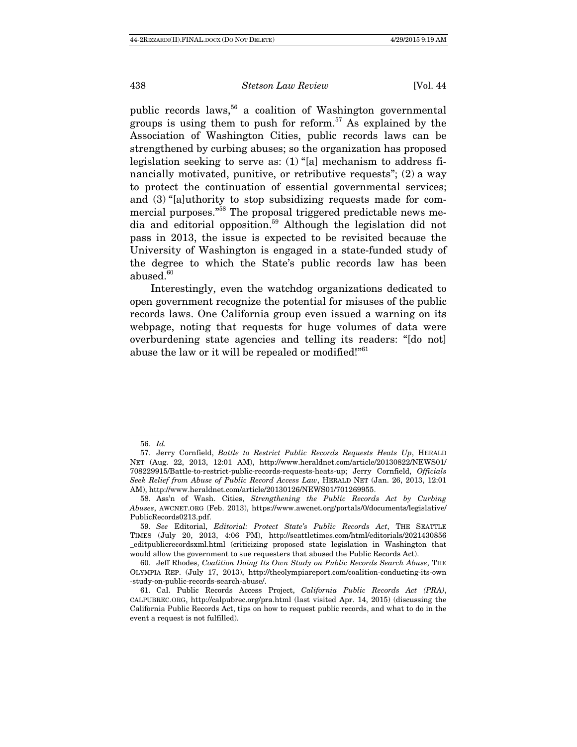public records laws,<sup>56</sup> a coalition of Washington governmental groups is using them to push for reform.<sup>57</sup> As explained by the Association of Washington Cities, public records laws can be strengthened by curbing abuses; so the organization has proposed legislation seeking to serve as: (1) "[a] mechanism to address financially motivated, punitive, or retributive requests"; (2) a way to protect the continuation of essential governmental services; and (3) "[a]uthority to stop subsidizing requests made for commercial purposes."<sup>58</sup> The proposal triggered predictable news media and editorial opposition.59 Although the legislation did not pass in 2013, the issue is expected to be revisited because the University of Washington is engaged in a state-funded study of the degree to which the State's public records law has been abused.<sup>60</sup>

Interestingly, even the watchdog organizations dedicated to open government recognize the potential for misuses of the public records laws. One California group even issued a warning on its webpage, noting that requests for huge volumes of data were overburdening state agencies and telling its readers: "[do not] abuse the law or it will be repealed or modified!"<sup>61</sup>

<sup>56.</sup> Id.

 <sup>57.</sup> Jerry Cornfield, Battle to Restrict Public Records Requests Heats Up, HERALD NET (Aug. 22, 2013, 12:01 AM), http://www.heraldnet.com/article/20130822/NEWS01/ 708229915/Battle-to-restrict-public-records-requests-heats-up; Jerry Cornfield, Officials Seek Relief from Abuse of Public Record Access Law, HERALD NET (Jan. 26, 2013, 12:01 AM), http://www.heraldnet.com/article/20130126/NEWS01/701269955.

 <sup>58.</sup> Ass'n of Wash. Cities, Strengthening the Public Records Act by Curbing Abuses, AWCNET.ORG (Feb. 2013), https://www.awcnet.org/portals/0/documents/legislative/ PublicRecords0213.pdf.

 <sup>59.</sup> See Editorial, Editorial: Protect State's Public Records Act, THE SEATTLE TIMES (July 20, 2013, 4:06 PM), http://seattletimes.com/html/editorials/2021430856 \_editpublicrecordsxml.html (criticizing proposed state legislation in Washington that would allow the government to sue requesters that abused the Public Records Act).

 <sup>60.</sup> Jeff Rhodes, Coalition Doing Its Own Study on Public Records Search Abuse, THE OLYMPIA REP. (July 17, 2013), http://theolympiareport.com/coalition-conducting-its-own -study-on-public-records-search-abuse/.

 <sup>61.</sup> Cal. Public Records Access Project, California Public Records Act (PRA), CALPUBREC.ORG, http://calpubrec.org/pra.html (last visited Apr. 14, 2015) (discussing the California Public Records Act, tips on how to request public records, and what to do in the event a request is not fulfilled).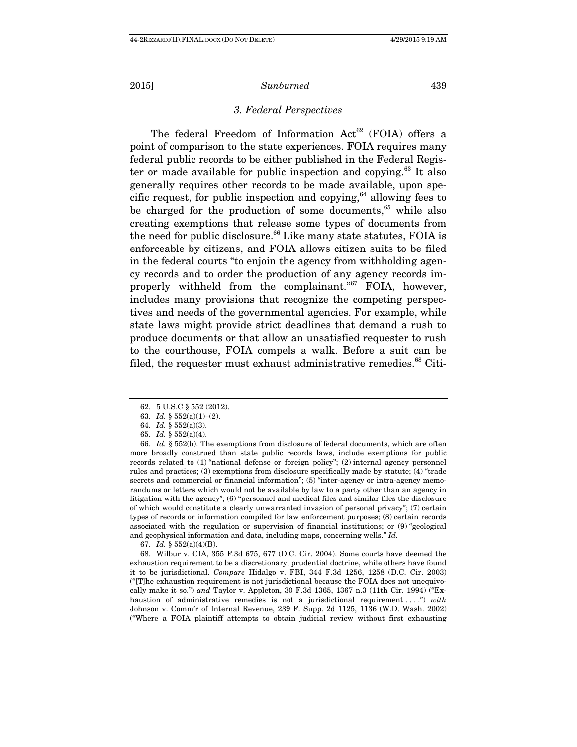# 3. Federal Perspectives

The federal Freedom of Information  $Act^{62}$  (FOIA) offers a point of comparison to the state experiences. FOIA requires many federal public records to be either published in the Federal Register or made available for public inspection and copying.<sup>63</sup> It also generally requires other records to be made available, upon specific request, for public inspection and copying,  $64$  allowing fees to be charged for the production of some documents,  $65$  while also creating exemptions that release some types of documents from the need for public disclosure. $66$  Like many state statutes, FOIA is enforceable by citizens, and FOIA allows citizen suits to be filed in the federal courts "to enjoin the agency from withholding agency records and to order the production of any agency records improperly withheld from the complainant."<sup>67</sup> FOIA, however, includes many provisions that recognize the competing perspectives and needs of the governmental agencies. For example, while state laws might provide strict deadlines that demand a rush to produce documents or that allow an unsatisfied requester to rush to the courthouse, FOIA compels a walk. Before a suit can be filed, the requester must exhaust administrative remedies. $^{68}$  Citi-

67. Id. § 552(a)(4)(B).

 68. Wilbur v. CIA, 355 F.3d 675, 677 (D.C. Cir. 2004). Some courts have deemed the exhaustion requirement to be a discretionary, prudential doctrine, while others have found it to be jurisdictional. Compare Hidalgo v. FBI, 344 F.3d 1256, 1258 (D.C. Cir. 2003) ("[T]he exhaustion requirement is not jurisdictional because the FOIA does not unequivocally make it so.") and Taylor v. Appleton, 30 F.3d 1365, 1367 n.3 (11th Cir. 1994) ("Exhaustion of administrative remedies is not a jurisdictional requirement ....") with Johnson v. Comm'r of Internal Revenue, 239 F. Supp. 2d 1125, 1136 (W.D. Wash. 2002) ("Where a FOIA plaintiff attempts to obtain judicial review without first exhausting

 <sup>62. 5</sup> U.S.C § 552 (2012).

 <sup>63.</sup> Id. § 552(a)(1)–(2).

 <sup>64.</sup> Id. § 552(a)(3).

 <sup>65.</sup> Id. § 552(a)(4).

<sup>66.</sup> Id.  $\S 552(b)$ . The exemptions from disclosure of federal documents, which are often more broadly construed than state public records laws, include exemptions for public records related to (1) "national defense or foreign policy"; (2) internal agency personnel rules and practices; (3) exemptions from disclosure specifically made by statute; (4) "trade secrets and commercial or financial information"; (5) "inter-agency or intra-agency memorandums or letters which would not be available by law to a party other than an agency in litigation with the agency"; (6) "personnel and medical files and similar files the disclosure of which would constitute a clearly unwarranted invasion of personal privacy"; (7) certain types of records or information compiled for law enforcement purposes; (8) certain records associated with the regulation or supervision of financial institutions; or (9) "geological and geophysical information and data, including maps, concerning wells." Id.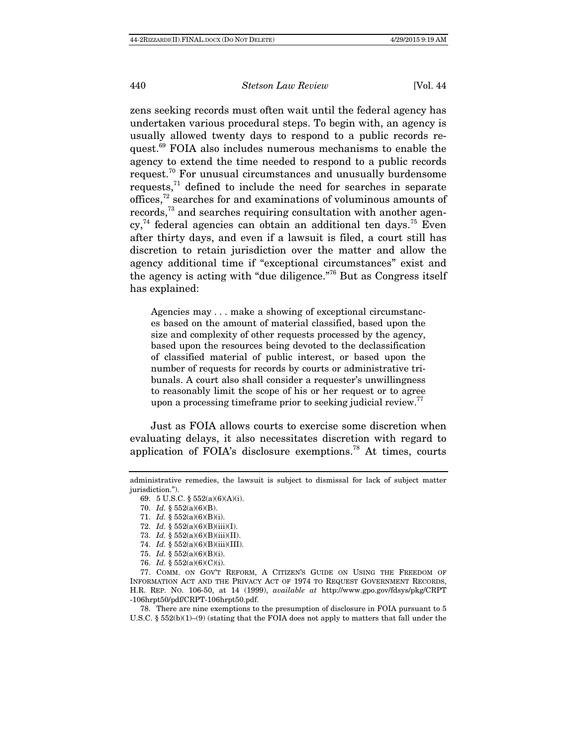zens seeking records must often wait until the federal agency has undertaken various procedural steps. To begin with, an agency is usually allowed twenty days to respond to a public records request.<sup>69</sup> FOIA also includes numerous mechanisms to enable the agency to extend the time needed to respond to a public records request.70 For unusual circumstances and unusually burdensome requests, $71$  defined to include the need for searches in separate offices,72 searches for and examinations of voluminous amounts of records,73 and searches requiring consultation with another agen $cy<sub>1</sub><sup>74</sup>$  federal agencies can obtain an additional ten days.<sup>75</sup> Even after thirty days, and even if a lawsuit is filed, a court still has discretion to retain jurisdiction over the matter and allow the agency additional time if "exceptional circumstances" exist and the agency is acting with "due diligence."76 But as Congress itself has explained:

Agencies may . . . make a showing of exceptional circumstances based on the amount of material classified, based upon the size and complexity of other requests processed by the agency, based upon the resources being devoted to the declassification of classified material of public interest, or based upon the number of requests for records by courts or administrative tribunals. A court also shall consider a requester's unwillingness to reasonably limit the scope of his or her request or to agree upon a processing timeframe prior to seeking judicial review.<sup>77</sup>

Just as FOIA allows courts to exercise some discretion when evaluating delays, it also necessitates discretion with regard to application of FOIA's disclosure exemptions.<sup>78</sup> At times, courts

 78. There are nine exemptions to the presumption of disclosure in FOIA pursuant to 5 U.S.C. § 552(b)(1)–(9) (stating that the FOIA does not apply to matters that fall under the

administrative remedies, the lawsuit is subject to dismissal for lack of subject matter jurisdiction.").

 <sup>69. 5</sup> U.S.C. § 552(a)(6)(A)(i).

 <sup>70.</sup> Id. § 552(a)(6)(B).

 <sup>71.</sup> Id. § 552(a)(6)(B)(i).

<sup>72.</sup> *Id.* §  $552(a)(6)(B)(iii)(I)$ .

 <sup>73.</sup> Id. § 552(a)(6)(B)(iii)(II).

 <sup>74.</sup> Id. § 552(a)(6)(B)(iii)(III).

 <sup>75.</sup> Id. § 552(a)(6)(B)(i).

<sup>76.</sup> *Id.* §  $552(a)(6)(C)(i)$ .

 <sup>77.</sup> COMM. ON GOV'T REFORM, A CITIZEN'S GUIDE ON USING THE FREEDOM OF INFORMATION ACT AND THE PRIVACY ACT OF 1974 TO REQUEST GOVERNMENT RECORDS, H.R. REP. NO. 106-50, at 14 (1999), available at http://www.gpo.gov/fdsys/pkg/CRPT -106hrpt50/pdf/CRPT-106hrpt50.pdf.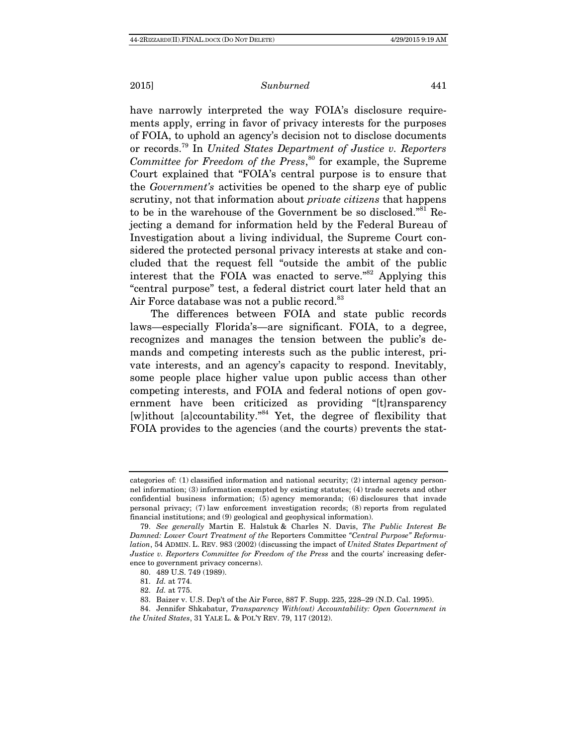have narrowly interpreted the way FOIA's disclosure requirements apply, erring in favor of privacy interests for the purposes of FOIA, to uphold an agency's decision not to disclose documents or records.79 In United States Department of Justice v. Reporters Committee for Freedom of the Press,<sup>80</sup> for example, the Supreme Court explained that "FOIA's central purpose is to ensure that the Government's activities be opened to the sharp eye of public scrutiny, not that information about private citizens that happens to be in the warehouse of the Government be so disclosed."<sup>81</sup> Rejecting a demand for information held by the Federal Bureau of Investigation about a living individual, the Supreme Court considered the protected personal privacy interests at stake and concluded that the request fell "outside the ambit of the public interest that the FOIA was enacted to serve."82 Applying this "central purpose" test, a federal district court later held that an Air Force database was not a public record.<sup>83</sup>

The differences between FOIA and state public records laws—especially Florida's—are significant. FOIA, to a degree, recognizes and manages the tension between the public's demands and competing interests such as the public interest, private interests, and an agency's capacity to respond. Inevitably, some people place higher value upon public access than other competing interests, and FOIA and federal notions of open government have been criticized as providing "[t]ransparency [w]ithout [a]ccountability."84 Yet, the degree of flexibility that FOIA provides to the agencies (and the courts) prevents the stat-

categories of: (1) classified information and national security; (2) internal agency personnel information; (3) information exempted by existing statutes; (4) trade secrets and other confidential business information; (5) agency memoranda; (6) disclosures that invade personal privacy; (7) law enforcement investigation records; (8) reports from regulated financial institutions; and (9) geological and geophysical information).

 <sup>79.</sup> See generally Martin E. Halstuk & Charles N. Davis, The Public Interest Be Damned: Lower Court Treatment of the Reporters Committee "Central Purpose" Reformulation, 54 ADMIN. L. REV. 983 (2002) (discussing the impact of United States Department of Justice v. Reporters Committee for Freedom of the Press and the courts' increasing deference to government privacy concerns).

 <sup>80. 489</sup> U.S. 749 (1989).

 <sup>81.</sup> Id. at 774.

<sup>82.</sup> Id. at 775.

 <sup>83.</sup> Baizer v. U.S. Dep't of the Air Force, 887 F. Supp. 225, 228–29 (N.D. Cal. 1995).

 <sup>84.</sup> Jennifer Shkabatur, Transparency With(out) Accountability: Open Government in the United States, 31 YALE L. & POL'Y REV. 79, 117 (2012).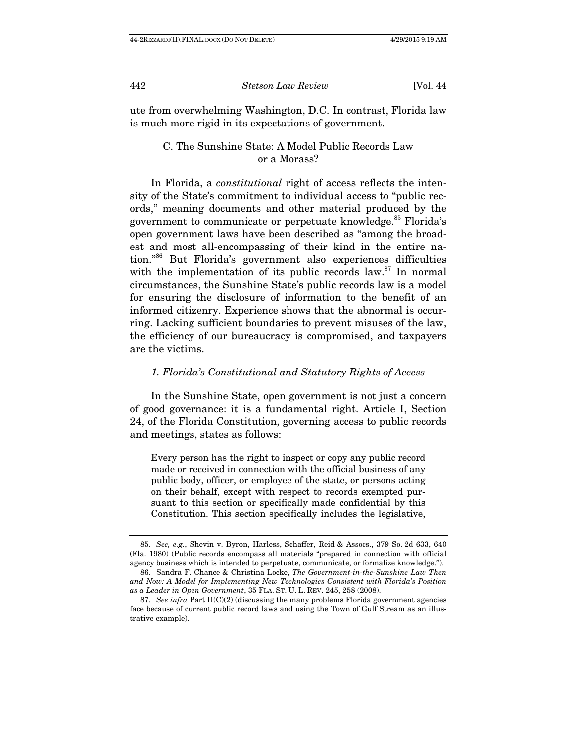ute from overwhelming Washington, D.C. In contrast, Florida law is much more rigid in its expectations of government.

# C. The Sunshine State: A Model Public Records Law or a Morass?

In Florida, a constitutional right of access reflects the intensity of the State's commitment to individual access to "public records," meaning documents and other material produced by the government to communicate or perpetuate knowledge.<sup>85</sup> Florida's open government laws have been described as "among the broadest and most all-encompassing of their kind in the entire nation."86 But Florida's government also experiences difficulties with the implementation of its public records law.<sup>87</sup> In normal circumstances, the Sunshine State's public records law is a model for ensuring the disclosure of information to the benefit of an informed citizenry. Experience shows that the abnormal is occurring. Lacking sufficient boundaries to prevent misuses of the law, the efficiency of our bureaucracy is compromised, and taxpayers are the victims.

### 1. Florida's Constitutional and Statutory Rights of Access

In the Sunshine State, open government is not just a concern of good governance: it is a fundamental right. Article I, Section 24, of the Florida Constitution, governing access to public records and meetings, states as follows:

Every person has the right to inspect or copy any public record made or received in connection with the official business of any public body, officer, or employee of the state, or persons acting on their behalf, except with respect to records exempted pursuant to this section or specifically made confidential by this Constitution. This section specifically includes the legislative,

 <sup>85.</sup> See, e.g., Shevin v. Byron, Harless, Schaffer, Reid & Assocs., 379 So. 2d 633, 640 (Fla. 1980) (Public records encompass all materials "prepared in connection with official agency business which is intended to perpetuate, communicate, or formalize knowledge.").

 <sup>86.</sup> Sandra F. Chance & Christina Locke, The Government-in-the-Sunshine Law Then and Now: A Model for Implementing New Technologies Consistent with Florida's Position as a Leader in Open Government, 35 FLA. ST. U. L. REV. 245, 258 (2008).

<sup>87.</sup> See infra Part II(C)(2) (discussing the many problems Florida government agencies face because of current public record laws and using the Town of Gulf Stream as an illustrative example).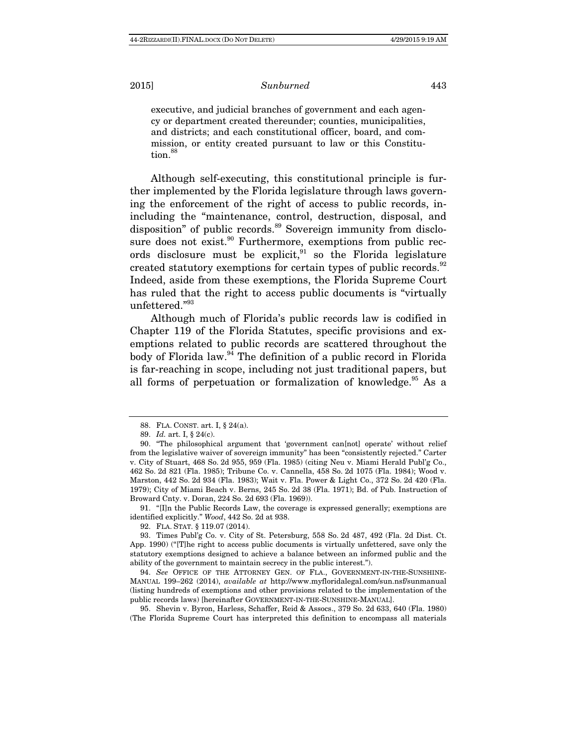executive, and judicial branches of government and each agency or department created thereunder; counties, municipalities, and districts; and each constitutional officer, board, and commission, or entity created pursuant to law or this Constitution.<sup>88</sup>

Although self-executing, this constitutional principle is further implemented by the Florida legislature through laws governing the enforcement of the right of access to public records, inincluding the "maintenance, control, destruction, disposal, and disposition" of public records.<sup>89</sup> Sovereign immunity from disclosure does not exist.<sup>90</sup> Furthermore, exemptions from public records disclosure must be explicit, $91$  so the Florida legislature created statutory exemptions for certain types of public records.<sup>92</sup> Indeed, aside from these exemptions, the Florida Supreme Court has ruled that the right to access public documents is "virtually unfettered."<sup>93</sup>

Although much of Florida's public records law is codified in Chapter 119 of the Florida Statutes, specific provisions and exemptions related to public records are scattered throughout the body of Florida law.<sup>94</sup> The definition of a public record in Florida is far-reaching in scope, including not just traditional papers, but all forms of perpetuation or formalization of knowledge.<sup>95</sup> As a

 91. "[I]n the Public Records Law, the coverage is expressed generally; exemptions are identified explicitly." Wood, 442 So. 2d at 938.

92. FLA. STAT. § 119.07 (2014).

 95. Shevin v. Byron, Harless, Schaffer, Reid & Assocs., 379 So. 2d 633, 640 (Fla. 1980) (The Florida Supreme Court has interpreted this definition to encompass all materials

 <sup>88.</sup> FLA. CONST. art. I, § 24(a).

 <sup>89.</sup> Id. art. I, § 24(c).

 <sup>90. &</sup>quot;The philosophical argument that 'government can[not] operate' without relief from the legislative waiver of sovereign immunity" has been "consistently rejected." Carter v. City of Stuart, 468 So. 2d 955, 959 (Fla. 1985) (citing Neu v. Miami Herald Publ'g Co., 462 So. 2d 821 (Fla. 1985); Tribune Co. v. Cannella, 458 So. 2d 1075 (Fla. 1984); Wood v. Marston, 442 So. 2d 934 (Fla. 1983); Wait v. Fla. Power & Light Co., 372 So. 2d 420 (Fla. 1979); City of Miami Beach v. Berns, 245 So. 2d 38 (Fla. 1971); Bd. of Pub. Instruction of Broward Cnty. v. Doran, 224 So. 2d 693 (Fla. 1969)).

 <sup>93.</sup> Times Publ'g Co. v. City of St. Petersburg, 558 So. 2d 487, 492 (Fla. 2d Dist. Ct. App. 1990) ("[T]he right to access public documents is virtually unfettered, save only the statutory exemptions designed to achieve a balance between an informed public and the ability of the government to maintain secrecy in the public interest.").

 <sup>94.</sup> See OFFICE OF THE ATTORNEY GEN. OF FLA., GOVERNMENT-IN-THE-SUNSHINE-MANUAL 199–262 (2014), available at http://www.myfloridalegal.com/sun.nsf/sunmanual (listing hundreds of exemptions and other provisions related to the implementation of the public records laws) [hereinafter GOVERNMENT-IN-THE-SUNSHINE-MANUAL].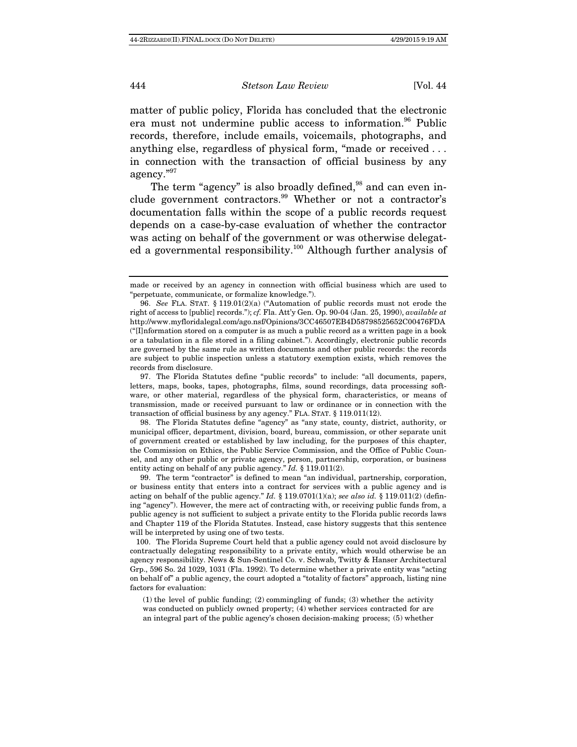matter of public policy, Florida has concluded that the electronic era must not undermine public access to information.<sup>96</sup> Public records, therefore, include emails, voicemails, photographs, and anything else, regardless of physical form, "made or received . . . in connection with the transaction of official business by any agency."<sup>97</sup>

The term "agency" is also broadly defined, $98$  and can even include government contractors.<sup>99</sup> Whether or not a contractor's documentation falls within the scope of a public records request depends on a case-by-case evaluation of whether the contractor was acting on behalf of the government or was otherwise delegated a governmental responsibility.<sup>100</sup> Although further analysis of

 98. The Florida Statutes define "agency" as "any state, county, district, authority, or municipal officer, department, division, board, bureau, commission, or other separate unit of government created or established by law including, for the purposes of this chapter, the Commission on Ethics, the Public Service Commission, and the Office of Public Counsel, and any other public or private agency, person, partnership, corporation, or business entity acting on behalf of any public agency." Id. § 119.011(2).

 99. The term "contractor" is defined to mean "an individual, partnership, corporation, or business entity that enters into a contract for services with a public agency and is acting on behalf of the public agency." Id. § 119.0701(1)(a); see also id. § 119.011(2) (defining "agency"). However, the mere act of contracting with, or receiving public funds from, a public agency is not sufficient to subject a private entity to the Florida public records laws and Chapter 119 of the Florida Statutes. Instead, case history suggests that this sentence will be interpreted by using one of two tests.

 100. The Florida Supreme Court held that a public agency could not avoid disclosure by contractually delegating responsibility to a private entity, which would otherwise be an agency responsibility. News & Sun-Sentinel Co. v. Schwab, Twitty & Hanser Architectural Grp., 596 So. 2d 1029, 1031 (Fla. 1992). To determine whether a private entity was "acting on behalf of" a public agency, the court adopted a "totality of factors" approach, listing nine factors for evaluation:

(1) the level of public funding; (2) commingling of funds; (3) whether the activity was conducted on publicly owned property; (4) whether services contracted for are an integral part of the public agency's chosen decision-making process; (5) whether

made or received by an agency in connection with official business which are used to "perpetuate, communicate, or formalize knowledge.").

 <sup>96.</sup> See FLA. STAT. § 119.01(2)(a) ("Automation of public records must not erode the right of access to [public] records."); cf. Fla. Att'y Gen. Op. 90-04 (Jan. 25, 1990), available at http://www.myfloridalegal.com/ago.nsf/Opinions/3CC46507EB4D58798525652C00476FDA ("[I]nformation stored on a computer is as much a public record as a written page in a book or a tabulation in a file stored in a filing cabinet."). Accordingly, electronic public records are governed by the same rule as written documents and other public records: the records are subject to public inspection unless a statutory exemption exists, which removes the records from disclosure.

 <sup>97.</sup> The Florida Statutes define "public records" to include: "all documents, papers, letters, maps, books, tapes, photographs, films, sound recordings, data processing software, or other material, regardless of the physical form, characteristics, or means of transmission, made or received pursuant to law or ordinance or in connection with the transaction of official business by any agency." FLA. STAT. § 119.011(12).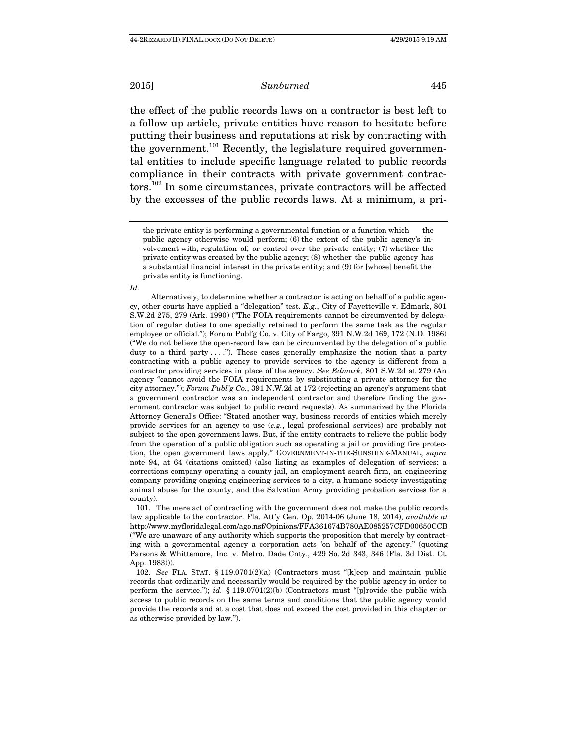the effect of the public records laws on a contractor is best left to a follow-up article, private entities have reason to hesitate before putting their business and reputations at risk by contracting with the government.<sup>101</sup> Recently, the legislature required governmental entities to include specific language related to public records compliance in their contracts with private government contractors.102 In some circumstances, private contractors will be affected by the excesses of the public records laws. At a minimum, a pri-

#### Id.

Alternatively, to determine whether a contractor is acting on behalf of a public agency, other courts have applied a "delegation" test. E.g., City of Fayetteville v. Edmark, 801 S.W.2d 275, 279 (Ark. 1990) ("The FOIA requirements cannot be circumvented by delegation of regular duties to one specially retained to perform the same task as the regular employee or official."); Forum Publ'g Co. v. City of Fargo, 391 N.W.2d 169, 172 (N.D. 1986) ("We do not believe the open-record law can be circumvented by the delegation of a public duty to a third party  $\dots$ ."). These cases generally emphasize the notion that a party contracting with a public agency to provide services to the agency is different from a contractor providing services in place of the agency. See Edmark, 801 S.W.2d at 279 (An agency "cannot avoid the FOIA requirements by substituting a private attorney for the city attorney."); Forum Publ'g Co., 391 N.W.2d at 172 (rejecting an agency's argument that a government contractor was an independent contractor and therefore finding the government contractor was subject to public record requests). As summarized by the Florida Attorney General's Office: "Stated another way, business records of entities which merely provide services for an agency to use (e.g., legal professional services) are probably not subject to the open government laws. But, if the entity contracts to relieve the public body from the operation of a public obligation such as operating a jail or providing fire protection, the open government laws apply." GOVERNMENT-IN-THE-SUNSHINE-MANUAL, supra note 94, at 64 (citations omitted) (also listing as examples of delegation of services: a corrections company operating a county jail, an employment search firm, an engineering company providing ongoing engineering services to a city, a humane society investigating animal abuse for the county, and the Salvation Army providing probation services for a county).

 101. The mere act of contracting with the government does not make the public records law applicable to the contractor. Fla. Att'y Gen. Op. 2014-06 (June 18, 2014), available at http://www.myfloridalegal.com/ago.nsf/Opinions/FFA361674B780AE085257CFD00650CCB ("We are unaware of any authority which supports the proposition that merely by contracting with a governmental agency a corporation acts 'on behalf of' the agency." (quoting Parsons & Whittemore, Inc. v. Metro. Dade Cnty., 429 So. 2d 343, 346 (Fla. 3d Dist. Ct. App. 1983))).

 102. See FLA. STAT. § 119.0701(2)(a) (Contractors must "[k]eep and maintain public records that ordinarily and necessarily would be required by the public agency in order to perform the service."); id.  $\S$  119.0701(2)(b) (Contractors must "[p]rovide the public with access to public records on the same terms and conditions that the public agency would provide the records and at a cost that does not exceed the cost provided in this chapter or as otherwise provided by law.").

the private entity is performing a governmental function or a function which the public agency otherwise would perform; (6) the extent of the public agency's involvement with, regulation of, or control over the private entity; (7) whether the private entity was created by the public agency; (8) whether the public agency has a substantial financial interest in the private entity; and (9) for [whose] benefit the private entity is functioning.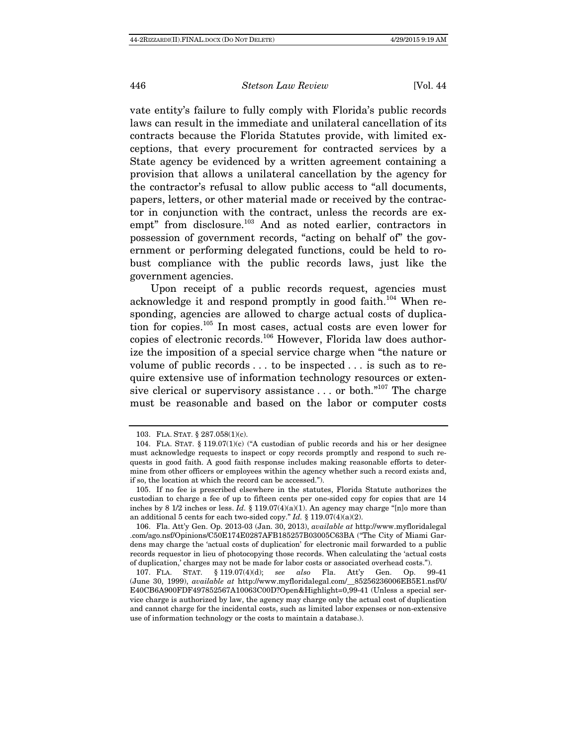vate entity's failure to fully comply with Florida's public records laws can result in the immediate and unilateral cancellation of its contracts because the Florida Statutes provide, with limited exceptions, that every procurement for contracted services by a State agency be evidenced by a written agreement containing a provision that allows a unilateral cancellation by the agency for the contractor's refusal to allow public access to "all documents, papers, letters, or other material made or received by the contractor in conjunction with the contract, unless the records are exempt" from disclosure.<sup>103</sup> And as noted earlier, contractors in possession of government records, "acting on behalf of" the government or performing delegated functions, could be held to robust compliance with the public records laws, just like the government agencies.

Upon receipt of a public records request, agencies must acknowledge it and respond promptly in good faith.<sup>104</sup> When responding, agencies are allowed to charge actual costs of duplication for copies.105 In most cases, actual costs are even lower for copies of electronic records.106 However, Florida law does authorize the imposition of a special service charge when "the nature or volume of public records . . . to be inspected . . . is such as to require extensive use of information technology resources or extensive clerical or supervisory assistance  $\dots$  or both."<sup>107</sup> The charge must be reasonable and based on the labor or computer costs

 <sup>103.</sup> FLA. STAT. § 287.058(1)(c).

<sup>104.</sup> FLA. STAT.  $\S$  119.07(1)(c) ("A custodian of public records and his or her designee must acknowledge requests to inspect or copy records promptly and respond to such requests in good faith. A good faith response includes making reasonable efforts to determine from other officers or employees within the agency whether such a record exists and, if so, the location at which the record can be accessed.").

 <sup>105.</sup> If no fee is prescribed elsewhere in the statutes, Florida Statute authorizes the custodian to charge a fee of up to fifteen cents per one-sided copy for copies that are 14 inches by 8 1/2 inches or less. Id. § 119.07(4)(a)(1). An agency may charge "[n]o more than an additional 5 cents for each two-sided copy." Id. § 119.07(4)(a)(2).

 <sup>106.</sup> Fla. Att'y Gen. Op. 2013-03 (Jan. 30, 2013), available at http://www.myfloridalegal .com/ago.nsf/Opinions/C50E174E0287AFB185257B03005C63BA ("The City of Miami Gardens may charge the 'actual costs of duplication' for electronic mail forwarded to a public records requestor in lieu of photocopying those records. When calculating the 'actual costs of duplication,' charges may not be made for labor costs or associated overhead costs.").

 <sup>107.</sup> FLA. STAT. § 119.07(4)(d); see also Fla. Att'y Gen. Op. 99-41 (June 30, 1999), available at http://www.myfloridalegal.com/\_\_85256236006EB5E1.nsf/0/ E40CB6A900FDF497852567A10063C00D?Open&Highlight=0,99-41 (Unless a special service charge is authorized by law, the agency may charge only the actual cost of duplication and cannot charge for the incidental costs, such as limited labor expenses or non-extensive use of information technology or the costs to maintain a database.).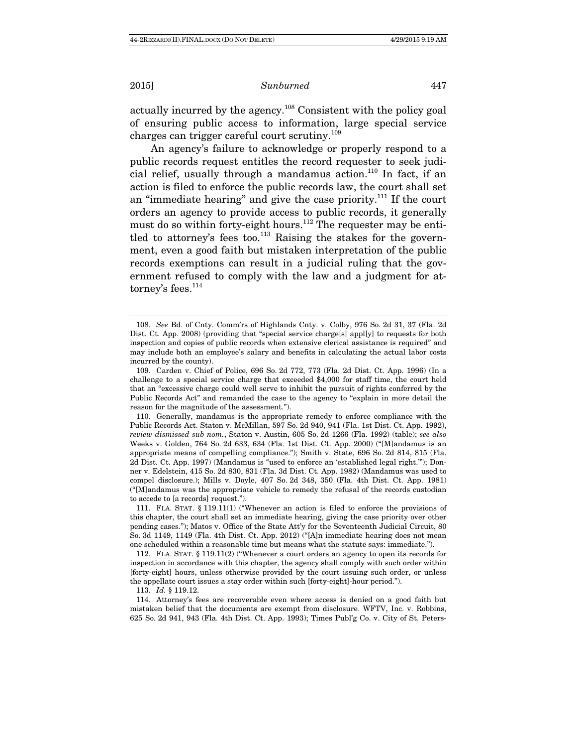actually incurred by the agency.108 Consistent with the policy goal of ensuring public access to information, large special service charges can trigger careful court scrutiny.<sup>109</sup>

An agency's failure to acknowledge or properly respond to a public records request entitles the record requester to seek judicial relief, usually through a mandamus action.<sup>110</sup> In fact, if an action is filed to enforce the public records law, the court shall set an "immediate hearing" and give the case priority.111 If the court orders an agency to provide access to public records, it generally must do so within forty-eight hours.<sup>112</sup> The requester may be entitled to attorney's fees too.<sup>113</sup> Raising the stakes for the government, even a good faith but mistaken interpretation of the public records exemptions can result in a judicial ruling that the government refused to comply with the law and a judgment for attorney's fees.<sup>114</sup>

113. Id. § 119.12.

 114. Attorney's fees are recoverable even where access is denied on a good faith but mistaken belief that the documents are exempt from disclosure. WFTV, Inc. v. Robbins, 625 So. 2d 941, 943 (Fla. 4th Dist. Ct. App. 1993); Times Publ'g Co. v. City of St. Peters-

 <sup>108.</sup> See Bd. of Cnty. Comm'rs of Highlands Cnty. v. Colby, 976 So. 2d 31, 37 (Fla. 2d Dist. Ct. App. 2008) (providing that "special service charge[s] appl[y] to requests for both inspection and copies of public records when extensive clerical assistance is required" and may include both an employee's salary and benefits in calculating the actual labor costs incurred by the county).

 <sup>109.</sup> Carden v. Chief of Police, 696 So. 2d 772, 773 (Fla. 2d Dist. Ct. App. 1996) (In a challenge to a special service charge that exceeded \$4,000 for staff time, the court held that an "excessive charge could well serve to inhibit the pursuit of rights conferred by the Public Records Act" and remanded the case to the agency to "explain in more detail the reason for the magnitude of the assessment.").

 <sup>110.</sup> Generally, mandamus is the appropriate remedy to enforce compliance with the Public Records Act. Staton v. McMillan, 597 So. 2d 940, 941 (Fla. 1st Dist. Ct. App. 1992), review dismissed sub nom., Staton v. Austin, 605 So. 2d 1266 (Fla. 1992) (table); see also Weeks v. Golden, 764 So. 2d 633, 634 (Fla. 1st Dist. Ct. App. 2000) ("[M]andamus is an appropriate means of compelling compliance."); Smith v. State, 696 So. 2d 814, 815 (Fla. 2d Dist. Ct. App. 1997) (Mandamus is "used to enforce an 'established legal right.'"); Donner v. Edelstein, 415 So. 2d 830, 831 (Fla. 3d Dist. Ct. App. 1982) (Mandamus was used to compel disclosure.); Mills v. Doyle, 407 So. 2d 348, 350 (Fla. 4th Dist. Ct. App. 1981) ("[M]andamus was the appropriate vehicle to remedy the refusal of the records custodian to accede to [a records] request.").

 <sup>111.</sup> FLA. STAT. § 119.11(1) ("Whenever an action is filed to enforce the provisions of this chapter, the court shall set an immediate hearing, giving the case priority over other pending cases."); Matos v. Office of the State Att'y for the Seventeenth Judicial Circuit, 80 So. 3d 1149, 1149 (Fla. 4th Dist. Ct. App. 2012) ("[A]n immediate hearing does not mean one scheduled within a reasonable time but means what the statute says: immediate.").

 <sup>112.</sup> FLA. STAT. § 119.11(2) ("Whenever a court orders an agency to open its records for inspection in accordance with this chapter, the agency shall comply with such order within [forty-eight] hours, unless otherwise provided by the court issuing such order, or unless the appellate court issues a stay order within such [forty-eight]-hour period.").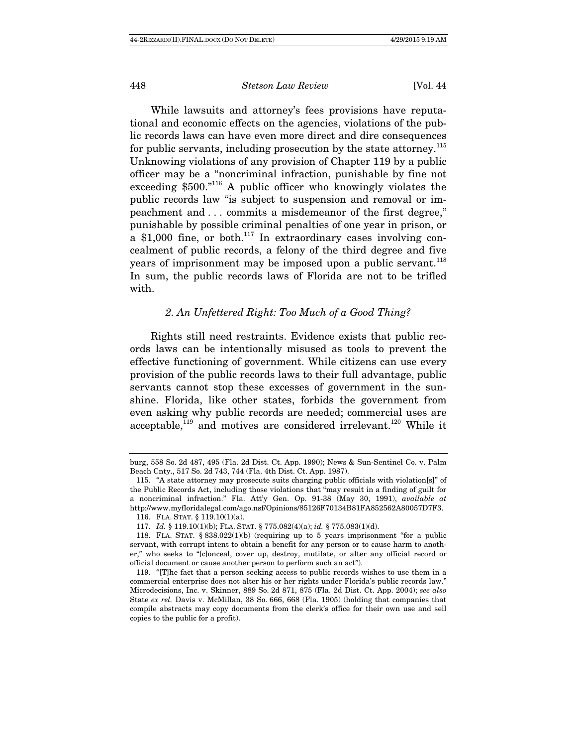While lawsuits and attorney's fees provisions have reputational and economic effects on the agencies, violations of the public records laws can have even more direct and dire consequences for public servants, including prosecution by the state attorney.<sup>115</sup> Unknowing violations of any provision of Chapter 119 by a public officer may be a "noncriminal infraction, punishable by fine not exceeding \$500."116 A public officer who knowingly violates the public records law "is subject to suspension and removal or impeachment and . . . commits a misdemeanor of the first degree," punishable by possible criminal penalties of one year in prison, or a  $$1,000$  fine, or both.<sup>117</sup> In extraordinary cases involving concealment of public records, a felony of the third degree and five years of imprisonment may be imposed upon a public servant.<sup>118</sup> In sum, the public records laws of Florida are not to be trifled with.

# 2. An Unfettered Right: Too Much of a Good Thing?

Rights still need restraints. Evidence exists that public records laws can be intentionally misused as tools to prevent the effective functioning of government. While citizens can use every provision of the public records laws to their full advantage, public servants cannot stop these excesses of government in the sunshine. Florida, like other states, forbids the government from even asking why public records are needed; commercial uses are acceptable,<sup>119</sup> and motives are considered irrelevant.<sup>120</sup> While it

burg, 558 So. 2d 487, 495 (Fla. 2d Dist. Ct. App. 1990); News & Sun-Sentinel Co. v. Palm Beach Cnty., 517 So. 2d 743, 744 (Fla. 4th Dist. Ct. App. 1987).

 <sup>115. &</sup>quot;A state attorney may prosecute suits charging public officials with violation[s]" of the Public Records Act, including those violations that "may result in a finding of guilt for a noncriminal infraction." Fla. Att'y Gen. Op. 91-38 (May 30, 1991), available at http://www.myfloridalegal.com/ago.nsf/Opinions/85126F70134B81FA852562A80057D7F3. 116. FLA. STAT. § 119.10(1)(a).

 <sup>117.</sup> Id. § 119.10(1)(b); FLA. STAT. § 775.082(4)(a); id. § 775.083(1)(d).

<sup>118.</sup> FLA. STAT.  $\S 838.022(1)$ (b) (requiring up to 5 years imprisonment "for a public servant, with corrupt intent to obtain a benefit for any person or to cause harm to another," who seeks to "[c]onceal, cover up, destroy, mutilate, or alter any official record or official document or cause another person to perform such an act").

 <sup>119. &</sup>quot;[T]he fact that a person seeking access to public records wishes to use them in a commercial enterprise does not alter his or her rights under Florida's public records law." Microdecisions, Inc. v. Skinner, 889 So. 2d 871, 875 (Fla. 2d Dist. Ct. App. 2004); see also State ex rel. Davis v. McMillan, 38 So. 666, 668 (Fla. 1905) (holding that companies that compile abstracts may copy documents from the clerk's office for their own use and sell copies to the public for a profit).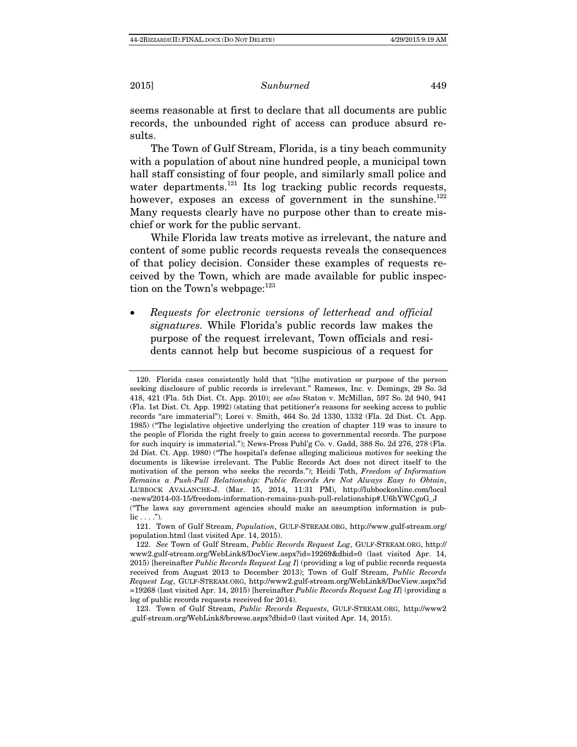seems reasonable at first to declare that all documents are public records, the unbounded right of access can produce absurd results.

The Town of Gulf Stream, Florida, is a tiny beach community with a population of about nine hundred people, a municipal town hall staff consisting of four people, and similarly small police and water departments. $121$  Its log tracking public records requests, however, exposes an excess of government in the sunshine.<sup>122</sup> Many requests clearly have no purpose other than to create mischief or work for the public servant.

While Florida law treats motive as irrelevant, the nature and content of some public records requests reveals the consequences of that policy decision. Consider these examples of requests received by the Town, which are made available for public inspection on the Town's webpage:<sup>123</sup>

 Requests for electronic versions of letterhead and official signatures. While Florida's public records law makes the purpose of the request irrelevant, Town officials and residents cannot help but become suspicious of a request for

 <sup>120.</sup> Florida cases consistently hold that "[t]he motivation or purpose of the person seeking disclosure of public records is irrelevant." Rameses, Inc. v. Demings, 29 So. 3d 418, 421 (Fla. 5th Dist. Ct. App. 2010); see also Staton v. McMillan, 597 So. 2d 940, 941 (Fla. 1st Dist. Ct. App. 1992) (stating that petitioner's reasons for seeking access to public records "are immaterial"); Lorei v. Smith, 464 So. 2d 1330, 1332 (Fla. 2d Dist. Ct. App. 1985) ("The legislative objective underlying the creation of chapter 119 was to insure to the people of Florida the right freely to gain access to governmental records. The purpose for such inquiry is immaterial."); News-Press Publ'g Co. v. Gadd, 388 So. 2d 276, 278 (Fla. 2d Dist. Ct. App. 1980) ("The hospital's defense alleging malicious motives for seeking the documents is likewise irrelevant. The Public Records Act does not direct itself to the motivation of the person who seeks the records."); Heidi Toth, Freedom of Information Remains a Push-Pull Relationship: Public Records Are Not Always Easy to Obtain, LUBBOCK AVALANCHE-J. (Mar. 15, 2014, 11:31 PM), http://lubbockonline.com/local -news/2014-03-15/freedom-information-remains-push-pull-relationship#.U6hYWCgoG\_J ("The laws say government agencies should make an assumption information is pub- $\text{lic} \ldots$ .").

 <sup>121.</sup> Town of Gulf Stream, Population, GULF-STREAM.ORG, http://www.gulf-stream.org/ population.html (last visited Apr. 14, 2015).

 <sup>122.</sup> See Town of Gulf Stream, Public Records Request Log, GULF-STREAM.ORG, http:// www2.gulf-stream.org/WebLink8/DocView.aspx?id=19269&dbid=0 (last visited Apr. 14, 2015) [hereinafter *Public Records Request Log I*] (providing a log of public records requests received from August 2013 to December 2013); Town of Gulf Stream, Public Records Request Log, GULF-STREAM.ORG, http://www2.gulf-stream.org/WebLink8/DocView.aspx?id  $=19268$  (last visited Apr. 14, 2015) [hereinafter *Public Records Request Log II*] (providing a log of public records requests received for 2014).

 <sup>123.</sup> Town of Gulf Stream, Public Records Requests, GULF-STREAM.ORG, http://www2 .gulf-stream.org/WebLink8/browse.aspx?dbid=0 (last visited Apr. 14, 2015).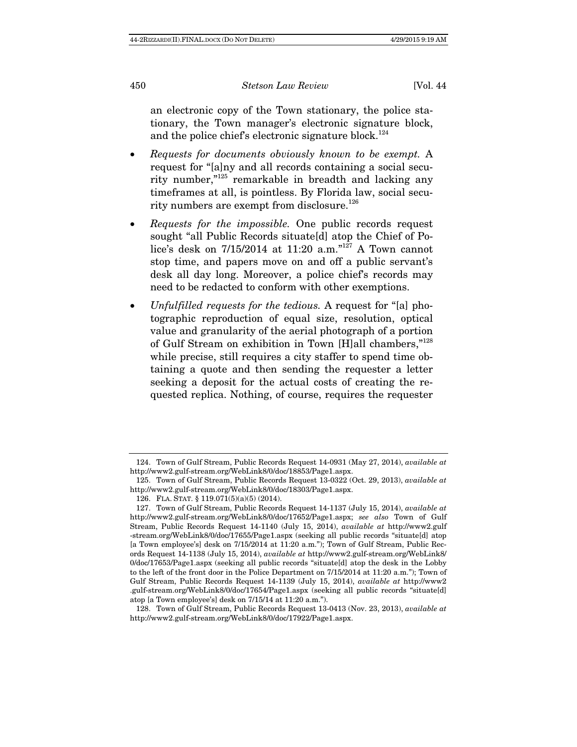an electronic copy of the Town stationary, the police stationary, the Town manager's electronic signature block, and the police chief's electronic signature block.<sup>124</sup>

- Requests for documents obviously known to be exempt. A request for "[a]ny and all records containing a social security number,"125 remarkable in breadth and lacking any timeframes at all, is pointless. By Florida law, social security numbers are exempt from disclosure.<sup>126</sup>
- Requests for the impossible. One public records request sought "all Public Records situate[d] atop the Chief of Police's desk on 7/15/2014 at 11:20 a.m."<sup>127</sup> A Town cannot stop time, and papers move on and off a public servant's desk all day long. Moreover, a police chief's records may need to be redacted to conform with other exemptions.
- Unfulfilled requests for the tedious. A request for "[a] photographic reproduction of equal size, resolution, optical value and granularity of the aerial photograph of a portion of Gulf Stream on exhibition in Town [H]all chambers,"<sup>128</sup> while precise, still requires a city staffer to spend time obtaining a quote and then sending the requester a letter seeking a deposit for the actual costs of creating the requested replica. Nothing, of course, requires the requester

 <sup>124.</sup> Town of Gulf Stream, Public Records Request 14-0931 (May 27, 2014), available at http://www2.gulf-stream.org/WebLink8/0/doc/18853/Page1.aspx.

 <sup>125.</sup> Town of Gulf Stream, Public Records Request 13-0322 (Oct. 29, 2013), available at http://www2.gulf-stream.org/WebLink8/0/doc/18303/Page1.aspx.

 <sup>126.</sup> FLA. STAT. § 119.071(5)(a)(5) (2014).

 <sup>127.</sup> Town of Gulf Stream, Public Records Request 14-1137 (July 15, 2014), available at http://www2.gulf-stream.org/WebLink8/0/doc/17652/Page1.aspx; see also Town of Gulf Stream, Public Records Request 14-1140 (July 15, 2014), available at http://www2.gulf -stream.org/WebLink8/0/doc/17655/Page1.aspx (seeking all public records "situate[d] atop [a Town employee's] desk on 7/15/2014 at 11:20 a.m."); Town of Gulf Stream, Public Records Request 14-1138 (July 15, 2014), available at http://www2.gulf-stream.org/WebLink8/ 0/doc/17653/Page1.aspx (seeking all public records "situate[d] atop the desk in the Lobby to the left of the front door in the Police Department on 7/15/2014 at 11:20 a.m."); Town of Gulf Stream, Public Records Request 14-1139 (July 15, 2014), available at http://www2 .gulf-stream.org/WebLink8/0/doc/17654/Page1.aspx (seeking all public records "situate[d] atop [a Town employee's] desk on 7/15/14 at 11:20 a.m.").

 <sup>128.</sup> Town of Gulf Stream, Public Records Request 13-0413 (Nov. 23, 2013), available at http://www2.gulf-stream.org/WebLink8/0/doc/17922/Page1.aspx.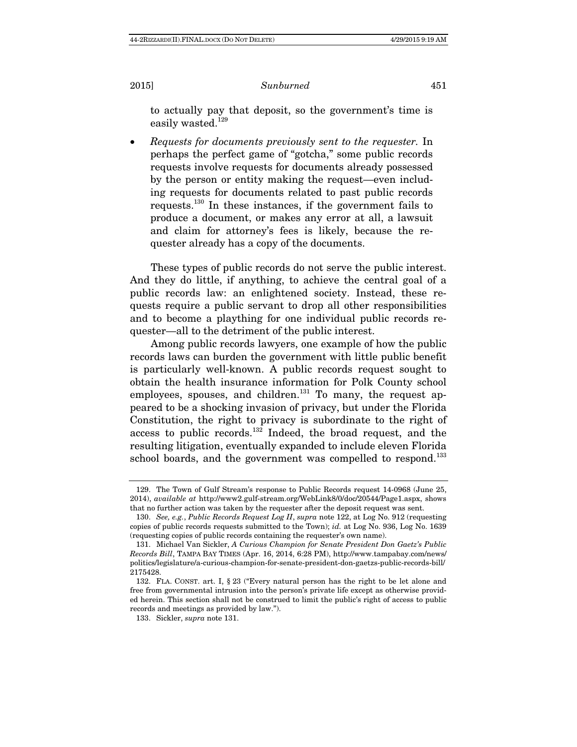to actually pay that deposit, so the government's time is easily wasted.<sup>129</sup>

 Requests for documents previously sent to the requester. In perhaps the perfect game of "gotcha," some public records requests involve requests for documents already possessed by the person or entity making the request—even including requests for documents related to past public records requests.130 In these instances, if the government fails to produce a document, or makes any error at all, a lawsuit and claim for attorney's fees is likely, because the requester already has a copy of the documents.

These types of public records do not serve the public interest. And they do little, if anything, to achieve the central goal of a public records law: an enlightened society. Instead, these requests require a public servant to drop all other responsibilities and to become a plaything for one individual public records requester—all to the detriment of the public interest.

Among public records lawyers, one example of how the public records laws can burden the government with little public benefit is particularly well-known. A public records request sought to obtain the health insurance information for Polk County school employees, spouses, and children.<sup>131</sup> To many, the request appeared to be a shocking invasion of privacy, but under the Florida Constitution, the right to privacy is subordinate to the right of access to public records.<sup>132</sup> Indeed, the broad request, and the resulting litigation, eventually expanded to include eleven Florida school boards, and the government was compelled to respond.<sup>133</sup>

 <sup>129.</sup> The Town of Gulf Stream's response to Public Records request 14-0968 (June 25, 2014), available at http://www2.gulf-stream.org/WebLink8/0/doc/20544/Page1.aspx, shows that no further action was taken by the requester after the deposit request was sent.

 <sup>130.</sup> See, e.g., Public Records Request Log II, supra note 122, at Log No. 912 (requesting copies of public records requests submitted to the Town); id. at Log No. 936, Log No. 1639 (requesting copies of public records containing the requester's own name).

 <sup>131.</sup> Michael Van Sickler, A Curious Champion for Senate President Don Gaetz's Public Records Bill, TAMPA BAY TIMES (Apr. 16, 2014, 6:28 PM), http://www.tampabay.com/news/ politics/legislature/a-curious-champion-for-senate-president-don-gaetzs-public-records-bill/ 2175428.

 <sup>132.</sup> FLA. CONST. art. I, § 23 ("Every natural person has the right to be let alone and free from governmental intrusion into the person's private life except as otherwise provided herein. This section shall not be construed to limit the public's right of access to public records and meetings as provided by law.").

 <sup>133.</sup> Sickler, supra note 131.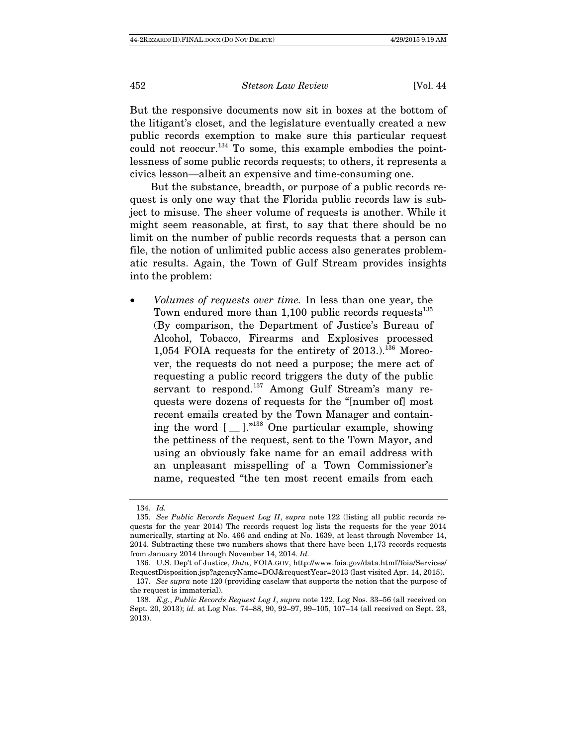But the responsive documents now sit in boxes at the bottom of the litigant's closet, and the legislature eventually created a new public records exemption to make sure this particular request could not reoccur.<sup>134</sup> To some, this example embodies the pointlessness of some public records requests; to others, it represents a civics lesson—albeit an expensive and time-consuming one.

But the substance, breadth, or purpose of a public records request is only one way that the Florida public records law is subject to misuse. The sheer volume of requests is another. While it might seem reasonable, at first, to say that there should be no limit on the number of public records requests that a person can file, the notion of unlimited public access also generates problematic results. Again, the Town of Gulf Stream provides insights into the problem:

 Volumes of requests over time. In less than one year, the Town endured more than  $1,100$  public records requests<sup>135</sup> (By comparison, the Department of Justice's Bureau of Alcohol, Tobacco, Firearms and Explosives processed 1,054 FOIA requests for the entirety of  $2013$ .).<sup>136</sup> Moreover, the requests do not need a purpose; the mere act of requesting a public record triggers the duty of the public servant to respond.<sup>137</sup> Among Gulf Stream's many requests were dozens of requests for the "[number of] most recent emails created by the Town Manager and containing the word  $[$   $\Box$  ].<sup>"138</sup> One particular example, showing the pettiness of the request, sent to the Town Mayor, and using an obviously fake name for an email address with an unpleasant misspelling of a Town Commissioner's name, requested "the ten most recent emails from each

 <sup>134.</sup> Id.

 <sup>135.</sup> See Public Records Request Log II, supra note 122 (listing all public records requests for the year 2014) The records request log lists the requests for the year 2014 numerically, starting at No. 466 and ending at No. 1639, at least through November 14, 2014. Subtracting these two numbers shows that there have been 1,173 records requests from January 2014 through November 14, 2014. Id.

 <sup>136.</sup> U.S. Dep't of Justice, Data, FOIA.GOV, http://www.foia.gov/data.html?foia/Services/ RequestDisposition.jsp?agencyName=DOJ&requestYear=2013 (last visited Apr. 14, 2015).

<sup>137.</sup> See supra note 120 (providing caselaw that supports the notion that the purpose of the request is immaterial).

<sup>138.</sup> E.g., Public Records Request Log I, supra note 122, Log Nos. 33-56 (all received on Sept. 20, 2013); id. at Log Nos. 74–88, 90, 92–97, 99–105, 107–14 (all received on Sept. 23, 2013).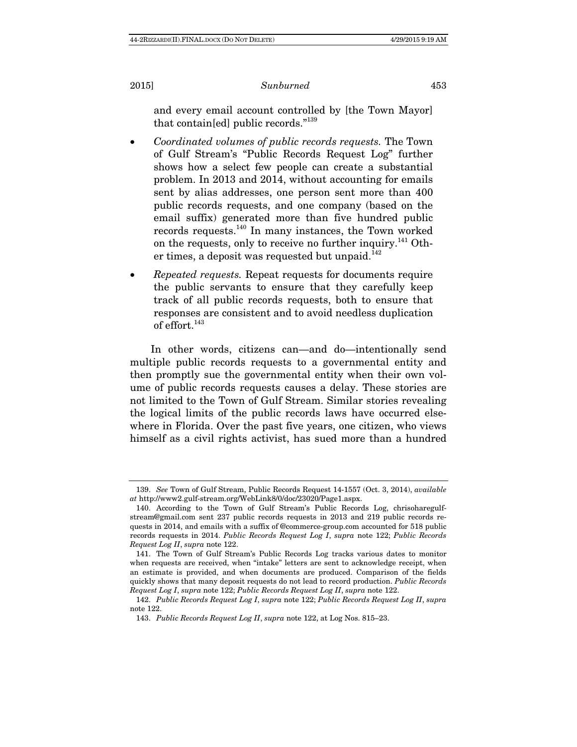and every email account controlled by [the Town Mayor] that contain[ed] public records."<sup>139</sup>

- Coordinated volumes of public records requests. The Town of Gulf Stream's "Public Records Request Log" further shows how a select few people can create a substantial problem. In 2013 and 2014, without accounting for emails sent by alias addresses, one person sent more than 400 public records requests, and one company (based on the email suffix) generated more than five hundred public records requests.140 In many instances, the Town worked on the requests, only to receive no further inquiry.<sup>141</sup> Other times, a deposit was requested but unpaid. $142$
- Repeated requests. Repeat requests for documents require the public servants to ensure that they carefully keep track of all public records requests, both to ensure that responses are consistent and to avoid needless duplication of effort.<sup>143</sup>

In other words, citizens can—and do—intentionally send multiple public records requests to a governmental entity and then promptly sue the governmental entity when their own volume of public records requests causes a delay. These stories are not limited to the Town of Gulf Stream. Similar stories revealing the logical limits of the public records laws have occurred elsewhere in Florida. Over the past five years, one citizen, who views himself as a civil rights activist, has sued more than a hundred

 <sup>139.</sup> See Town of Gulf Stream, Public Records Request 14-1557 (Oct. 3, 2014), available at http://www2.gulf-stream.org/WebLink8/0/doc/23020/Page1.aspx.

 <sup>140.</sup> According to the Town of Gulf Stream's Public Records Log, chrisoharegulfstream@gmail.com sent 237 public records requests in 2013 and 219 public records requests in 2014, and emails with a suffix of @commerce-group.com accounted for 518 public records requests in 2014. Public Records Request Log I, supra note 122; Public Records Request Log II, supra note 122.

 <sup>141.</sup> The Town of Gulf Stream's Public Records Log tracks various dates to monitor when requests are received, when "intake" letters are sent to acknowledge receipt, when an estimate is provided, and when documents are produced. Comparison of the fields quickly shows that many deposit requests do not lead to record production. Public Records Request Log I, supra note 122; Public Records Request Log II, supra note 122.

 <sup>142.</sup> Public Records Request Log I, supra note 122; Public Records Request Log II, supra note 122.

 <sup>143.</sup> Public Records Request Log II, supra note 122, at Log Nos. 815–23.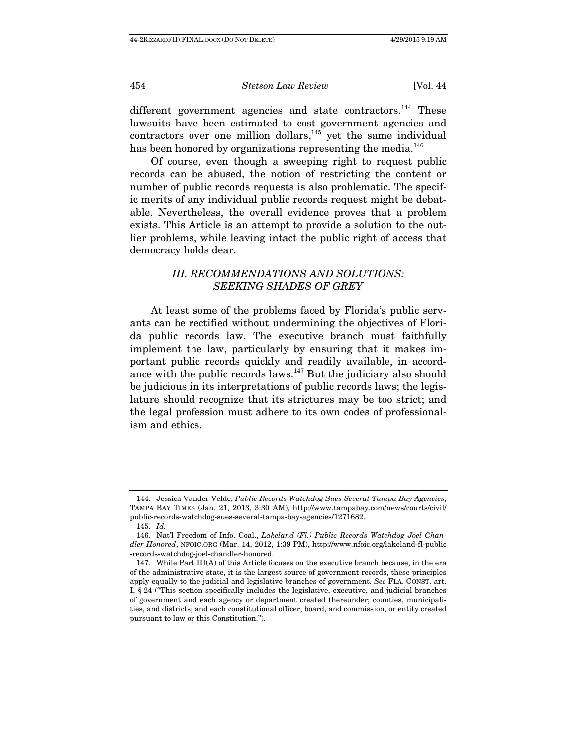different government agencies and state contractors.<sup>144</sup> These lawsuits have been estimated to cost government agencies and contractors over one million dollars, $145$  yet the same individual has been honored by organizations representing the media.<sup>146</sup>

Of course, even though a sweeping right to request public records can be abused, the notion of restricting the content or number of public records requests is also problematic. The specific merits of any individual public records request might be debatable. Nevertheless, the overall evidence proves that a problem exists. This Article is an attempt to provide a solution to the outlier problems, while leaving intact the public right of access that democracy holds dear.

# III. RECOMMENDATIONS AND SOLUTIONS: SEEKING SHADES OF GREY

At least some of the problems faced by Florida's public servants can be rectified without undermining the objectives of Florida public records law. The executive branch must faithfully implement the law, particularly by ensuring that it makes important public records quickly and readily available, in accordance with the public records laws. $147$  But the judiciary also should be judicious in its interpretations of public records laws; the legislature should recognize that its strictures may be too strict; and the legal profession must adhere to its own codes of professionalism and ethics.

 <sup>144.</sup> Jessica Vander Velde, Public Records Watchdog Sues Several Tampa Bay Agencies, TAMPA BAY TIMES (Jan. 21, 2013, 3:30 AM), http://www.tampabay.com/news/courts/civil/ public-records-watchdog-sues-several-tampa-bay-agencies/1271682.

 <sup>145.</sup> Id.

 <sup>146.</sup> Nat'l Freedom of Info. Coal., Lakeland (Fl.) Public Records Watchdog Joel Chandler Honored, NFOIC.ORG (Mar. 14, 2012, 1:39 PM), http://www.nfoic.org/lakeland-fl-public -records-watchdog-joel-chandler-honored.

 <sup>147.</sup> While Part III(A) of this Article focuses on the executive branch because, in the era of the administrative state, it is the largest source of government records, these principles apply equally to the judicial and legislative branches of government. See FLA. CONST. art. I, § 24 ("This section specifically includes the legislative, executive, and judicial branches of government and each agency or department created thereunder; counties, municipalities, and districts; and each constitutional officer, board, and commission, or entity created pursuant to law or this Constitution.").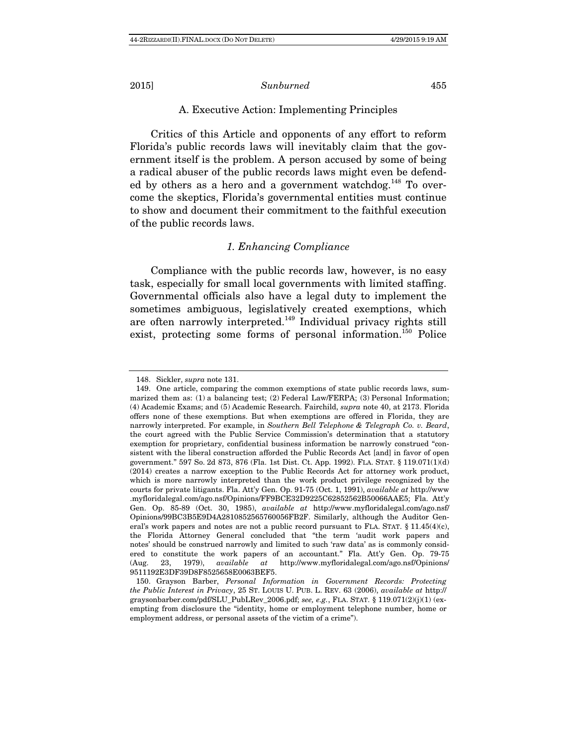# A. Executive Action: Implementing Principles

Critics of this Article and opponents of any effort to reform Florida's public records laws will inevitably claim that the government itself is the problem. A person accused by some of being a radical abuser of the public records laws might even be defended by others as a hero and a government watchdog.<sup>148</sup> To overcome the skeptics, Florida's governmental entities must continue to show and document their commitment to the faithful execution of the public records laws.

### 1. Enhancing Compliance

Compliance with the public records law, however, is no easy task, especially for small local governments with limited staffing. Governmental officials also have a legal duty to implement the sometimes ambiguous, legislatively created exemptions, which are often narrowly interpreted.<sup>149</sup> Individual privacy rights still exist, protecting some forms of personal information.<sup>150</sup> Police

 <sup>148.</sup> Sickler, supra note 131.

 <sup>149.</sup> One article, comparing the common exemptions of state public records laws, summarized them as: (1) a balancing test; (2) Federal Law/FERPA; (3) Personal Information; (4) Academic Exams; and (5) Academic Research. Fairchild, supra note 40, at 2173. Florida offers none of these exemptions. But when exemptions are offered in Florida, they are narrowly interpreted. For example, in Southern Bell Telephone & Telegraph Co. v. Beard, the court agreed with the Public Service Commission's determination that a statutory exemption for proprietary, confidential business information be narrowly construed "consistent with the liberal construction afforded the Public Records Act [and] in favor of open government." 597 So. 2d 873, 876 (Fla. 1st Dist. Ct. App. 1992). FLA. STAT. § 119.071(1)(d) (2014) creates a narrow exception to the Public Records Act for attorney work product, which is more narrowly interpreted than the work product privilege recognized by the courts for private litigants. Fla. Att'y Gen. Op. 91-75 (Oct. 1, 1991), available at http://www .myfloridalegal.com/ago.nsf/Opinions/FF9BCE32D9225C62852562B50066AAE5; Fla. Att'y Gen. Op. 85-89 (Oct. 30, 1985), available at http://www.myfloridalegal.com/ago.nsf/ Opinions/99BC3B5E9D4A2810852565760056FB2F. Similarly, although the Auditor General's work papers and notes are not a public record pursuant to FLA. STAT. § 11.45(4)(c), the Florida Attorney General concluded that "the term 'audit work papers and notes' should be construed narrowly and limited to such 'raw data' as is commonly considered to constitute the work papers of an accountant." Fla. Att'y Gen. Op. 79-75 (Aug. 23, 1979), available at http://www.myfloridalegal.com/ago.nsf/Opinions/ 9511192E3DF39D8F8525658E0063BEF5.

 <sup>150.</sup> Grayson Barber, Personal Information in Government Records: Protecting the Public Interest in Privacy, 25 ST. LOUIS U. PUB. L. REV. 63 (2006), available at http:// graysonbarber.com/pdf/SLU\_PubLRev\_2006.pdf; see, e.g., FLA. STAT. § 119.071(2)(j)(1) (exempting from disclosure the "identity, home or employment telephone number, home or employment address, or personal assets of the victim of a crime").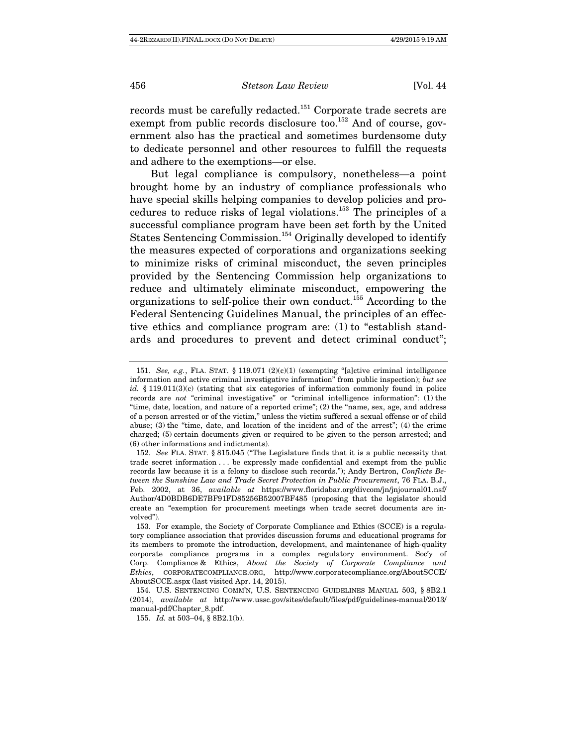records must be carefully redacted.151 Corporate trade secrets are exempt from public records disclosure too.<sup>152</sup> And of course, government also has the practical and sometimes burdensome duty to dedicate personnel and other resources to fulfill the requests and adhere to the exemptions—or else.

But legal compliance is compulsory, nonetheless—a point brought home by an industry of compliance professionals who have special skills helping companies to develop policies and procedures to reduce risks of legal violations.153 The principles of a successful compliance program have been set forth by the United States Sentencing Commission.<sup>154</sup> Originally developed to identify the measures expected of corporations and organizations seeking to minimize risks of criminal misconduct, the seven principles provided by the Sentencing Commission help organizations to reduce and ultimately eliminate misconduct, empowering the organizations to self-police their own conduct.155 According to the Federal Sentencing Guidelines Manual, the principles of an effective ethics and compliance program are: (1) to "establish standards and procedures to prevent and detect criminal conduct";

155. Id. at 503–04, § 8B2.1(b).

<sup>151.</sup> See, e.g., FLA. STAT. § 119.071 (2)(c)(1) (exempting "[a]ctive criminal intelligence information and active criminal investigative information" from public inspection); but see id. § 119.011(3)(c) (stating that six categories of information commonly found in police records are not "criminal investigative" or "criminal intelligence information": (1) the "time, date, location, and nature of a reported crime"; (2) the "name, sex, age, and address of a person arrested or of the victim," unless the victim suffered a sexual offense or of child abuse; (3) the "time, date, and location of the incident and of the arrest"; (4) the crime charged; (5) certain documents given or required to be given to the person arrested; and (6) other informations and indictments).

 <sup>152.</sup> See FLA. STAT. § 815.045 ("The Legislature finds that it is a public necessity that trade secret information . . . be expressly made confidential and exempt from the public records law because it is a felony to disclose such records."); Andy Bertron, Conflicts Between the Sunshine Law and Trade Secret Protection in Public Procurement, 76 FLA. B.J., Feb. 2002, at 36, available at https://www.floridabar.org/divcom/jn/jnjournal01.nsf/ Author/4D0BDB6DE7BF91FD85256B52007BF485 (proposing that the legislator should create an "exemption for procurement meetings when trade secret documents are involved").

 <sup>153.</sup> For example, the Society of Corporate Compliance and Ethics (SCCE) is a regulatory compliance association that provides discussion forums and educational programs for its members to promote the introduction, development, and maintenance of high-quality corporate compliance programs in a complex regulatory environment. Soc'y of Corp. Compliance & Ethics, About the Society of Corporate Compliance and Ethics, CORPORATECOMPLIANCE.ORG, http://www.corporatecompliance.org/AboutSCCE/ AboutSCCE.aspx (last visited Apr. 14, 2015).

 <sup>154.</sup> U.S. SENTENCING COMM'N, U.S. SENTENCING GUIDELINES MANUAL 503, § 8B2.1 (2014), available at http://www.ussc.gov/sites/default/files/pdf/guidelines-manual/2013/ manual-pdf/Chapter\_8.pdf.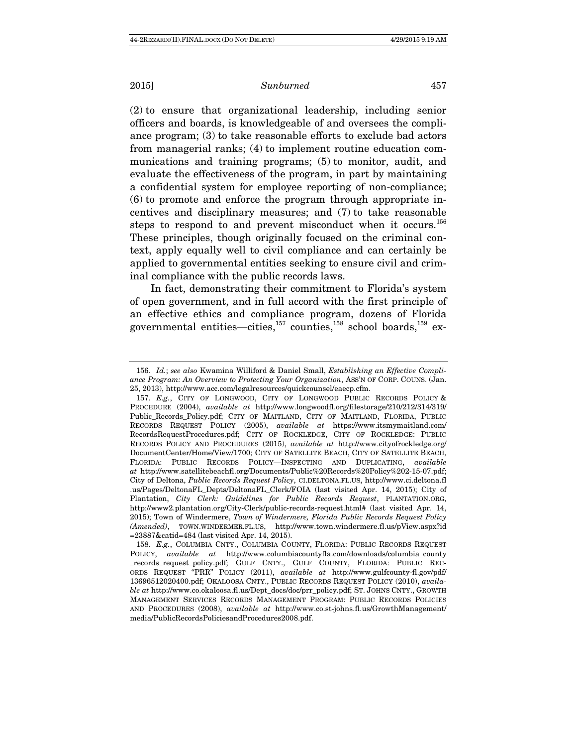(2) to ensure that organizational leadership, including senior officers and boards, is knowledgeable of and oversees the compliance program; (3) to take reasonable efforts to exclude bad actors from managerial ranks; (4) to implement routine education communications and training programs; (5) to monitor, audit, and evaluate the effectiveness of the program, in part by maintaining a confidential system for employee reporting of non-compliance; (6) to promote and enforce the program through appropriate incentives and disciplinary measures; and (7) to take reasonable steps to respond to and prevent misconduct when it occurs.<sup>156</sup> These principles, though originally focused on the criminal context, apply equally well to civil compliance and can certainly be applied to governmental entities seeking to ensure civil and criminal compliance with the public records laws.

In fact, demonstrating their commitment to Florida's system of open government, and in full accord with the first principle of an effective ethics and compliance program, dozens of Florida governmental entities—cities, $157$  counties, $158$  school boards, $159$  ex-

 <sup>156.</sup> Id.; see also Kwamina Williford & Daniel Small, Establishing an Effective Compliance Program: An Overview to Protecting Your Organization, ASS'N OF CORP. COUNS. (Jan. 25, 2013), http://www.acc.com/legalresources/quickcounsel/eaecp.cfm.

 <sup>157.</sup> E.g., CITY OF LONGWOOD, CITY OF LONGWOOD PUBLIC RECORDS POLICY & PROCEDURE (2004), available at http://www.longwoodfl.org/filestorage/210/212/314/319/ Public\_Records\_Policy.pdf; CITY OF MAITLAND, CITY OF MAITLAND, FLORIDA, PUBLIC RECORDS REQUEST POLICY (2005), available at https://www.itsmymaitland.com/ RecordsRequestProcedures.pdf; CITY OF ROCKLEDGE, CITY OF ROCKLEDGE: PUBLIC RECORDS POLICY AND PROCEDURES (2015), available at http://www.cityofrockledge.org/ DocumentCenter/Home/View/1700; CITY OF SATELLITE BEACH, CITY OF SATELLITE BEACH, FLORIDA: PUBLIC RECORDS POLICY—INSPECTING AND DUPLICATING, available at http://www.satellitebeachfl.org/Documents/Public%20Records%20Policy%202-15-07.pdf; City of Deltona, Public Records Request Policy, CI.DELTONA.FL.US, http://www.ci.deltona.fl .us/Pages/DeltonaFL\_Depts/DeltonaFL\_Clerk/FOIA (last visited Apr. 14, 2015); City of Plantation, City Clerk: Guidelines for Public Records Request, PLANTATION.ORG, http://www2.plantation.org/City-Clerk/public-records-request.html# (last visited Apr. 14, 2015); Town of Windermere, Town of Windermere, Florida Public Records Request Policy (Amended), TOWN.WINDERMER.FL.US, http://www.town.windermere.fl.us/pView.aspx?id =23887&catid=484 (last visited Apr. 14, 2015).

 <sup>158.</sup> E.g., COLUMBIA CNTY., COLUMBIA COUNTY, FLORIDA: PUBLIC RECORDS REQUEST POLICY, available at http://www.columbiacountyfla.com/downloads/columbia\_county \_records\_request\_policy.pdf; GULF CNTY., GULF COUNTY, FLORIDA: PUBLIC REC-ORDS REQUEST "PRR" POLICY (2011), *available at* http://www.gulfcounty-fl.gov/pdf/ 13696512020400.pdf; OKALOOSA CNTY., PUBLIC RECORDS REQUEST POLICY (2010), available at http://www.co.okaloosa.fl.us/Dept\_docs/doc/prr\_policy.pdf; ST. JOHNS CNTY., GROWTH MANAGEMENT SERVICES RECORDS MANAGEMENT PROGRAM: PUBLIC RECORDS POLICIES AND PROCEDURES (2008), available at http://www.co.st-johns.fl.us/GrowthManagement/ media/PublicRecordsPoliciesandProcedures2008.pdf.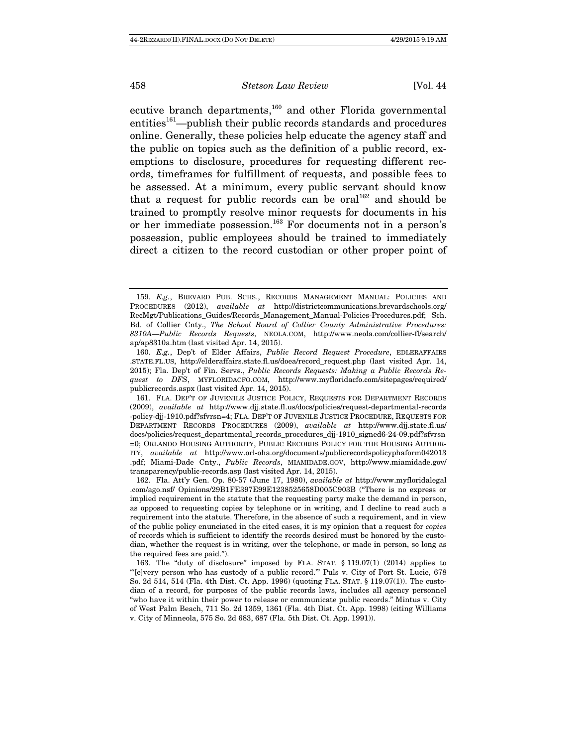ecutive branch departments,<sup>160</sup> and other Florida governmental  $entities<sup>161</sup>—published their public records standards and procedures$ online. Generally, these policies help educate the agency staff and the public on topics such as the definition of a public record, exemptions to disclosure, procedures for requesting different records, timeframes for fulfillment of requests, and possible fees to be assessed. At a minimum, every public servant should know that a request for public records can be oral<sup>162</sup> and should be trained to promptly resolve minor requests for documents in his or her immediate possession.163 For documents not in a person's possession, public employees should be trained to immediately direct a citizen to the record custodian or other proper point of

 <sup>159.</sup> E.g., BREVARD PUB. SCHS., RECORDS MANAGEMENT MANUAL: POLICIES AND PROCEDURES (2012), available at http://districtcommunications.brevardschools.org/ RecMgt/Publications\_Guides/Records\_Management\_Manual-Policies-Procedures.pdf; Sch. Bd. of Collier Cnty., The School Board of Collier County Administrative Procedures: 8310A—Public Records Requests, NEOLA.COM, http://www.neola.com/collier-fl/search/ ap/ap8310a.htm (last visited Apr. 14, 2015).

 <sup>160.</sup> E.g., Dep't of Elder Affairs, Public Record Request Procedure, EDLERAFFAIRS .STATE.FL.US, http://elderaffairs.state.fl.us/doea/record\_request.php (last visited Apr. 14, 2015); Fla. Dep't of Fin. Servs., Public Records Requests: Making a Public Records Request to DFS, MYFLORIDACFO.COM, http://www.myfloridacfo.com/sitepages/required/ publicrecords.aspx (last visited Apr. 14, 2015).

 <sup>161.</sup> FLA. DEP'T OF JUVENILE JUSTICE POLICY, REQUESTS FOR DEPARTMENT RECORDS (2009), available at http://www.djj.state.fl.us/docs/policies/request-departmental-records -policy-djj-1910.pdf?sfvrsn=4; FLA. DEP'T OF JUVENILE JUSTICE PROCEDURE, REQUESTS FOR DEPARTMENT RECORDS PROCEDURES (2009), available at http://www.djj.state.fl.us/ docs/policies/request\_departmental\_records\_procedures\_djj-1910\_signed6-24-09.pdf?sfvrsn =0; ORLANDO HOUSING AUTHORITY, PUBLIC RECORDS POLICY FOR THE HOUSING AUTHOR-ITY, available at http://www.orl-oha.org/documents/publicrecordspolicyphaform042013 .pdf; Miami-Dade Cnty., Public Records, MIAMIDADE.GOV, http://www.miamidade.gov/ transparency/public-records.asp (last visited Apr. 14, 2015).

 <sup>162.</sup> Fla. Att'y Gen. Op. 80-57 (June 17, 1980), available at http://www.myfloridalegal .com/ago.nsf/ Opinions/29B1FE397E99E1238525658D005C903B ("There is no express or implied requirement in the statute that the requesting party make the demand in person, as opposed to requesting copies by telephone or in writing, and I decline to read such a requirement into the statute. Therefore, in the absence of such a requirement, and in view of the public policy enunciated in the cited cases, it is my opinion that a request for copies of records which is sufficient to identify the records desired must be honored by the custodian, whether the request is in writing, over the telephone, or made in person, so long as the required fees are paid.").

 <sup>163.</sup> The "duty of disclosure" imposed by FLA. STAT. § 119.07(1) (2014) applies to "'[e]very person who has custody of a public record.'" Puls v. City of Port St. Lucie, 678 So. 2d 514, 514 (Fla. 4th Dist. Ct. App. 1996) (quoting FLA. STAT. § 119.07(1)). The custodian of a record, for purposes of the public records laws, includes all agency personnel "who have it within their power to release or communicate public records." Mintus v. City of West Palm Beach, 711 So. 2d 1359, 1361 (Fla. 4th Dist. Ct. App. 1998) (citing Williams v. City of Minneola, 575 So. 2d 683, 687 (Fla. 5th Dist. Ct. App. 1991)).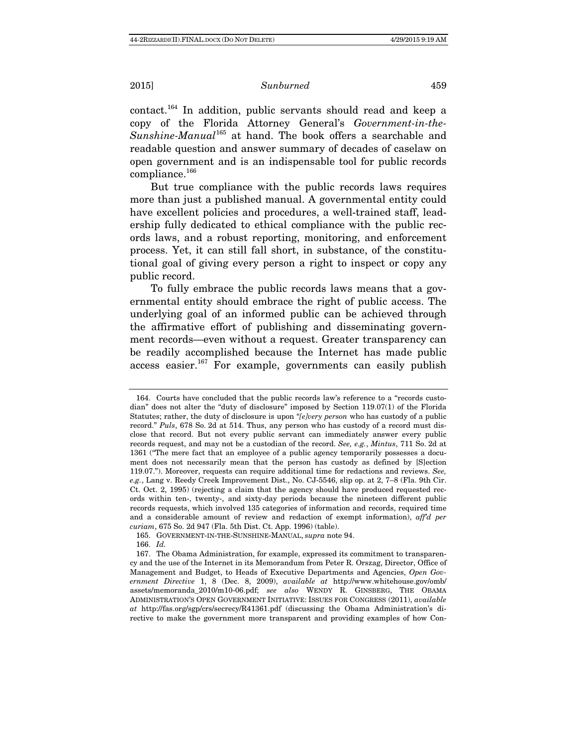contact.164 In addition, public servants should read and keep a copy of the Florida Attorney General's Government-in-the-Sunshine-Manual<sup>165</sup> at hand. The book offers a searchable and readable question and answer summary of decades of caselaw on open government and is an indispensable tool for public records compliance.166

But true compliance with the public records laws requires more than just a published manual. A governmental entity could have excellent policies and procedures, a well-trained staff, leadership fully dedicated to ethical compliance with the public records laws, and a robust reporting, monitoring, and enforcement process. Yet, it can still fall short, in substance, of the constitutional goal of giving every person a right to inspect or copy any public record.

To fully embrace the public records laws means that a governmental entity should embrace the right of public access. The underlying goal of an informed public can be achieved through the affirmative effort of publishing and disseminating government records—even without a request. Greater transparency can be readily accomplished because the Internet has made public access easier.<sup>167</sup> For example, governments can easily publish

 <sup>164.</sup> Courts have concluded that the public records law's reference to a "records custodian" does not alter the "duty of disclosure" imposed by Section 119.07(1) of the Florida Statutes; rather, the duty of disclosure is upon "[e]very person who has custody of a public record." Puls, 678 So. 2d at 514. Thus, any person who has custody of a record must disclose that record. But not every public servant can immediately answer every public records request, and may not be a custodian of the record. See, e.g., Mintus, 711 So. 2d at 1361 ("The mere fact that an employee of a public agency temporarily possesses a document does not necessarily mean that the person has custody as defined by [S]ection 119.07."). Moreover, requests can require additional time for redactions and reviews. See, e.g., Lang v. Reedy Creek Improvement Dist., No. CJ-5546, slip op. at 2, 7–8 (Fla. 9th Cir. Ct. Oct. 2, 1995) (rejecting a claim that the agency should have produced requested records within ten-, twenty-, and sixty-day periods because the nineteen different public records requests, which involved 135 categories of information and records, required time and a considerable amount of review and redaction of exempt information), aff'd per curiam, 675 So. 2d 947 (Fla. 5th Dist. Ct. App. 1996) (table).

 <sup>165.</sup> GOVERNMENT-IN-THE-SUNSHINE-MANUAL, supra note 94.

 <sup>166.</sup> Id.

 <sup>167.</sup> The Obama Administration, for example, expressed its commitment to transparency and the use of the Internet in its Memorandum from Peter R. Orszag, Director, Office of Management and Budget, to Heads of Executive Departments and Agencies, Open Government Directive 1, 8 (Dec. 8, 2009), available at http://www.whitehouse.gov/omb/ assets/memoranda\_2010/m10-06.pdf; see also WENDY R. GINSBERG, THE OBAMA ADMINISTRATION'S OPEN GOVERNMENT INITIATIVE: ISSUES FOR CONGRESS (2011), available at http://fas.org/sgp/crs/secrecy/R41361.pdf (discussing the Obama Administration's directive to make the government more transparent and providing examples of how Con-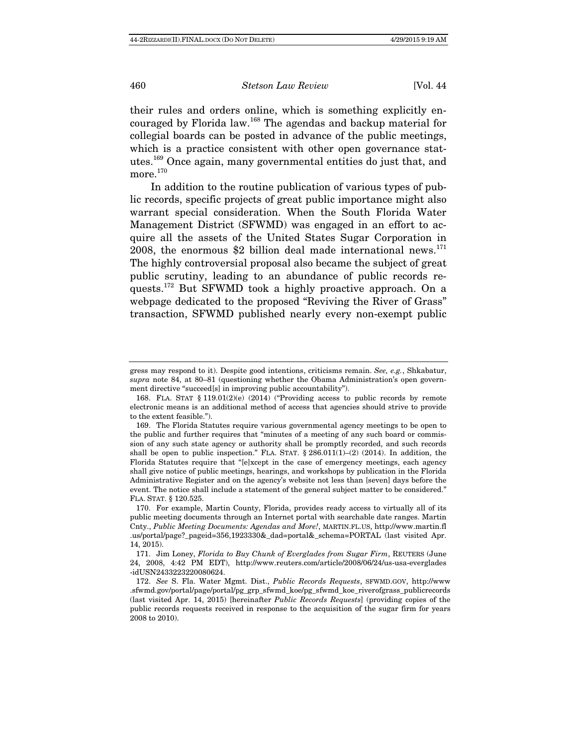their rules and orders online, which is something explicitly encouraged by Florida law.168 The agendas and backup material for collegial boards can be posted in advance of the public meetings, which is a practice consistent with other open governance statutes.169 Once again, many governmental entities do just that, and more.<sup>170</sup>

In addition to the routine publication of various types of public records, specific projects of great public importance might also warrant special consideration. When the South Florida Water Management District (SFWMD) was engaged in an effort to acquire all the assets of the United States Sugar Corporation in 2008, the enormous \$2 billion deal made international news. $^{171}$ The highly controversial proposal also became the subject of great public scrutiny, leading to an abundance of public records requests.172 But SFWMD took a highly proactive approach. On a webpage dedicated to the proposed "Reviving the River of Grass" transaction, SFWMD published nearly every non-exempt public

gress may respond to it). Despite good intentions, criticisms remain. See, e.g., Shkabatur, supra note 84, at 80–81 (questioning whether the Obama Administration's open government directive "succeed[s] in improving public accountability").

 <sup>168.</sup> FLA. STAT § 119.01(2)(e) (2014) ("Providing access to public records by remote electronic means is an additional method of access that agencies should strive to provide to the extent feasible.").

 <sup>169.</sup> The Florida Statutes require various governmental agency meetings to be open to the public and further requires that "minutes of a meeting of any such board or commission of any such state agency or authority shall be promptly recorded, and such records shall be open to public inspection." FLA. STAT.  $\S 286.011(1)–(2)$  (2014). In addition, the Florida Statutes require that "[e]xcept in the case of emergency meetings, each agency shall give notice of public meetings, hearings, and workshops by publication in the Florida Administrative Register and on the agency's website not less than [seven] days before the event. The notice shall include a statement of the general subject matter to be considered." FLA. STAT. § 120.525.

 <sup>170.</sup> For example, Martin County, Florida, provides ready access to virtually all of its public meeting documents through an Internet portal with searchable date ranges. Martin Cnty., Public Meeting Documents: Agendas and More!, MARTIN.FL.US, http://www.martin.fl .us/portal/page?\_pageid=356,1923330&\_dad=portal&\_schema=PORTAL (last visited Apr. 14, 2015).

 <sup>171.</sup> Jim Loney, Florida to Buy Chunk of Everglades from Sugar Firm, REUTERS (June 24, 2008, 4:42 PM EDT), http://www.reuters.com/article/2008/06/24/us-usa-everglades -idUSN2433223220080624.

 <sup>172.</sup> See S. Fla. Water Mgmt. Dist., Public Records Requests, SFWMD.GOV, http://www .sfwmd.gov/portal/page/portal/pg\_grp\_sfwmd\_koe/pg\_sfwmd\_koe\_riverofgrass\_publicrecords (last visited Apr. 14, 2015) [hereinafter Public Records Requests] (providing copies of the public records requests received in response to the acquisition of the sugar firm for years 2008 to 2010).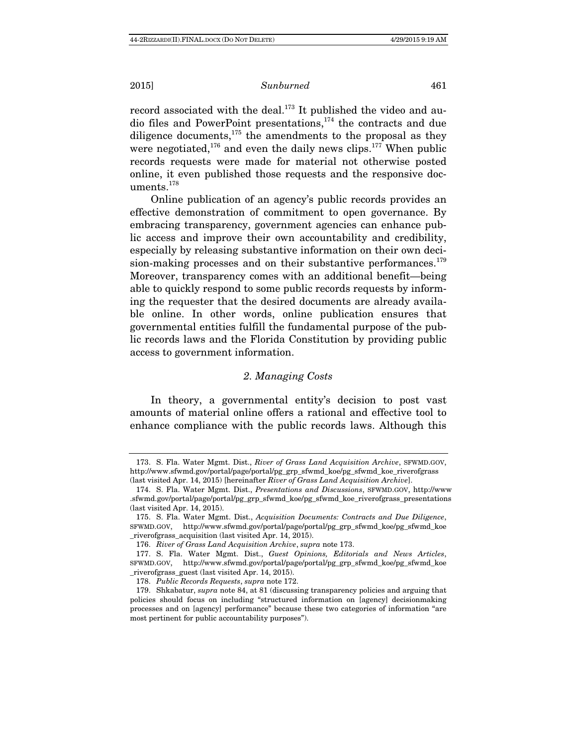record associated with the deal.<sup>173</sup> It published the video and audio files and PowerPoint presentations,174 the contracts and due diligence documents,175 the amendments to the proposal as they were negotiated,<sup>176</sup> and even the daily news clips.<sup>177</sup> When public records requests were made for material not otherwise posted online, it even published those requests and the responsive documents.<sup>178</sup>

Online publication of an agency's public records provides an effective demonstration of commitment to open governance. By embracing transparency, government agencies can enhance public access and improve their own accountability and credibility, especially by releasing substantive information on their own decision-making processes and on their substantive performances.<sup>179</sup> Moreover, transparency comes with an additional benefit—being able to quickly respond to some public records requests by informing the requester that the desired documents are already available online. In other words, online publication ensures that governmental entities fulfill the fundamental purpose of the public records laws and the Florida Constitution by providing public access to government information.

# 2. Managing Costs

In theory, a governmental entity's decision to post vast amounts of material online offers a rational and effective tool to enhance compliance with the public records laws. Although this

 <sup>173.</sup> S. Fla. Water Mgmt. Dist., River of Grass Land Acquisition Archive, SFWMD.GOV, http://www.sfwmd.gov/portal/page/portal/pg\_grp\_sfwmd\_koe/pg\_sfwmd\_koe\_riverofgrass (last visited Apr. 14, 2015) [hereinafter River of Grass Land Acquisition Archive].

 <sup>174.</sup> S. Fla. Water Mgmt. Dist., Presentations and Discussions, SFWMD.GOV, http://www .sfwmd.gov/portal/page/portal/pg\_grp\_sfwmd\_koe/pg\_sfwmd\_koe\_riverofgrass\_presentations (last visited Apr. 14, 2015).

 <sup>175.</sup> S. Fla. Water Mgmt. Dist., Acquisition Documents: Contracts and Due Diligence, SFWMD.GOV, http://www.sfwmd.gov/portal/page/portal/pg\_grp\_sfwmd\_koe/pg\_sfwmd\_koe \_riverofgrass\_acquisition (last visited Apr. 14, 2015).

 <sup>176.</sup> River of Grass Land Acquisition Archive, supra note 173.

 <sup>177.</sup> S. Fla. Water Mgmt. Dist., Guest Opinions, Editorials and News Articles, SFWMD.GOV, http://www.sfwmd.gov/portal/page/portal/pg\_grp\_sfwmd\_koe/pg\_sfwmd\_koe \_riverofgrass\_guest (last visited Apr. 14, 2015).

 <sup>178.</sup> Public Records Requests, supra note 172.

 <sup>179.</sup> Shkabatur, supra note 84, at 81 (discussing transparency policies and arguing that policies should focus on including "structured information on [agency] decisionmaking processes and on [agency] performance" because these two categories of information "are most pertinent for public accountability purposes").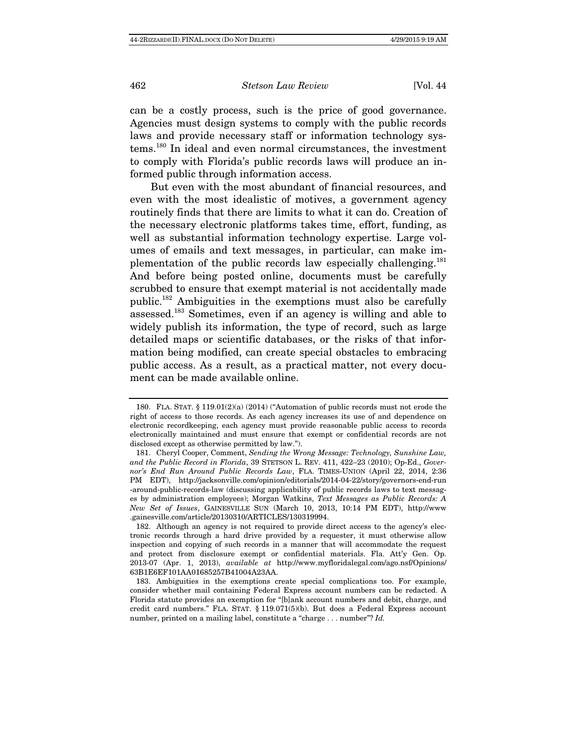can be a costly process, such is the price of good governance. Agencies must design systems to comply with the public records laws and provide necessary staff or information technology systems.180 In ideal and even normal circumstances, the investment to comply with Florida's public records laws will produce an informed public through information access.

But even with the most abundant of financial resources, and even with the most idealistic of motives, a government agency routinely finds that there are limits to what it can do. Creation of the necessary electronic platforms takes time, effort, funding, as well as substantial information technology expertise. Large volumes of emails and text messages, in particular, can make implementation of the public records law especially challenging.<sup>181</sup> And before being posted online, documents must be carefully scrubbed to ensure that exempt material is not accidentally made public.182 Ambiguities in the exemptions must also be carefully assessed.183 Sometimes, even if an agency is willing and able to widely publish its information, the type of record, such as large detailed maps or scientific databases, or the risks of that information being modified, can create special obstacles to embracing public access. As a result, as a practical matter, not every document can be made available online.

 <sup>180.</sup> FLA. STAT. § 119.01(2)(a) (2014) ("Automation of public records must not erode the right of access to those records. As each agency increases its use of and dependence on electronic recordkeeping, each agency must provide reasonable public access to records electronically maintained and must ensure that exempt or confidential records are not disclosed except as otherwise permitted by law.").

 <sup>181.</sup> Cheryl Cooper, Comment, Sending the Wrong Message: Technology, Sunshine Law, and the Public Record in Florida, 39 STETSON L. REV. 411, 422–23 (2010); Op-Ed., Governor's End Run Around Public Records Law, FLA. TIMES-UNION (April 22, 2014, 2:36 PM EDT), http://jacksonville.com/opinion/editorials/2014-04-22/story/governors-end-run -around-public-records-law (discussing applicability of public records laws to text messages by administration employees); Morgan Watkins, Text Messages as Public Records: A New Set of Issues, GAINESVILLE SUN (March 10, 2013, 10:14 PM EDT), http://www .gainesville.com/article/20130310/ARTICLES/130319994.

 <sup>182.</sup> Although an agency is not required to provide direct access to the agency's electronic records through a hard drive provided by a requester, it must otherwise allow inspection and copying of such records in a manner that will accommodate the request and protect from disclosure exempt or confidential materials. Fla. Att'y Gen. Op. 2013-07 (Apr. 1, 2013), available at http://www.myfloridalegal.com/ago.nsf/Opinions/ 63B1E6EF101AA01685257B41004A23AA.

 <sup>183.</sup> Ambiguities in the exemptions create special complications too. For example, consider whether mail containing Federal Express account numbers can be redacted. A Florida statute provides an exemption for "[b]ank account numbers and debit, charge, and credit card numbers." FLA. STAT. § 119.071(5)(b). But does a Federal Express account number, printed on a mailing label, constitute a "charge . . . number"? Id.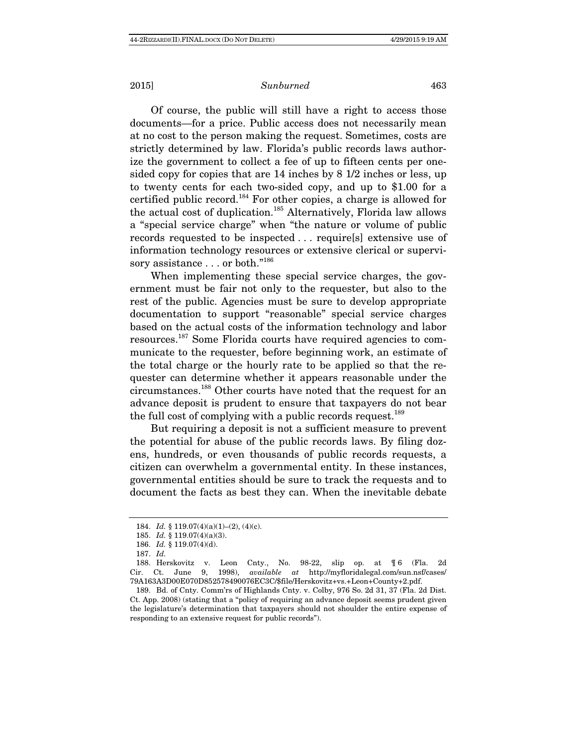Of course, the public will still have a right to access those documents—for a price. Public access does not necessarily mean at no cost to the person making the request. Sometimes, costs are strictly determined by law. Florida's public records laws authorize the government to collect a fee of up to fifteen cents per onesided copy for copies that are 14 inches by 8 1/2 inches or less, up to twenty cents for each two-sided copy, and up to \$1.00 for a certified public record.184 For other copies, a charge is allowed for the actual cost of duplication.<sup>185</sup> Alternatively, Florida law allows a "special service charge" when "the nature or volume of public records requested to be inspected . . . require[s] extensive use of information technology resources or extensive clerical or supervisory assistance . . . or both."<sup>186</sup>

When implementing these special service charges, the government must be fair not only to the requester, but also to the rest of the public. Agencies must be sure to develop appropriate documentation to support "reasonable" special service charges based on the actual costs of the information technology and labor resources.187 Some Florida courts have required agencies to communicate to the requester, before beginning work, an estimate of the total charge or the hourly rate to be applied so that the requester can determine whether it appears reasonable under the circumstances.188 Other courts have noted that the request for an advance deposit is prudent to ensure that taxpayers do not bear the full cost of complying with a public records request.<sup>189</sup>

But requiring a deposit is not a sufficient measure to prevent the potential for abuse of the public records laws. By filing dozens, hundreds, or even thousands of public records requests, a citizen can overwhelm a governmental entity. In these instances, governmental entities should be sure to track the requests and to document the facts as best they can. When the inevitable debate

<sup>184.</sup> *Id.* § 119.07(4)(a)(1)–(2), (4)(c).

 <sup>185.</sup> Id. § 119.07(4)(a)(3).

 <sup>186.</sup> Id. § 119.07(4)(d).

<sup>187.</sup> Id.

 <sup>188.</sup> Herskovitz v. Leon Cnty., No. 98-22, slip op. at ¶ 6 (Fla. 2d Cir. Ct. June 9, 1998), available at http://myfloridalegal.com/sun.nsf/cases/ 79A163A3D00E070D852578490076EC3C/\$file/Herskovitz+vs.+Leon+County+2.pdf.

 <sup>189.</sup> Bd. of Cnty. Comm'rs of Highlands Cnty. v. Colby, 976 So. 2d 31, 37 (Fla. 2d Dist. Ct. App. 2008) (stating that a "policy of requiring an advance deposit seems prudent given the legislature's determination that taxpayers should not shoulder the entire expense of responding to an extensive request for public records").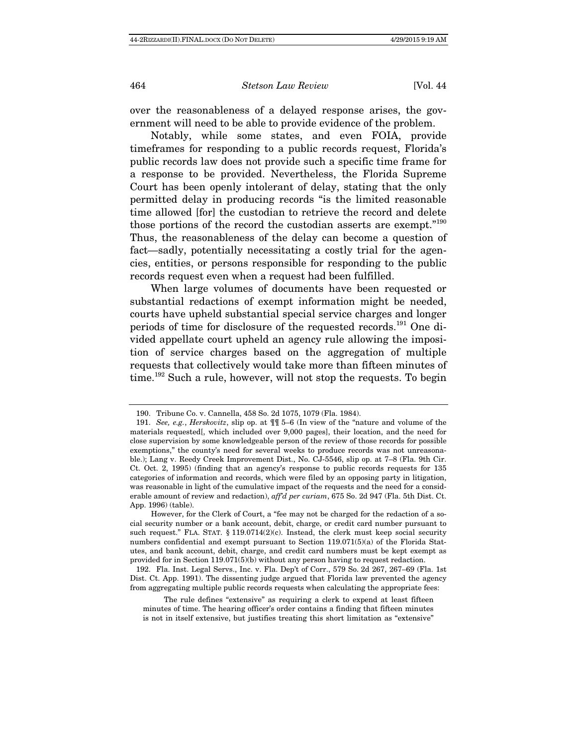over the reasonableness of a delayed response arises, the government will need to be able to provide evidence of the problem.

Notably, while some states, and even FOIA, provide timeframes for responding to a public records request, Florida's public records law does not provide such a specific time frame for a response to be provided. Nevertheless, the Florida Supreme Court has been openly intolerant of delay, stating that the only permitted delay in producing records "is the limited reasonable time allowed [for] the custodian to retrieve the record and delete those portions of the record the custodian asserts are exempt."<sup>190</sup> Thus, the reasonableness of the delay can become a question of fact—sadly, potentially necessitating a costly trial for the agencies, entities, or persons responsible for responding to the public records request even when a request had been fulfilled.

When large volumes of documents have been requested or substantial redactions of exempt information might be needed, courts have upheld substantial special service charges and longer periods of time for disclosure of the requested records.<sup>191</sup> One divided appellate court upheld an agency rule allowing the imposition of service charges based on the aggregation of multiple requests that collectively would take more than fifteen minutes of time.<sup>192</sup> Such a rule, however, will not stop the requests. To begin

 <sup>190.</sup> Tribune Co. v. Cannella, 458 So. 2d 1075, 1079 (Fla. 1984).

 <sup>191.</sup> See, e.g., Herskovitz, slip op. at ¶¶ 5–6 (In view of the "nature and volume of the materials requested[, which included over 9,000 pages], their location, and the need for close supervision by some knowledgeable person of the review of those records for possible exemptions," the county's need for several weeks to produce records was not unreasonable.); Lang v. Reedy Creek Improvement Dist., No. CJ-5546, slip op. at 7–8 (Fla. 9th Cir. Ct. Oct. 2, 1995) (finding that an agency's response to public records requests for 135 categories of information and records, which were filed by an opposing party in litigation, was reasonable in light of the cumulative impact of the requests and the need for a considerable amount of review and redaction), aff'd per curiam, 675 So. 2d 947 (Fla. 5th Dist. Ct. App. 1996) (table).

However, for the Clerk of Court, a "fee may not be charged for the redaction of a social security number or a bank account, debit, charge, or credit card number pursuant to such request." FLA. STAT. § 119.0714(2)(c). Instead, the clerk must keep social security numbers confidential and exempt pursuant to Section 119.071(5)(a) of the Florida Statutes, and bank account, debit, charge, and credit card numbers must be kept exempt as provided for in Section 119.071(5)(b) without any person having to request redaction.

 <sup>192.</sup> Fla. Inst. Legal Servs., Inc. v. Fla. Dep't of Corr., 579 So. 2d 267, 267–69 (Fla. 1st Dist. Ct. App. 1991). The dissenting judge argued that Florida law prevented the agency from aggregating multiple public records requests when calculating the appropriate fees:

The rule defines "extensive" as requiring a clerk to expend at least fifteen minutes of time. The hearing officer's order contains a finding that fifteen minutes is not in itself extensive, but justifies treating this short limitation as "extensive"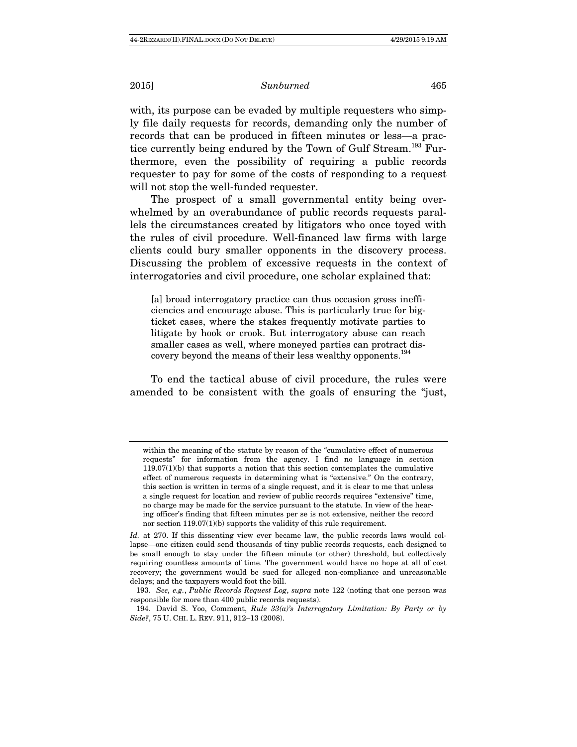with, its purpose can be evaded by multiple requesters who simply file daily requests for records, demanding only the number of records that can be produced in fifteen minutes or less—a practice currently being endured by the Town of Gulf Stream.<sup>193</sup> Furthermore, even the possibility of requiring a public records requester to pay for some of the costs of responding to a request will not stop the well-funded requester.

The prospect of a small governmental entity being overwhelmed by an overabundance of public records requests parallels the circumstances created by litigators who once toyed with the rules of civil procedure. Well-financed law firms with large clients could bury smaller opponents in the discovery process. Discussing the problem of excessive requests in the context of interrogatories and civil procedure, one scholar explained that:

[a] broad interrogatory practice can thus occasion gross inefficiencies and encourage abuse. This is particularly true for bigticket cases, where the stakes frequently motivate parties to litigate by hook or crook. But interrogatory abuse can reach smaller cases as well, where moneyed parties can protract discovery beyond the means of their less wealthy opponents.<sup>194</sup>

To end the tactical abuse of civil procedure, the rules were amended to be consistent with the goals of ensuring the "just,

within the meaning of the statute by reason of the "cumulative effect of numerous requests" for information from the agency. I find no language in section  $119.07(1)(b)$  that supports a notion that this section contemplates the cumulative effect of numerous requests in determining what is "extensive." On the contrary, this section is written in terms of a single request, and it is clear to me that unless a single request for location and review of public records requires "extensive" time, no charge may be made for the service pursuant to the statute. In view of the hearing officer's finding that fifteen minutes per se is not extensive, neither the record nor section 119.07(1)(b) supports the validity of this rule requirement.

Id. at 270. If this dissenting view ever became law, the public records laws would collapse—one citizen could send thousands of tiny public records requests, each designed to be small enough to stay under the fifteen minute (or other) threshold, but collectively requiring countless amounts of time. The government would have no hope at all of cost recovery; the government would be sued for alleged non-compliance and unreasonable delays; and the taxpayers would foot the bill.

 <sup>193.</sup> See, e.g., Public Records Request Log, supra note 122 (noting that one person was responsible for more than 400 public records requests).

<sup>194.</sup> David S. Yoo, Comment, Rule  $33(a)$ 's Interrogatory Limitation: By Party or by Side?, 75 U. CHI. L. REV. 911, 912–13 (2008).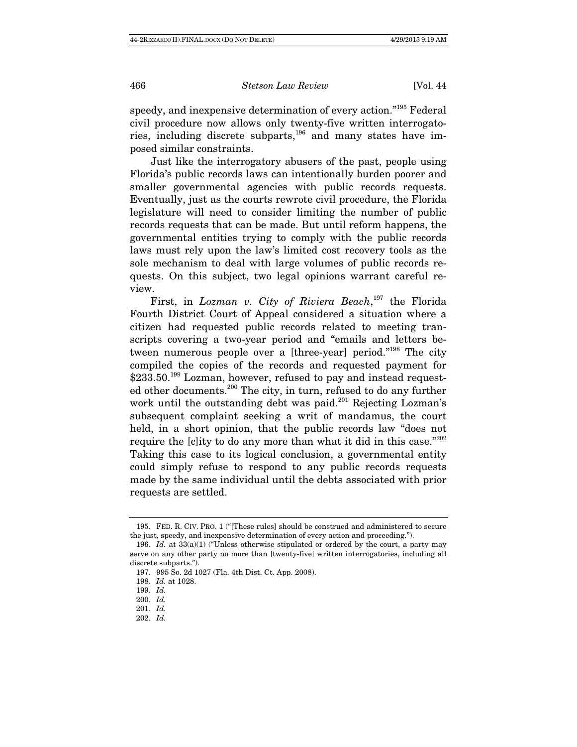speedy, and inexpensive determination of every action."195 Federal civil procedure now allows only twenty-five written interrogatories, including discrete subparts, $196$  and many states have imposed similar constraints.

Just like the interrogatory abusers of the past, people using Florida's public records laws can intentionally burden poorer and smaller governmental agencies with public records requests. Eventually, just as the courts rewrote civil procedure, the Florida legislature will need to consider limiting the number of public records requests that can be made. But until reform happens, the governmental entities trying to comply with the public records laws must rely upon the law's limited cost recovery tools as the sole mechanism to deal with large volumes of public records requests. On this subject, two legal opinions warrant careful review.

First, in Lozman v. City of Riviera Beach,<sup>197</sup> the Florida Fourth District Court of Appeal considered a situation where a citizen had requested public records related to meeting transcripts covering a two-year period and "emails and letters between numerous people over a [three-year] period."<sup>198</sup> The city compiled the copies of the records and requested payment for  $$233.50<sup>199</sup>$  Lozman, however, refused to pay and instead requested other documents.200 The city, in turn, refused to do any further work until the outstanding debt was paid.<sup>201</sup> Rejecting Lozman's subsequent complaint seeking a writ of mandamus, the court held, in a short opinion, that the public records law "does not require the [c]ity to do any more than what it did in this case."<sup>202</sup> Taking this case to its logical conclusion, a governmental entity could simply refuse to respond to any public records requests made by the same individual until the debts associated with prior requests are settled.

 <sup>195.</sup> FED. R. CIV. PRO. 1 ("[These rules] should be construed and administered to secure the just, speedy, and inexpensive determination of every action and proceeding.").

<sup>196.</sup> Id. at  $33(a)(1)$  ("Unless otherwise stipulated or ordered by the court, a party may serve on any other party no more than [twenty-five] written interrogatories, including all discrete subparts.").

 <sup>197. 995</sup> So. 2d 1027 (Fla. 4th Dist. Ct. App. 2008).

 <sup>198.</sup> Id. at 1028.

 <sup>199.</sup> Id.

 <sup>200.</sup> Id.

 <sup>201.</sup> Id.

 <sup>202.</sup> Id.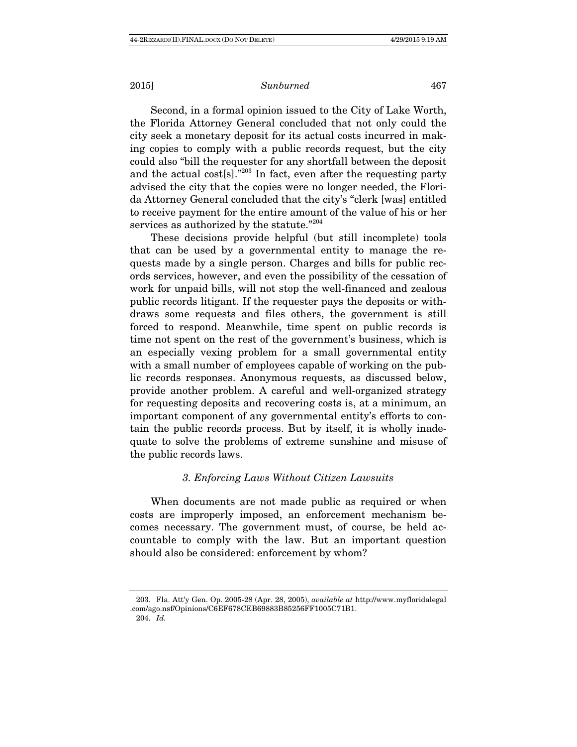Second, in a formal opinion issued to the City of Lake Worth, the Florida Attorney General concluded that not only could the city seek a monetary deposit for its actual costs incurred in making copies to comply with a public records request, but the city could also "bill the requester for any shortfall between the deposit and the actual cost  $[s]$ ."<sup>203</sup> In fact, even after the requesting party advised the city that the copies were no longer needed, the Florida Attorney General concluded that the city's "clerk [was] entitled to receive payment for the entire amount of the value of his or her services as authorized by the statute."<sup>204</sup>

These decisions provide helpful (but still incomplete) tools that can be used by a governmental entity to manage the requests made by a single person. Charges and bills for public records services, however, and even the possibility of the cessation of work for unpaid bills, will not stop the well-financed and zealous public records litigant. If the requester pays the deposits or withdraws some requests and files others, the government is still forced to respond. Meanwhile, time spent on public records is time not spent on the rest of the government's business, which is an especially vexing problem for a small governmental entity with a small number of employees capable of working on the public records responses. Anonymous requests, as discussed below, provide another problem. A careful and well-organized strategy for requesting deposits and recovering costs is, at a minimum, an important component of any governmental entity's efforts to contain the public records process. But by itself, it is wholly inadequate to solve the problems of extreme sunshine and misuse of the public records laws.

# 3. Enforcing Laws Without Citizen Lawsuits

When documents are not made public as required or when costs are improperly imposed, an enforcement mechanism becomes necessary. The government must, of course, be held accountable to comply with the law. But an important question should also be considered: enforcement by whom?

 <sup>203.</sup> Fla. Att'y Gen. Op. 2005-28 (Apr. 28, 2005), available at http://www.myfloridalegal .com/ago.nsf/Opinions/C6EF678CEB69883B85256FF1005C71B1. 204. Id.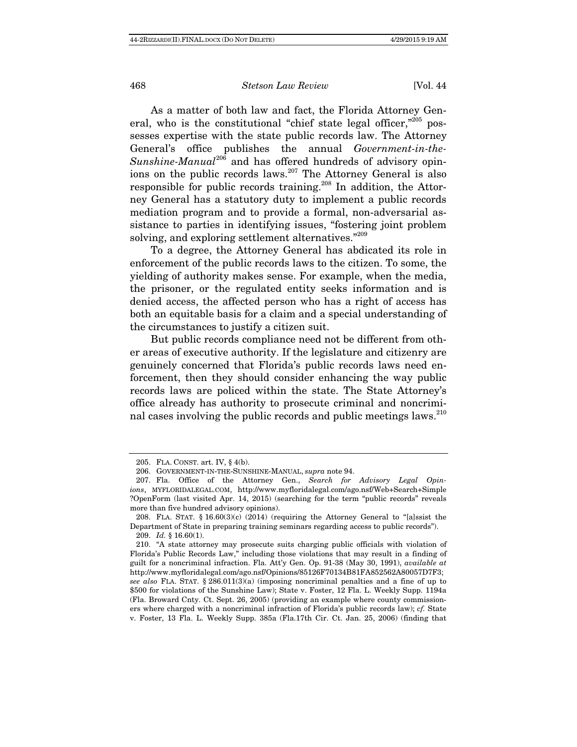As a matter of both law and fact, the Florida Attorney General, who is the constitutional "chief state legal officer,"<sup>205</sup> possesses expertise with the state public records law. The Attorney General's office publishes the annual Government-in-the-Sunshine-Manual<sup>206</sup> and has offered hundreds of advisory opinions on the public records laws.207 The Attorney General is also responsible for public records training.<sup>208</sup> In addition, the Attorney General has a statutory duty to implement a public records mediation program and to provide a formal, non-adversarial assistance to parties in identifying issues, "fostering joint problem solving, and exploring settlement alternatives."<sup>209</sup>

To a degree, the Attorney General has abdicated its role in enforcement of the public records laws to the citizen. To some, the yielding of authority makes sense. For example, when the media, the prisoner, or the regulated entity seeks information and is denied access, the affected person who has a right of access has both an equitable basis for a claim and a special understanding of the circumstances to justify a citizen suit.

But public records compliance need not be different from other areas of executive authority. If the legislature and citizenry are genuinely concerned that Florida's public records laws need enforcement, then they should consider enhancing the way public records laws are policed within the state. The State Attorney's office already has authority to prosecute criminal and noncriminal cases involving the public records and public meetings laws.<sup>210</sup>

 <sup>205.</sup> FLA. CONST. art. IV, § 4(b).

 <sup>206.</sup> GOVERNMENT-IN-THE-SUNSHINE-MANUAL, supra note 94.

 <sup>207.</sup> Fla. Office of the Attorney Gen., Search for Advisory Legal Opinions, MYFLORIDALEGAL.COM, http://www.myfloridalegal.com/ago.nsf/Web+Search+Simple ?OpenForm (last visited Apr. 14, 2015) (searching for the term "public records" reveals more than five hundred advisory opinions).

 <sup>208.</sup> FLA. STAT. § 16.60(3)(c) (2014) (requiring the Attorney General to "[a]ssist the Department of State in preparing training seminars regarding access to public records"). 209. Id. § 16.60(1).

 <sup>210. &</sup>quot;A state attorney may prosecute suits charging public officials with violation of Florida's Public Records Law," including those violations that may result in a finding of guilt for a noncriminal infraction. Fla. Att'y Gen. Op. 91-38 (May 30, 1991), available at http://www.myfloridalegal.com/ago.nsf/Opinions/85126F70134B81FA852562A80057D7F3; see also FLA. STAT. § 286.011(3)(a) (imposing noncriminal penalties and a fine of up to \$500 for violations of the Sunshine Law); State v. Foster, 12 Fla. L. Weekly Supp. 1194a (Fla. Broward Cnty. Ct. Sept. 26, 2005) (providing an example where county commissioners where charged with a noncriminal infraction of Florida's public records law); cf. State v. Foster, 13 Fla. L. Weekly Supp. 385a (Fla.17th Cir. Ct. Jan. 25, 2006) (finding that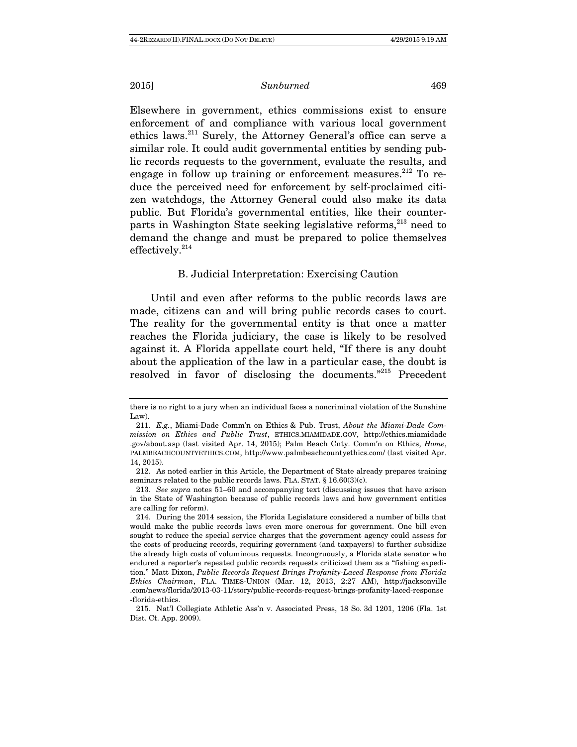Elsewhere in government, ethics commissions exist to ensure enforcement of and compliance with various local government ethics laws.211 Surely, the Attorney General's office can serve a similar role. It could audit governmental entities by sending public records requests to the government, evaluate the results, and engage in follow up training or enforcement measures.<sup>212</sup> To reduce the perceived need for enforcement by self-proclaimed citizen watchdogs, the Attorney General could also make its data public. But Florida's governmental entities, like their counterparts in Washington State seeking legislative reforms,<sup>213</sup> need to demand the change and must be prepared to police themselves effectively.<sup>214</sup>

# B. Judicial Interpretation: Exercising Caution

Until and even after reforms to the public records laws are made, citizens can and will bring public records cases to court. The reality for the governmental entity is that once a matter reaches the Florida judiciary, the case is likely to be resolved against it. A Florida appellate court held, "If there is any doubt about the application of the law in a particular case, the doubt is resolved in favor of disclosing the documents."215 Precedent

there is no right to a jury when an individual faces a noncriminal violation of the Sunshine Law).

 <sup>211.</sup> E.g., Miami-Dade Comm'n on Ethics & Pub. Trust, About the Miami-Dade Commission on Ethics and Public Trust, ETHICS.MIAMIDADE.GOV, http://ethics.miamidade .gov/about.asp (last visited Apr. 14, 2015); Palm Beach Cnty. Comm'n on Ethics, Home, PALMBEACHCOUNTYETHICS.COM, http://www.palmbeachcountyethics.com/ (last visited Apr. 14, 2015).

 <sup>212.</sup> As noted earlier in this Article, the Department of State already prepares training seminars related to the public records laws. FLA. STAT. § 16.60(3)(c).

 <sup>213.</sup> See supra notes 51–60 and accompanying text (discussing issues that have arisen in the State of Washington because of public records laws and how government entities are calling for reform).

 <sup>214.</sup> During the 2014 session, the Florida Legislature considered a number of bills that would make the public records laws even more onerous for government. One bill even sought to reduce the special service charges that the government agency could assess for the costs of producing records, requiring government (and taxpayers) to further subsidize the already high costs of voluminous requests. Incongruously, a Florida state senator who endured a reporter's repeated public records requests criticized them as a "fishing expedition." Matt Dixon, Public Records Request Brings Profanity-Laced Response from Florida Ethics Chairman, FLA. TIMES-UNION (Mar. 12, 2013, 2:27 AM), http://jacksonville .com/news/florida/2013-03-11/story/public-records-request-brings-profanity-laced-response -florida-ethics.

 <sup>215.</sup> Nat'l Collegiate Athletic Ass'n v. Associated Press, 18 So. 3d 1201, 1206 (Fla. 1st Dist. Ct. App. 2009).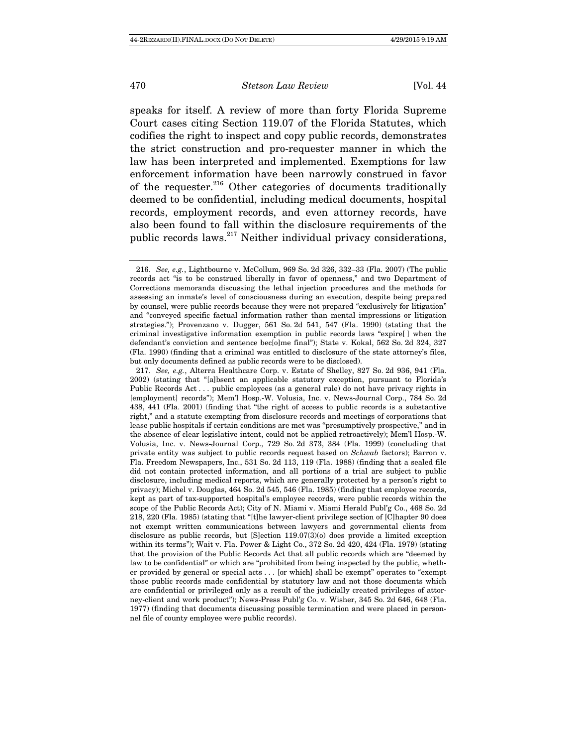speaks for itself. A review of more than forty Florida Supreme Court cases citing Section 119.07 of the Florida Statutes, which codifies the right to inspect and copy public records, demonstrates the strict construction and pro-requester manner in which the law has been interpreted and implemented. Exemptions for law enforcement information have been narrowly construed in favor of the requester.<sup>216</sup> Other categories of documents traditionally deemed to be confidential, including medical documents, hospital records, employment records, and even attorney records, have also been found to fall within the disclosure requirements of the public records laws.<sup>217</sup> Neither individual privacy considerations,

 <sup>216.</sup> See, e.g., Lightbourne v. McCollum, 969 So. 2d 326, 332–33 (Fla. 2007) (The public records act "is to be construed liberally in favor of openness," and two Department of Corrections memoranda discussing the lethal injection procedures and the methods for assessing an inmate's level of consciousness during an execution, despite being prepared by counsel, were public records because they were not prepared "exclusively for litigation" and "conveyed specific factual information rather than mental impressions or litigation strategies."); Provenzano v. Dugger, 561 So. 2d 541, 547 (Fla. 1990) (stating that the criminal investigative information exemption in public records laws "expire[ ] when the defendant's conviction and sentence bec[o]me final"); State v. Kokal, 562 So. 2d 324, 327 (Fla. 1990) (finding that a criminal was entitled to disclosure of the state attorney's files, but only documents defined as public records were to be disclosed).

 <sup>217.</sup> See, e.g., Alterra Healthcare Corp. v. Estate of Shelley, 827 So. 2d 936, 941 (Fla. 2002) (stating that "[a]bsent an applicable statutory exception, pursuant to Florida's Public Records Act . . . public employees (as a general rule) do not have privacy rights in [employment] records"); Mem'l Hosp.-W. Volusia, Inc. v. News-Journal Corp., 784 So. 2d 438, 441 (Fla. 2001) (finding that "the right of access to public records is a substantive right," and a statute exempting from disclosure records and meetings of corporations that lease public hospitals if certain conditions are met was "presumptively prospective," and in the absence of clear legislative intent, could not be applied retroactively); Mem'l Hosp.-W. Volusia, Inc. v. News-Journal Corp., 729 So. 2d 373, 384 (Fla. 1999) (concluding that private entity was subject to public records request based on Schwab factors); Barron v. Fla. Freedom Newspapers, Inc., 531 So. 2d 113, 119 (Fla. 1988) (finding that a sealed file did not contain protected information, and all portions of a trial are subject to public disclosure, including medical reports, which are generally protected by a person's right to privacy); Michel v. Douglas, 464 So. 2d 545, 546 (Fla. 1985) (finding that employee records, kept as part of tax-supported hospital's employee records, were public records within the scope of the Public Records Act); City of N. Miami v. Miami Herald Publ'g Co., 468 So. 2d 218, 220 (Fla. 1985) (stating that "[t]he lawyer-client privilege section of [C]hapter 90 does not exempt written communications between lawyers and governmental clients from disclosure as public records, but [S]ection 119.07(3)(o) does provide a limited exception within its terms"); Wait v. Fla. Power & Light Co., 372 So. 2d 420, 424 (Fla. 1979) (stating that the provision of the Public Records Act that all public records which are "deemed by law to be confidential" or which are "prohibited from being inspected by the public, whether provided by general or special acts . . . [or which] shall be exempt" operates to "exempt those public records made confidential by statutory law and not those documents which are confidential or privileged only as a result of the judicially created privileges of attorney-client and work product"); News-Press Publ'g Co. v. Wisher, 345 So. 2d 646, 648 (Fla. 1977) (finding that documents discussing possible termination and were placed in personnel file of county employee were public records).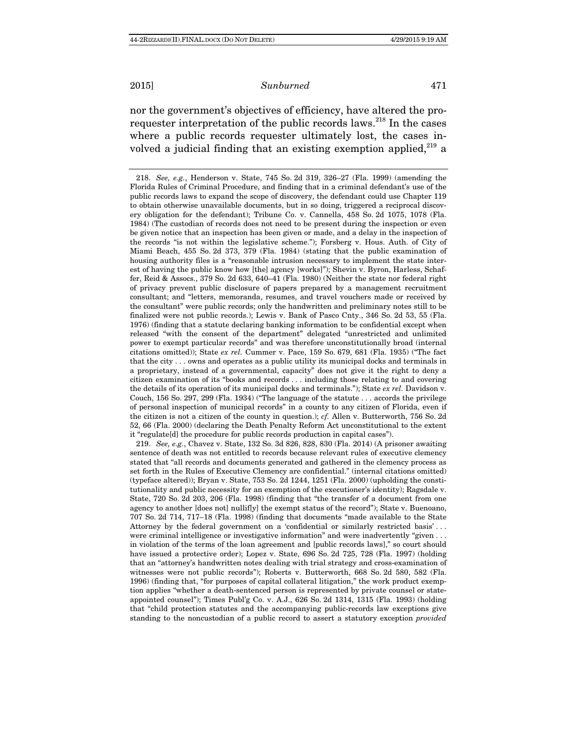nor the government's objectives of efficiency, have altered the prorequester interpretation of the public records laws.<sup>218</sup> In the cases where a public records requester ultimately lost, the cases involved a judicial finding that an existing exemption applied, $^{219}$  a

 219. See, e.g., Chavez v. State, 132 So. 3d 826, 828, 830 (Fla. 2014) (A prisoner awaiting sentence of death was not entitled to records because relevant rules of executive clemency stated that "all records and documents generated and gathered in the clemency process as set forth in the Rules of Executive Clemency are confidential." (internal citations omitted) (typeface altered)); Bryan v. State, 753 So. 2d 1244, 1251 (Fla. 2000) (upholding the constitutionality and public necessity for an exemption of the executioner's identity); Ragsdale v. State, 720 So. 2d 203, 206 (Fla. 1998) (finding that "the transfer of a document from one agency to another [does not] nullif[y] the exempt status of the record"); State v. Buenoano, 707 So. 2d 714, 717–18 (Fla. 1998) (finding that documents "made available to the State Attorney by the federal government on a 'confidential or similarly restricted basis' . . . were criminal intelligence or investigative information" and were inadvertently "given . . . in violation of the terms of the loan agreement and [public records laws]," so court should have issued a protective order); Lopez v. State, 696 So. 2d 725, 728 (Fla. 1997) (holding that an "attorney's handwritten notes dealing with trial strategy and cross-examination of witnesses were not public records"); Roberts v. Butterworth, 668 So. 2d 580, 582 (Fla. 1996) (finding that, "for purposes of capital collateral litigation," the work product exemption applies "whether a death-sentenced person is represented by private counsel or stateappointed counsel"); Times Publ'g Co. v. A.J., 626 So. 2d 1314, 1315 (Fla. 1993) (holding that "child protection statutes and the accompanying public-records law exceptions give standing to the noncustodian of a public record to assert a statutory exception provided

 <sup>218.</sup> See, e.g., Henderson v. State, 745 So. 2d 319, 326–27 (Fla. 1999) (amending the Florida Rules of Criminal Procedure, and finding that in a criminal defendant's use of the public records laws to expand the scope of discovery, the defendant could use Chapter 119 to obtain otherwise unavailable documents, but in so doing, triggered a reciprocal discovery obligation for the defendant); Tribune Co. v. Cannella, 458 So. 2d 1075, 1078 (Fla. 1984) (The custodian of records does not need to be present during the inspection or even be given notice that an inspection has been given or made, and a delay in the inspection of the records "is not within the legislative scheme."); Forsberg v. Hous. Auth. of City of Miami Beach, 455 So. 2d 373, 379 (Fla. 1984) (stating that the public examination of housing authority files is a "reasonable intrusion necessary to implement the state interest of having the public know how [the] agency [works]"); Shevin v. Byron, Harless, Schaffer, Reid & Assocs., 379 So. 2d 633, 640–41 (Fla. 1980) (Neither the state nor federal right of privacy prevent public disclosure of papers prepared by a management recruitment consultant; and "letters, memoranda, resumes, and travel vouchers made or received by the consultant" were public records; only the handwritten and preliminary notes still to be finalized were not public records.); Lewis v. Bank of Pasco Cnty., 346 So. 2d 53, 55 (Fla. 1976) (finding that a statute declaring banking information to be confidential except when released "with the consent of the department" delegated "unrestricted and unlimited power to exempt particular records" and was therefore unconstitutionally broad (internal citations omitted)); State ex rel. Cummer v. Pace, 159 So. 679, 681 (Fla. 1935) ("The fact that the city . . . owns and operates as a public utility its municipal docks and terminals in a proprietary, instead of a governmental, capacity" does not give it the right to deny a citizen examination of its "books and records . . . including those relating to and covering the details of its operation of its municipal docks and terminals."); State  $ex$  rel. Davidson v. Couch, 156 So. 297, 299 (Fla. 1934) ("The language of the statute . . . accords the privilege of personal inspection of municipal records" in a county to any citizen of Florida, even if the citizen is not a citizen of the county in question.); cf. Allen v. Butterworth, 756 So. 2d 52, 66 (Fla. 2000) (declaring the Death Penalty Reform Act unconstitutional to the extent it "regulate[d] the procedure for public records production in capital cases").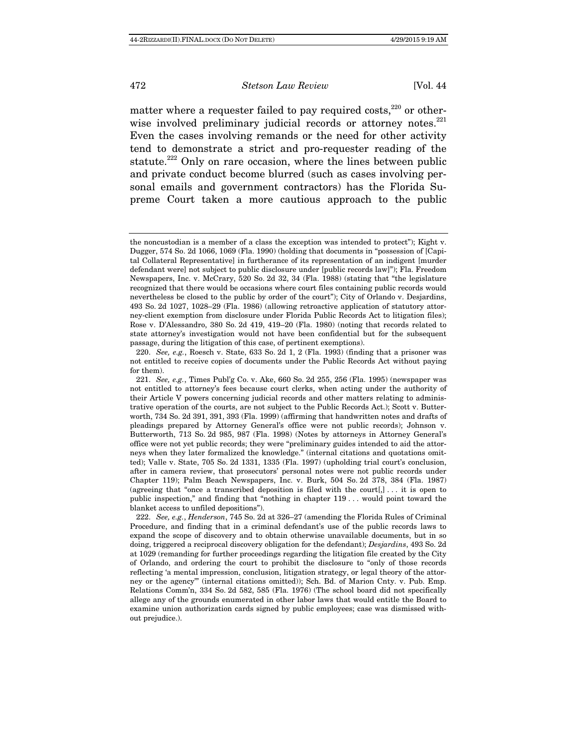matter where a requester failed to pay required costs,  $220$  or otherwise involved preliminary judicial records or attorney notes.<sup>221</sup> Even the cases involving remands or the need for other activity tend to demonstrate a strict and pro-requester reading of the statute.<sup>222</sup> Only on rare occasion, where the lines between public and private conduct become blurred (such as cases involving personal emails and government contractors) has the Florida Supreme Court taken a more cautious approach to the public

 220. See, e.g., Roesch v. State, 633 So. 2d 1, 2 (Fla. 1993) (finding that a prisoner was not entitled to receive copies of documents under the Public Records Act without paying for them).

 222. See, e.g., Henderson, 745 So. 2d at 326–27 (amending the Florida Rules of Criminal Procedure, and finding that in a criminal defendant's use of the public records laws to expand the scope of discovery and to obtain otherwise unavailable documents, but in so doing, triggered a reciprocal discovery obligation for the defendant); Desjardins, 493 So. 2d at 1029 (remanding for further proceedings regarding the litigation file created by the City of Orlando, and ordering the court to prohibit the disclosure to "only of those records reflecting 'a mental impression, conclusion, litigation strategy, or legal theory of the attorney or the agency'" (internal citations omitted)); Sch. Bd. of Marion Cnty. v. Pub. Emp. Relations Comm'n, 334 So. 2d 582, 585 (Fla. 1976) (The school board did not specifically allege any of the grounds enumerated in other labor laws that would entitle the Board to examine union authorization cards signed by public employees; case was dismissed without prejudice.).

the noncustodian is a member of a class the exception was intended to protect"); Kight v. Dugger, 574 So. 2d 1066, 1069 (Fla. 1990) (holding that documents in "possession of [Capital Collateral Representative] in furtherance of its representation of an indigent [murder defendant were] not subject to public disclosure under [public records law]"); Fla. Freedom Newspapers, Inc. v. McCrary, 520 So. 2d 32, 34 (Fla. 1988) (stating that "the legislature recognized that there would be occasions where court files containing public records would nevertheless be closed to the public by order of the court"); City of Orlando v. Desjardins, 493 So. 2d 1027, 1028–29 (Fla. 1986) (allowing retroactive application of statutory attorney-client exemption from disclosure under Florida Public Records Act to litigation files); Rose v. D'Alessandro, 380 So. 2d 419, 419–20 (Fla. 1980) (noting that records related to state attorney's investigation would not have been confidential but for the subsequent passage, during the litigation of this case, of pertinent exemptions).

 <sup>221.</sup> See, e.g., Times Publ'g Co. v. Ake, 660 So. 2d 255, 256 (Fla. 1995) (newspaper was not entitled to attorney's fees because court clerks, when acting under the authority of their Article V powers concerning judicial records and other matters relating to administrative operation of the courts, are not subject to the Public Records Act.); Scott v. Butterworth, 734 So. 2d 391, 391, 393 (Fla. 1999) (affirming that handwritten notes and drafts of pleadings prepared by Attorney General's office were not public records); Johnson v. Butterworth, 713 So. 2d 985, 987 (Fla. 1998) (Notes by attorneys in Attorney General's office were not yet public records; they were "preliminary guides intended to aid the attorneys when they later formalized the knowledge." (internal citations and quotations omitted); Valle v. State, 705 So. 2d 1331, 1335 (Fla. 1997) (upholding trial court's conclusion, after in camera review, that prosecutors' personal notes were not public records under Chapter 119); Palm Beach Newspapers, Inc. v. Burk, 504 So. 2d 378, 384 (Fla. 1987) (agreeing that "once a transcribed deposition is filed with the court[,]  $\ldots$  it is open to public inspection," and finding that "nothing in chapter 119 . . . would point toward the blanket access to unfiled depositions").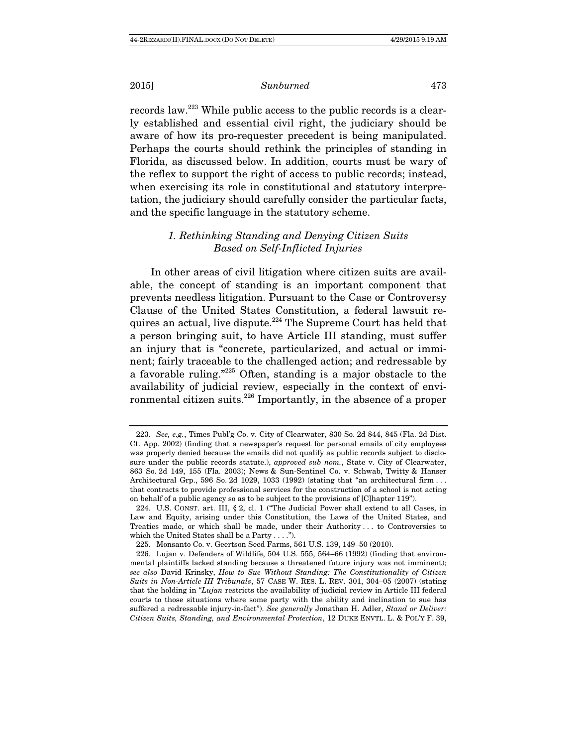records law.223 While public access to the public records is a clearly established and essential civil right, the judiciary should be aware of how its pro-requester precedent is being manipulated. Perhaps the courts should rethink the principles of standing in Florida, as discussed below. In addition, courts must be wary of the reflex to support the right of access to public records; instead, when exercising its role in constitutional and statutory interpretation, the judiciary should carefully consider the particular facts, and the specific language in the statutory scheme.

# 1. Rethinking Standing and Denying Citizen Suits Based on Self-Inflicted Injuries

In other areas of civil litigation where citizen suits are available, the concept of standing is an important component that prevents needless litigation. Pursuant to the Case or Controversy Clause of the United States Constitution, a federal lawsuit requires an actual, live dispute.224 The Supreme Court has held that a person bringing suit, to have Article III standing, must suffer an injury that is "concrete, particularized, and actual or imminent; fairly traceable to the challenged action; and redressable by a favorable ruling."225 Often, standing is a major obstacle to the availability of judicial review, especially in the context of environmental citizen suits.<sup>226</sup> Importantly, in the absence of a proper

 <sup>223.</sup> See, e.g., Times Publ'g Co. v. City of Clearwater, 830 So. 2d 844, 845 (Fla. 2d Dist. Ct. App. 2002) (finding that a newspaper's request for personal emails of city employees was properly denied because the emails did not qualify as public records subject to disclosure under the public records statute.), approved sub nom., State v. City of Clearwater, 863 So. 2d 149, 155 (Fla. 2003); News & Sun-Sentinel Co. v. Schwab, Twitty & Hanser Architectural Grp., 596 So. 2d 1029, 1033 (1992) (stating that "an architectural firm ... that contracts to provide professional services for the construction of a school is not acting on behalf of a public agency so as to be subject to the provisions of [C]hapter 119").

 <sup>224.</sup> U.S. CONST. art. III, § 2, cl. 1 ("The Judicial Power shall extend to all Cases, in Law and Equity, arising under this Constitution, the Laws of the United States, and Treaties made, or which shall be made, under their Authority . . . to Controversies to which the United States shall be a Party . . . .").

 <sup>225.</sup> Monsanto Co. v. Geertson Seed Farms, 561 U.S. 139, 149–50 (2010).

 <sup>226.</sup> Lujan v. Defenders of Wildlife, 504 U.S. 555, 564–66 (1992) (finding that environmental plaintiffs lacked standing because a threatened future injury was not imminent); see also David Krinsky, How to Sue Without Standing: The Constitutionality of Citizen Suits in Non-Article III Tribunals, 57 CASE W. RES. L. REV. 301, 304–05 (2007) (stating that the holding in "Lujan restricts the availability of judicial review in Article III federal courts to those situations where some party with the ability and inclination to sue has suffered a redressable injury-in-fact"). See generally Jonathan H. Adler, Stand or Deliver: Citizen Suits, Standing, and Environmental Protection, 12 DUKE ENVTL. L. & POL'Y F. 39,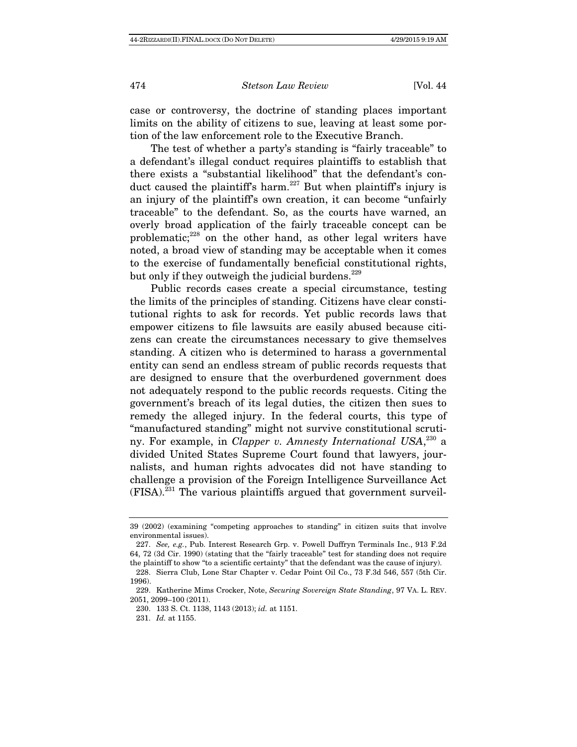case or controversy, the doctrine of standing places important limits on the ability of citizens to sue, leaving at least some portion of the law enforcement role to the Executive Branch.

The test of whether a party's standing is "fairly traceable" to a defendant's illegal conduct requires plaintiffs to establish that there exists a "substantial likelihood" that the defendant's conduct caused the plaintiff's harm.<sup>227</sup> But when plaintiff's injury is an injury of the plaintiff's own creation, it can become "unfairly traceable" to the defendant. So, as the courts have warned, an overly broad application of the fairly traceable concept can be problematic;<sup>228</sup> on the other hand, as other legal writers have noted, a broad view of standing may be acceptable when it comes to the exercise of fundamentally beneficial constitutional rights, but only if they outweigh the judicial burdens.<sup>229</sup>

Public records cases create a special circumstance, testing the limits of the principles of standing. Citizens have clear constitutional rights to ask for records. Yet public records laws that empower citizens to file lawsuits are easily abused because citizens can create the circumstances necessary to give themselves standing. A citizen who is determined to harass a governmental entity can send an endless stream of public records requests that are designed to ensure that the overburdened government does not adequately respond to the public records requests. Citing the government's breach of its legal duties, the citizen then sues to remedy the alleged injury. In the federal courts, this type of "manufactured standing" might not survive constitutional scrutiny. For example, in *Clapper v. Amnesty International USA*,<sup>230</sup> a divided United States Supreme Court found that lawyers, journalists, and human rights advocates did not have standing to challenge a provision of the Foreign Intelligence Surveillance Act  $(FISA)$ <sup>231</sup>. The various plaintiffs argued that government surveil-

<sup>39 (2002) (</sup>examining "competing approaches to standing" in citizen suits that involve environmental issues).

 <sup>227.</sup> See, e.g., Pub. Interest Research Grp. v. Powell Duffryn Terminals Inc., 913 F.2d 64, 72 (3d Cir. 1990) (stating that the "fairly traceable" test for standing does not require the plaintiff to show "to a scientific certainty" that the defendant was the cause of injury).

 <sup>228.</sup> Sierra Club, Lone Star Chapter v. Cedar Point Oil Co., 73 F.3d 546, 557 (5th Cir. 1996).

 <sup>229.</sup> Katherine Mims Crocker, Note, Securing Sovereign State Standing, 97 VA. L. REV. 2051, 2099–100 (2011).

 <sup>230. 133</sup> S. Ct. 1138, 1143 (2013); id. at 1151.

 <sup>231.</sup> Id. at 1155.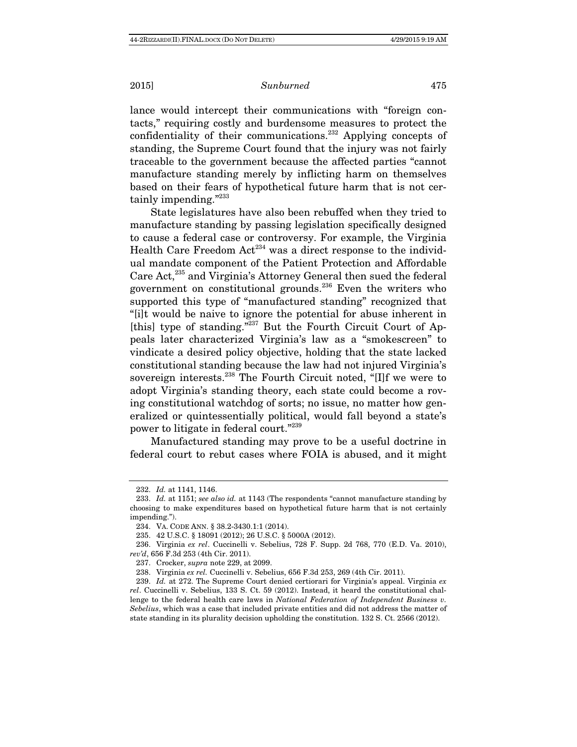lance would intercept their communications with "foreign contacts," requiring costly and burdensome measures to protect the confidentiality of their communications.232 Applying concepts of standing, the Supreme Court found that the injury was not fairly traceable to the government because the affected parties "cannot manufacture standing merely by inflicting harm on themselves based on their fears of hypothetical future harm that is not certainly impending."<sup>233</sup>

State legislatures have also been rebuffed when they tried to manufacture standing by passing legislation specifically designed to cause a federal case or controversy. For example, the Virginia Health Care Freedom  $Act^{234}$  was a direct response to the individual mandate component of the Patient Protection and Affordable Care Act,235 and Virginia's Attorney General then sued the federal government on constitutional grounds.<sup>236</sup> Even the writers who supported this type of "manufactured standing" recognized that "[i]t would be naive to ignore the potential for abuse inherent in [this] type of standing."<sup>237</sup> But the Fourth Circuit Court of Appeals later characterized Virginia's law as a "smokescreen" to vindicate a desired policy objective, holding that the state lacked constitutional standing because the law had not injured Virginia's sovereign interests.238 The Fourth Circuit noted, "[I]f we were to adopt Virginia's standing theory, each state could become a roving constitutional watchdog of sorts; no issue, no matter how generalized or quintessentially political, would fall beyond a state's power to litigate in federal court."<sup>239</sup>

Manufactured standing may prove to be a useful doctrine in federal court to rebut cases where FOIA is abused, and it might

 <sup>232.</sup> Id. at 1141, 1146.

<sup>233.</sup> Id. at 1151; see also id. at 1143 (The respondents "cannot manufacture standing by choosing to make expenditures based on hypothetical future harm that is not certainly impending.").

 <sup>234.</sup> VA. CODE ANN. § 38.2-3430.1:1 (2014).

 <sup>235. 42</sup> U.S.C. § 18091 (2012); 26 U.S.C. § 5000A (2012).

 <sup>236.</sup> Virginia ex rel. Cuccinelli v. Sebelius, 728 F. Supp. 2d 768, 770 (E.D. Va. 2010), rev'd, 656 F.3d 253 (4th Cir. 2011).

 <sup>237.</sup> Crocker, supra note 229, at 2099.

 <sup>238.</sup> Virginia ex rel. Cuccinelli v. Sebelius, 656 F.3d 253, 269 (4th Cir. 2011).

<sup>239.</sup> Id. at 272. The Supreme Court denied certiorari for Virginia's appeal. Virginia  $ex$ rel. Cuccinelli v. Sebelius, 133 S. Ct. 59 (2012). Instead, it heard the constitutional challenge to the federal health care laws in National Federation of Independent Business v. Sebelius, which was a case that included private entities and did not address the matter of state standing in its plurality decision upholding the constitution. 132 S. Ct. 2566 (2012).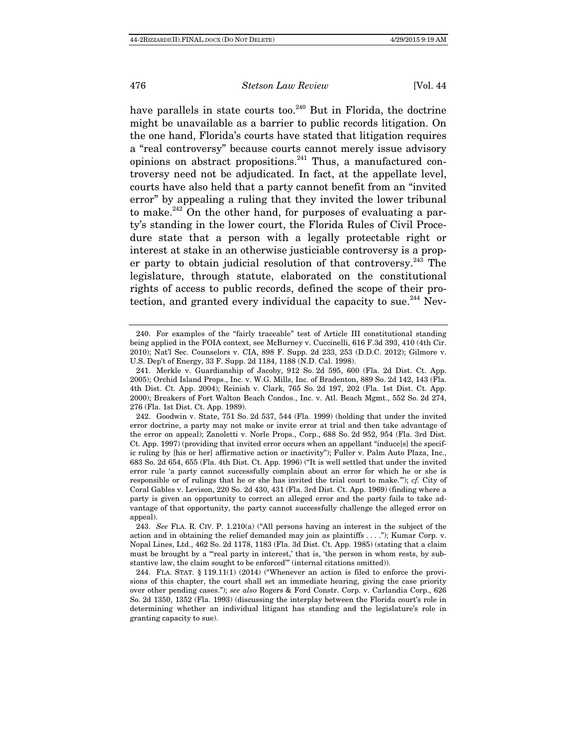have parallels in state courts too. $240$  But in Florida, the doctrine might be unavailable as a barrier to public records litigation. On the one hand, Florida's courts have stated that litigation requires a "real controversy" because courts cannot merely issue advisory opinions on abstract propositions. $^{241}$  Thus, a manufactured controversy need not be adjudicated. In fact, at the appellate level, courts have also held that a party cannot benefit from an "invited error" by appealing a ruling that they invited the lower tribunal to make. $242$  On the other hand, for purposes of evaluating a party's standing in the lower court, the Florida Rules of Civil Procedure state that a person with a legally protectable right or interest at stake in an otherwise justiciable controversy is a proper party to obtain judicial resolution of that controversy.  $243$  The legislature, through statute, elaborated on the constitutional rights of access to public records, defined the scope of their protection, and granted every individual the capacity to sue. $^{244}$  Nev-

 <sup>240.</sup> For examples of the "fairly traceable" test of Article III constitutional standing being applied in the FOIA context, see McBurney v. Cuccinelli, 616 F.3d 393, 410 (4th Cir. 2010); Nat'l Sec. Counselors v. CIA, 898 F. Supp. 2d 233, 253 (D.D.C. 2012); Gilmore v. U.S. Dep't of Energy, 33 F. Supp. 2d 1184, 1188 (N.D. Cal. 1998).

 <sup>241.</sup> Merkle v. Guardianship of Jacoby, 912 So. 2d 595, 600 (Fla. 2d Dist. Ct. App. 2005); Orchid Island Props., Inc. v. W.G. Mills, Inc. of Bradenton, 889 So. 2d 142, 143 (Fla. 4th Dist. Ct. App. 2004); Reinish v. Clark, 765 So. 2d 197, 202 (Fla. 1st Dist. Ct. App. 2000); Breakers of Fort Walton Beach Condos., Inc. v. Atl. Beach Mgmt., 552 So. 2d 274, 276 (Fla. 1st Dist. Ct. App. 1989).

 <sup>242.</sup> Goodwin v. State, 751 So. 2d 537, 544 (Fla. 1999) (holding that under the invited error doctrine, a party may not make or invite error at trial and then take advantage of the error on appeal); Zanoletti v. Norle Props., Corp., 688 So. 2d 952, 954 (Fla. 3rd Dist. Ct. App. 1997) (providing that invited error occurs when an appellant "induce[s] the specific ruling by [his or her] affirmative action or inactivity"); Fuller v. Palm Auto Plaza, Inc., 683 So. 2d 654, 655 (Fla. 4th Dist. Ct. App. 1996) ("It is well settled that under the invited error rule 'a party cannot successfully complain about an error for which he or she is responsible or of rulings that he or she has invited the trial court to make.'"); cf. City of Coral Gables v. Levison, 220 So. 2d 430, 431 (Fla. 3rd Dist. Ct. App. 1969) (finding where a party is given an opportunity to correct an alleged error and the party fails to take advantage of that opportunity, the party cannot successfully challenge the alleged error on appeal).

 <sup>243.</sup> See FLA. R. CIV. P. 1.210(a) ("All persons having an interest in the subject of the action and in obtaining the relief demanded may join as plaintiffs . . . ."); Kumar Corp. v. Nopal Lines, Ltd., 462 So. 2d 1178, 1183 (Fla. 3d Dist. Ct. App. 1985) (stating that a claim must be brought by a "'real party in interest,' that is, 'the person in whom rests, by substantive law, the claim sought to be enforced'" (internal citations omitted)).

 <sup>244.</sup> FLA. STAT. § 119.11(1) (2014) ("Whenever an action is filed to enforce the provisions of this chapter, the court shall set an immediate hearing, giving the case priority over other pending cases."); see also Rogers & Ford Constr. Corp. v. Carlandia Corp., 626 So. 2d 1350, 1352 (Fla. 1993) (discussing the interplay between the Florida court's role in determining whether an individual litigant has standing and the legislature's role in granting capacity to sue).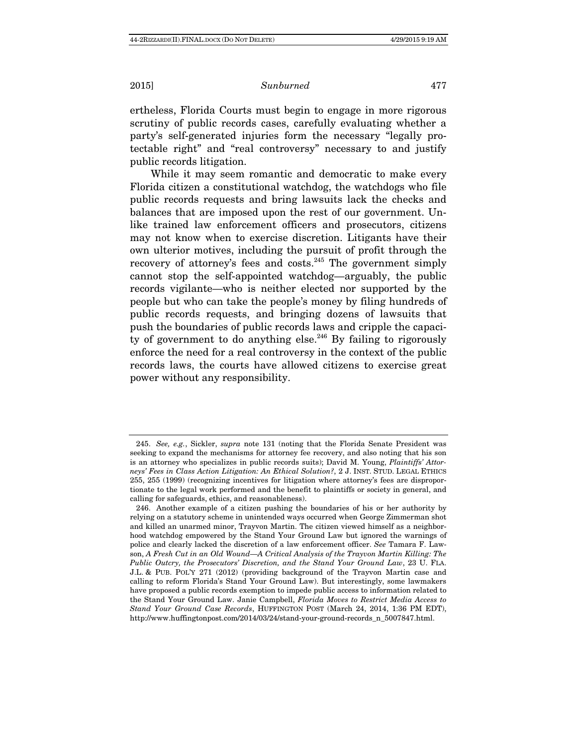ertheless, Florida Courts must begin to engage in more rigorous scrutiny of public records cases, carefully evaluating whether a party's self-generated injuries form the necessary "legally protectable right" and "real controversy" necessary to and justify public records litigation.

While it may seem romantic and democratic to make every Florida citizen a constitutional watchdog, the watchdogs who file public records requests and bring lawsuits lack the checks and balances that are imposed upon the rest of our government. Unlike trained law enforcement officers and prosecutors, citizens may not know when to exercise discretion. Litigants have their own ulterior motives, including the pursuit of profit through the recovery of attorney's fees and costs. $245$  The government simply cannot stop the self-appointed watchdog—arguably, the public records vigilante—who is neither elected nor supported by the people but who can take the people's money by filing hundreds of public records requests, and bringing dozens of lawsuits that push the boundaries of public records laws and cripple the capacity of government to do anything else.<sup>246</sup> By failing to rigorously enforce the need for a real controversy in the context of the public records laws, the courts have allowed citizens to exercise great power without any responsibility.

<sup>245.</sup> See, e.g., Sickler, supra note 131 (noting that the Florida Senate President was seeking to expand the mechanisms for attorney fee recovery, and also noting that his son is an attorney who specializes in public records suits); David M. Young, Plaintiffs' Attorneys' Fees in Class Action Litigation: An Ethical Solution?, 2 J. INST. STUD. LEGAL ETHICS 255, 255 (1999) (recognizing incentives for litigation where attorney's fees are disproportionate to the legal work performed and the benefit to plaintiffs or society in general, and calling for safeguards, ethics, and reasonableness).

 <sup>246.</sup> Another example of a citizen pushing the boundaries of his or her authority by relying on a statutory scheme in unintended ways occurred when George Zimmerman shot and killed an unarmed minor, Trayvon Martin. The citizen viewed himself as a neighborhood watchdog empowered by the Stand Your Ground Law but ignored the warnings of police and clearly lacked the discretion of a law enforcement officer. See Tamara F. Lawson, A Fresh Cut in an Old Wound—A Critical Analysis of the Trayvon Martin Killing: The Public Outcry, the Prosecutors' Discretion, and the Stand Your Ground Law, 23 U. FLA. J.L. & PUB. POL'Y 271 (2012) (providing background of the Trayvon Martin case and calling to reform Florida's Stand Your Ground Law). But interestingly, some lawmakers have proposed a public records exemption to impede public access to information related to the Stand Your Ground Law. Janie Campbell, Florida Moves to Restrict Media Access to Stand Your Ground Case Records, HUFFINGTON POST (March 24, 2014, 1:36 PM EDT), http://www.huffingtonpost.com/2014/03/24/stand-your-ground-records\_n\_5007847.html.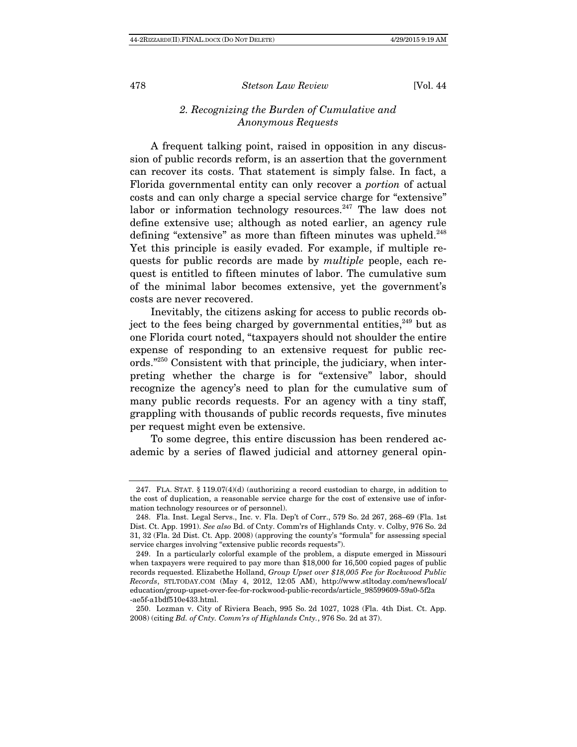# 2. Recognizing the Burden of Cumulative and Anonymous Requests

A frequent talking point, raised in opposition in any discussion of public records reform, is an assertion that the government can recover its costs. That statement is simply false. In fact, a Florida governmental entity can only recover a portion of actual costs and can only charge a special service charge for "extensive" labor or information technology resources.<sup>247</sup> The law does not define extensive use; although as noted earlier, an agency rule defining "extensive" as more than fifteen minutes was upheld.<sup>248</sup> Yet this principle is easily evaded. For example, if multiple requests for public records are made by multiple people, each request is entitled to fifteen minutes of labor. The cumulative sum of the minimal labor becomes extensive, yet the government's costs are never recovered.

Inevitably, the citizens asking for access to public records object to the fees being charged by governmental entities,  $249$  but as one Florida court noted, "taxpayers should not shoulder the entire expense of responding to an extensive request for public records."250 Consistent with that principle, the judiciary, when interpreting whether the charge is for "extensive" labor, should recognize the agency's need to plan for the cumulative sum of many public records requests. For an agency with a tiny staff, grappling with thousands of public records requests, five minutes per request might even be extensive.

To some degree, this entire discussion has been rendered academic by a series of flawed judicial and attorney general opin-

<sup>247.</sup> FLA. STAT.  $\S 119.07(4)(d)$  (authorizing a record custodian to charge, in addition to the cost of duplication, a reasonable service charge for the cost of extensive use of information technology resources or of personnel).

 <sup>248.</sup> Fla. Inst. Legal Servs., Inc. v. Fla. Dep't of Corr., 579 So. 2d 267, 268–69 (Fla. 1st Dist. Ct. App. 1991). See also Bd. of Cnty. Comm'rs of Highlands Cnty. v. Colby, 976 So. 2d 31, 32 (Fla. 2d Dist. Ct. App. 2008) (approving the county's "formula" for assessing special service charges involving "extensive public records requests").

 <sup>249.</sup> In a particularly colorful example of the problem, a dispute emerged in Missouri when taxpayers were required to pay more than \$18,000 for 16,500 copied pages of public records requested. Elizabethe Holland, Group Upset over \$18,005 Fee for Rockwood Public Records, STLTODAY.COM (May 4, 2012, 12:05 AM), http://www.stltoday.com/news/local/ education/group-upset-over-fee-for-rockwood-public-records/article\_98599609-59a0-5f2a -ae5f-a1bdf510e433.html.

 <sup>250.</sup> Lozman v. City of Riviera Beach, 995 So. 2d 1027, 1028 (Fla. 4th Dist. Ct. App. 2008) (citing Bd. of Cnty. Comm'rs of Highlands Cnty., 976 So. 2d at 37).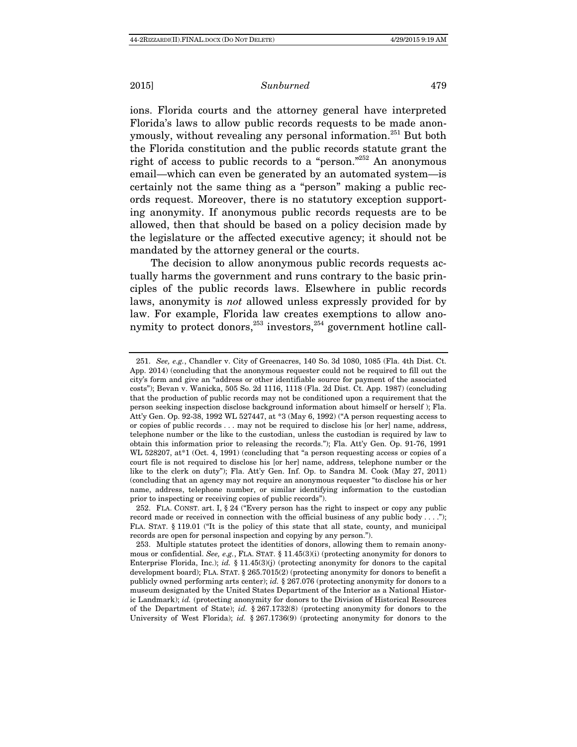ions. Florida courts and the attorney general have interpreted Florida's laws to allow public records requests to be made anonymously, without revealing any personal information.<sup>251</sup> But both the Florida constitution and the public records statute grant the right of access to public records to a "person."252 An anonymous email—which can even be generated by an automated system—is certainly not the same thing as a "person" making a public records request. Moreover, there is no statutory exception supporting anonymity. If anonymous public records requests are to be allowed, then that should be based on a policy decision made by the legislature or the affected executive agency; it should not be mandated by the attorney general or the courts.

The decision to allow anonymous public records requests actually harms the government and runs contrary to the basic principles of the public records laws. Elsewhere in public records laws, anonymity is not allowed unless expressly provided for by law. For example, Florida law creates exemptions to allow anonymity to protect donors,  $253$  investors,  $254$  government hotline call-

 <sup>251.</sup> See, e.g., Chandler v. City of Greenacres, 140 So. 3d 1080, 1085 (Fla. 4th Dist. Ct. App. 2014) (concluding that the anonymous requester could not be required to fill out the city's form and give an "address or other identifiable source for payment of the associated costs"); Bevan v. Wanicka, 505 So. 2d 1116, 1118 (Fla. 2d Dist. Ct. App. 1987) (concluding that the production of public records may not be conditioned upon a requirement that the person seeking inspection disclose background information about himself or herself ); Fla. Att'y Gen. Op. 92-38, 1992 WL 527447, at \*3 (May 6, 1992) ("A person requesting access to or copies of public records . . . may not be required to disclose his [or her] name, address, telephone number or the like to the custodian, unless the custodian is required by law to obtain this information prior to releasing the records."); Fla. Att'y Gen. Op. 91-76, 1991 WL 528207, at<sup>\*</sup>1 (Oct. 4, 1991) (concluding that "a person requesting access or copies of a court file is not required to disclose his [or her] name, address, telephone number or the like to the clerk on duty"); Fla. Att'y Gen. Inf. Op. to Sandra M. Cook (May 27, 2011) (concluding that an agency may not require an anonymous requester "to disclose his or her name, address, telephone number, or similar identifying information to the custodian prior to inspecting or receiving copies of public records").

 <sup>252.</sup> FLA. CONST. art. I, § 24 ("Every person has the right to inspect or copy any public record made or received in connection with the official business of any public body . . . ."); FLA. STAT. § 119.01 ("It is the policy of this state that all state, county, and municipal records are open for personal inspection and copying by any person.").

 <sup>253.</sup> Multiple statutes protect the identities of donors, allowing them to remain anonymous or confidential. See, e.g., FLA. STAT. § 11.45(3)(i) (protecting anonymity for donors to Enterprise Florida, Inc.); id.  $\S$  11.45(3)(j) (protecting anonymity for donors to the capital development board); FLA. STAT. § 265.7015(2) (protecting anonymity for donors to benefit a publicly owned performing arts center); id. § 267.076 (protecting anonymity for donors to a museum designated by the United States Department of the Interior as a National Historic Landmark); id. (protecting anonymity for donors to the Division of Historical Resources of the Department of State); id.  $\S 267.1732(8)$  (protecting anonymity for donors to the University of West Florida); id. § 267.1736(9) (protecting anonymity for donors to the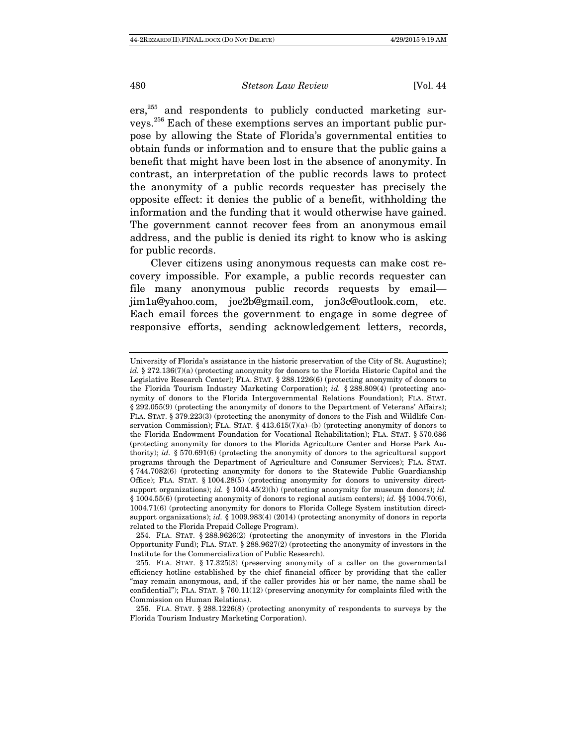ers,<sup>255</sup> and respondents to publicly conducted marketing surveys.256 Each of these exemptions serves an important public purpose by allowing the State of Florida's governmental entities to obtain funds or information and to ensure that the public gains a benefit that might have been lost in the absence of anonymity. In contrast, an interpretation of the public records laws to protect the anonymity of a public records requester has precisely the opposite effect: it denies the public of a benefit, withholding the information and the funding that it would otherwise have gained. The government cannot recover fees from an anonymous email address, and the public is denied its right to know who is asking for public records.

Clever citizens using anonymous requests can make cost recovery impossible. For example, a public records requester can file many anonymous public records requests by email jim1a@yahoo.com, joe2b@gmail.com, jon3c@outlook.com, etc. Each email forces the government to engage in some degree of responsive efforts, sending acknowledgement letters, records,

University of Florida's assistance in the historic preservation of the City of St. Augustine); id. § 272.136(7)(a) (protecting anonymity for donors to the Florida Historic Capitol and the Legislative Research Center); FLA. STAT. § 288.1226(6) (protecting anonymity of donors to the Florida Tourism Industry Marketing Corporation); id. § 288.809(4) (protecting anonymity of donors to the Florida Intergovernmental Relations Foundation); FLA. STAT. § 292.055(9) (protecting the anonymity of donors to the Department of Veterans' Affairs); FLA. STAT. § 379.223(3) (protecting the anonymity of donors to the Fish and Wildlife Conservation Commission); FLA. STAT. § 413.615(7)(a)–(b) (protecting anonymity of donors to the Florida Endowment Foundation for Vocational Rehabilitation); FLA. STAT. § 570.686 (protecting anonymity for donors to the Florida Agriculture Center and Horse Park Authority); id. § 570.691(6) (protecting the anonymity of donors to the agricultural support programs through the Department of Agriculture and Consumer Services); FLA. STAT. § 744.7082(6) (protecting anonymity for donors to the Statewide Public Guardianship Office); FLA. STAT. § 1004.28(5) (protecting anonymity for donors to university directsupport organizations); id.  $\S$  1004.45(2)(h) (protecting anonymity for museum donors); id. § 1004.55(6) (protecting anonymity of donors to regional autism centers); id. §§ 1004.70(6), 1004.71(6) (protecting anonymity for donors to Florida College System institution directsupport organizations); id. § 1009.983(4) (2014) (protecting anonymity of donors in reports related to the Florida Prepaid College Program).

 <sup>254.</sup> FLA. STAT. § 288.9626(2) (protecting the anonymity of investors in the Florida Opportunity Fund); FLA. STAT. § 288.9627(2) (protecting the anonymity of investors in the Institute for the Commercialization of Public Research).

 <sup>255.</sup> FLA. STAT. § 17.325(3) (preserving anonymity of a caller on the governmental efficiency hotline established by the chief financial officer by providing that the caller "may remain anonymous, and, if the caller provides his or her name, the name shall be confidential"); FLA. STAT.  $\S$  760.11(12) (preserving anonymity for complaints filed with the Commission on Human Relations).

 <sup>256.</sup> FLA. STAT. § 288.1226(8) (protecting anonymity of respondents to surveys by the Florida Tourism Industry Marketing Corporation).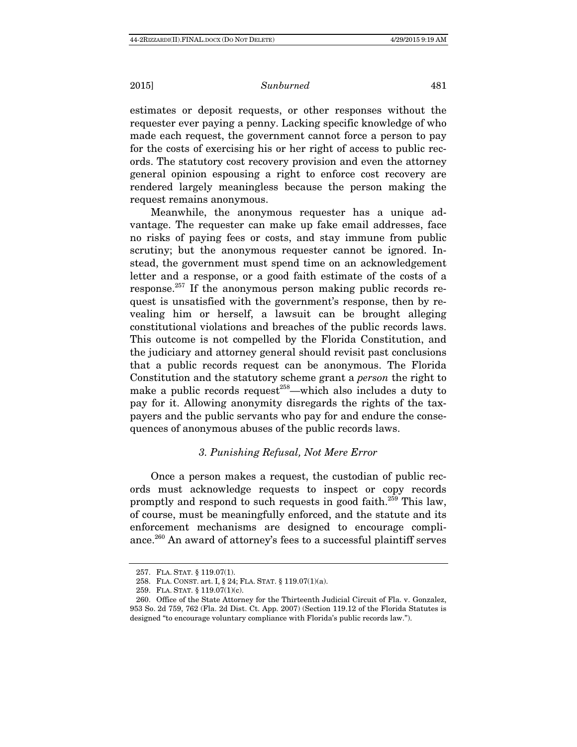estimates or deposit requests, or other responses without the requester ever paying a penny. Lacking specific knowledge of who made each request, the government cannot force a person to pay for the costs of exercising his or her right of access to public records. The statutory cost recovery provision and even the attorney general opinion espousing a right to enforce cost recovery are rendered largely meaningless because the person making the request remains anonymous.

Meanwhile, the anonymous requester has a unique advantage. The requester can make up fake email addresses, face no risks of paying fees or costs, and stay immune from public scrutiny; but the anonymous requester cannot be ignored. Instead, the government must spend time on an acknowledgement letter and a response, or a good faith estimate of the costs of a response.257 If the anonymous person making public records request is unsatisfied with the government's response, then by revealing him or herself, a lawsuit can be brought alleging constitutional violations and breaches of the public records laws. This outcome is not compelled by the Florida Constitution, and the judiciary and attorney general should revisit past conclusions that a public records request can be anonymous. The Florida Constitution and the statutory scheme grant a person the right to make a public records request<sup> $258$ </sup>—which also includes a duty to pay for it. Allowing anonymity disregards the rights of the taxpayers and the public servants who pay for and endure the consequences of anonymous abuses of the public records laws.

# 3. Punishing Refusal, Not Mere Error

Once a person makes a request, the custodian of public records must acknowledge requests to inspect or copy records promptly and respond to such requests in good faith.<sup>259</sup> This law, of course, must be meaningfully enforced, and the statute and its enforcement mechanisms are designed to encourage compliance.260 An award of attorney's fees to a successful plaintiff serves

 <sup>257.</sup> FLA. STAT. § 119.07(1).

 <sup>258.</sup> FLA. CONST. art. I, § 24; FLA. STAT. § 119.07(1)(a).

 <sup>259.</sup> FLA. STAT. § 119.07(1)(c).

 <sup>260.</sup> Office of the State Attorney for the Thirteenth Judicial Circuit of Fla. v. Gonzalez, 953 So. 2d 759, 762 (Fla. 2d Dist. Ct. App. 2007) (Section 119.12 of the Florida Statutes is designed "to encourage voluntary compliance with Florida's public records law.").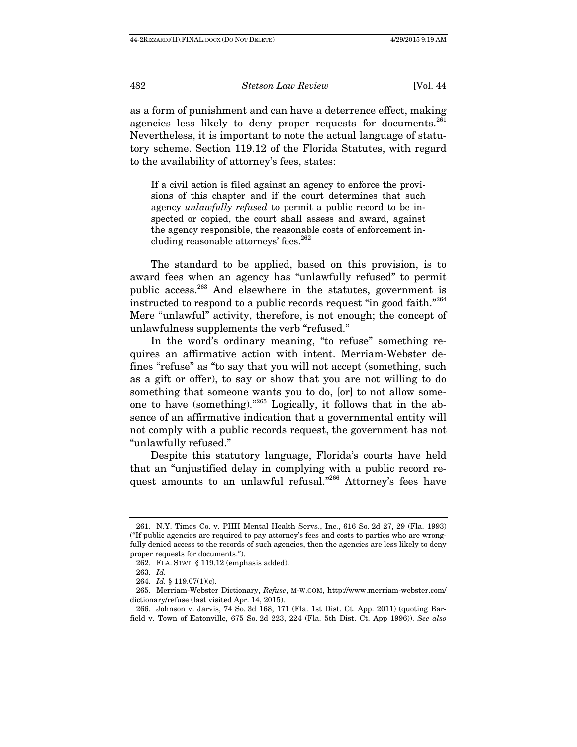as a form of punishment and can have a deterrence effect, making agencies less likely to deny proper requests for documents.<sup>261</sup> Nevertheless, it is important to note the actual language of statutory scheme. Section 119.12 of the Florida Statutes, with regard to the availability of attorney's fees, states:

If a civil action is filed against an agency to enforce the provisions of this chapter and if the court determines that such agency unlawfully refused to permit a public record to be inspected or copied, the court shall assess and award, against the agency responsible, the reasonable costs of enforcement including reasonable attorneys' fees.<sup>262</sup>

The standard to be applied, based on this provision, is to award fees when an agency has "unlawfully refused" to permit public access.263 And elsewhere in the statutes, government is instructed to respond to a public records request "in good faith."<sup>264</sup> Mere "unlawful" activity, therefore, is not enough; the concept of unlawfulness supplements the verb "refused."

In the word's ordinary meaning, "to refuse" something requires an affirmative action with intent. Merriam-Webster defines "refuse" as "to say that you will not accept (something, such as a gift or offer), to say or show that you are not willing to do something that someone wants you to do, [or] to not allow someone to have (something)."265 Logically, it follows that in the absence of an affirmative indication that a governmental entity will not comply with a public records request, the government has not "unlawfully refused."

Despite this statutory language, Florida's courts have held that an "unjustified delay in complying with a public record request amounts to an unlawful refusal."<sup>266</sup> Attorney's fees have

 <sup>261.</sup> N.Y. Times Co. v. PHH Mental Health Servs., Inc., 616 So. 2d 27, 29 (Fla. 1993) ("If public agencies are required to pay attorney's fees and costs to parties who are wrongfully denied access to the records of such agencies, then the agencies are less likely to deny proper requests for documents.").

 <sup>262.</sup> FLA. STAT. § 119.12 (emphasis added).

 <sup>263.</sup> Id.

 <sup>264.</sup> Id. § 119.07(1)(c).

 <sup>265.</sup> Merriam-Webster Dictionary, Refuse, M-W.COM, http://www.merriam-webster.com/ dictionary/refuse (last visited Apr. 14, 2015).

 <sup>266.</sup> Johnson v. Jarvis, 74 So. 3d 168, 171 (Fla. 1st Dist. Ct. App. 2011) (quoting Barfield v. Town of Eatonville, 675 So. 2d 223, 224 (Fla. 5th Dist. Ct. App 1996)). See also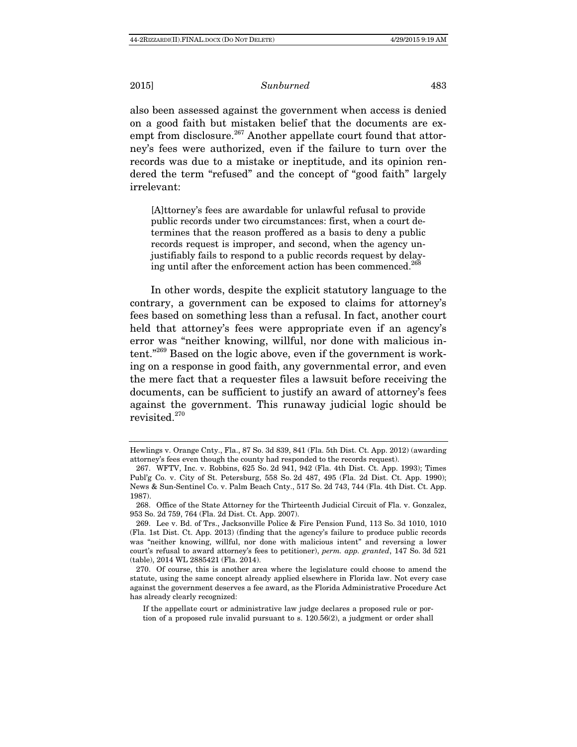also been assessed against the government when access is denied on a good faith but mistaken belief that the documents are exempt from disclosure.<sup>267</sup> Another appellate court found that attorney's fees were authorized, even if the failure to turn over the records was due to a mistake or ineptitude, and its opinion rendered the term "refused" and the concept of "good faith" largely irrelevant:

[A]ttorney's fees are awardable for unlawful refusal to provide public records under two circumstances: first, when a court determines that the reason proffered as a basis to deny a public records request is improper, and second, when the agency unjustifiably fails to respond to a public records request by delaying until after the enforcement action has been commenced.<sup>268</sup>

In other words, despite the explicit statutory language to the contrary, a government can be exposed to claims for attorney's fees based on something less than a refusal. In fact, another court held that attorney's fees were appropriate even if an agency's error was "neither knowing, willful, nor done with malicious intent."269 Based on the logic above, even if the government is working on a response in good faith, any governmental error, and even the mere fact that a requester files a lawsuit before receiving the documents, can be sufficient to justify an award of attorney's fees against the government. This runaway judicial logic should be revisited.<sup>270</sup>

Hewlings v. Orange Cnty., Fla., 87 So. 3d 839, 841 (Fla. 5th Dist. Ct. App. 2012) (awarding attorney's fees even though the county had responded to the records request).

 <sup>267.</sup> WFTV, Inc. v. Robbins, 625 So. 2d 941, 942 (Fla. 4th Dist. Ct. App. 1993); Times Publ'g Co. v. City of St. Petersburg, 558 So. 2d 487, 495 (Fla. 2d Dist. Ct. App. 1990); News & Sun-Sentinel Co. v. Palm Beach Cnty., 517 So. 2d 743, 744 (Fla. 4th Dist. Ct. App. 1987).

 <sup>268.</sup> Office of the State Attorney for the Thirteenth Judicial Circuit of Fla. v. Gonzalez, 953 So. 2d 759, 764 (Fla. 2d Dist. Ct. App. 2007).

 <sup>269.</sup> Lee v. Bd. of Trs., Jacksonville Police & Fire Pension Fund, 113 So. 3d 1010, 1010 (Fla. 1st Dist. Ct. App. 2013) (finding that the agency's failure to produce public records was "neither knowing, willful, nor done with malicious intent" and reversing a lower court's refusal to award attorney's fees to petitioner), perm. app. granted, 147 So. 3d 521 (table), 2014 WL 2885421 (Fla. 2014).

 <sup>270.</sup> Of course, this is another area where the legislature could choose to amend the statute, using the same concept already applied elsewhere in Florida law. Not every case against the government deserves a fee award, as the Florida Administrative Procedure Act has already clearly recognized:

If the appellate court or administrative law judge declares a proposed rule or portion of a proposed rule invalid pursuant to s. 120.56(2), a judgment or order shall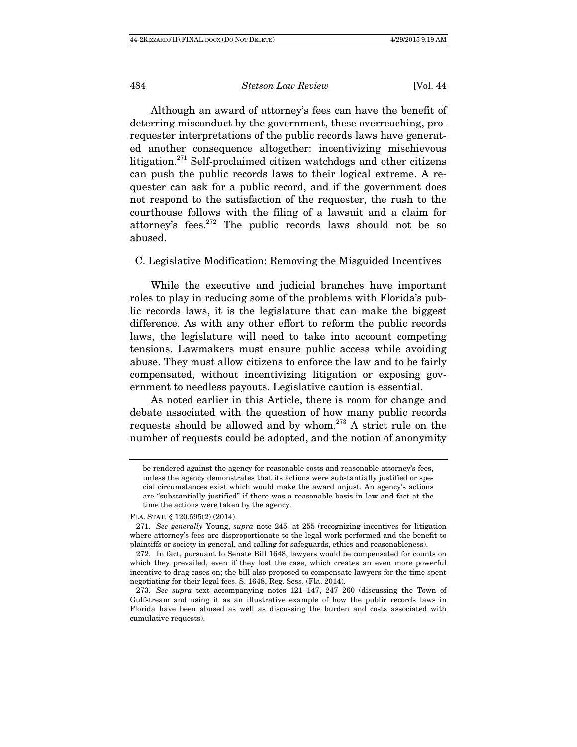Although an award of attorney's fees can have the benefit of deterring misconduct by the government, these overreaching, prorequester interpretations of the public records laws have generated another consequence altogether: incentivizing mischievous litigation.<sup>271</sup> Self-proclaimed citizen watchdogs and other citizens can push the public records laws to their logical extreme. A requester can ask for a public record, and if the government does not respond to the satisfaction of the requester, the rush to the courthouse follows with the filing of a lawsuit and a claim for attorney's fees.272 The public records laws should not be so abused.

## C. Legislative Modification: Removing the Misguided Incentives

While the executive and judicial branches have important roles to play in reducing some of the problems with Florida's public records laws, it is the legislature that can make the biggest difference. As with any other effort to reform the public records laws, the legislature will need to take into account competing tensions. Lawmakers must ensure public access while avoiding abuse. They must allow citizens to enforce the law and to be fairly compensated, without incentivizing litigation or exposing government to needless payouts. Legislative caution is essential.

As noted earlier in this Article, there is room for change and debate associated with the question of how many public records requests should be allowed and by whom.273 A strict rule on the number of requests could be adopted, and the notion of anonymity

FLA. STAT. § 120.595(2) (2014).

be rendered against the agency for reasonable costs and reasonable attorney's fees, unless the agency demonstrates that its actions were substantially justified or special circumstances exist which would make the award unjust. An agency's actions are "substantially justified" if there was a reasonable basis in law and fact at the time the actions were taken by the agency.

 <sup>271.</sup> See generally Young, supra note 245, at 255 (recognizing incentives for litigation where attorney's fees are disproportionate to the legal work performed and the benefit to plaintiffs or society in general, and calling for safeguards, ethics and reasonableness).

 <sup>272.</sup> In fact, pursuant to Senate Bill 1648, lawyers would be compensated for counts on which they prevailed, even if they lost the case, which creates an even more powerful incentive to drag cases on; the bill also proposed to compensate lawyers for the time spent negotiating for their legal fees. S. 1648, Reg. Sess. (Fla. 2014).

 <sup>273.</sup> See supra text accompanying notes 121–147, 247–260 (discussing the Town of Gulfstream and using it as an illustrative example of how the public records laws in Florida have been abused as well as discussing the burden and costs associated with cumulative requests).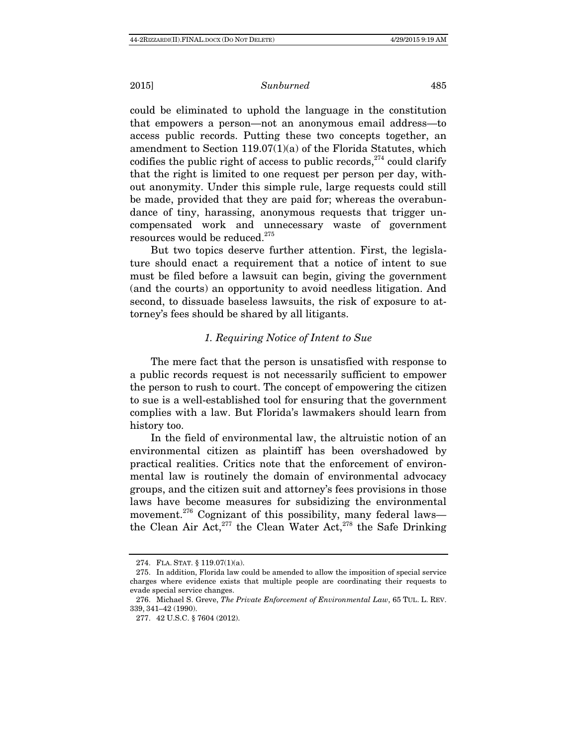could be eliminated to uphold the language in the constitution that empowers a person—not an anonymous email address—to access public records. Putting these two concepts together, an amendment to Section 119.07(1)(a) of the Florida Statutes, which codifies the public right of access to public records,  $274$  could clarify that the right is limited to one request per person per day, without anonymity. Under this simple rule, large requests could still be made, provided that they are paid for; whereas the overabundance of tiny, harassing, anonymous requests that trigger uncompensated work and unnecessary waste of government resources would be reduced.<sup>275</sup>

But two topics deserve further attention. First, the legislature should enact a requirement that a notice of intent to sue must be filed before a lawsuit can begin, giving the government (and the courts) an opportunity to avoid needless litigation. And second, to dissuade baseless lawsuits, the risk of exposure to attorney's fees should be shared by all litigants.

# 1. Requiring Notice of Intent to Sue

The mere fact that the person is unsatisfied with response to a public records request is not necessarily sufficient to empower the person to rush to court. The concept of empowering the citizen to sue is a well-established tool for ensuring that the government complies with a law. But Florida's lawmakers should learn from history too.

In the field of environmental law, the altruistic notion of an environmental citizen as plaintiff has been overshadowed by practical realities. Critics note that the enforcement of environmental law is routinely the domain of environmental advocacy groups, and the citizen suit and attorney's fees provisions in those laws have become measures for subsidizing the environmental movement.<sup>276</sup> Cognizant of this possibility, many federal laws the Clean Air Act,  $277$  the Clean Water Act,  $278$  the Safe Drinking

 <sup>274.</sup> FLA. STAT. § 119.07(1)(a).

 <sup>275.</sup> In addition, Florida law could be amended to allow the imposition of special service charges where evidence exists that multiple people are coordinating their requests to evade special service changes.

 <sup>276.</sup> Michael S. Greve, The Private Enforcement of Environmental Law, 65 TUL. L. REV. 339, 341–42 (1990).

 <sup>277. 42</sup> U.S.C. § 7604 (2012).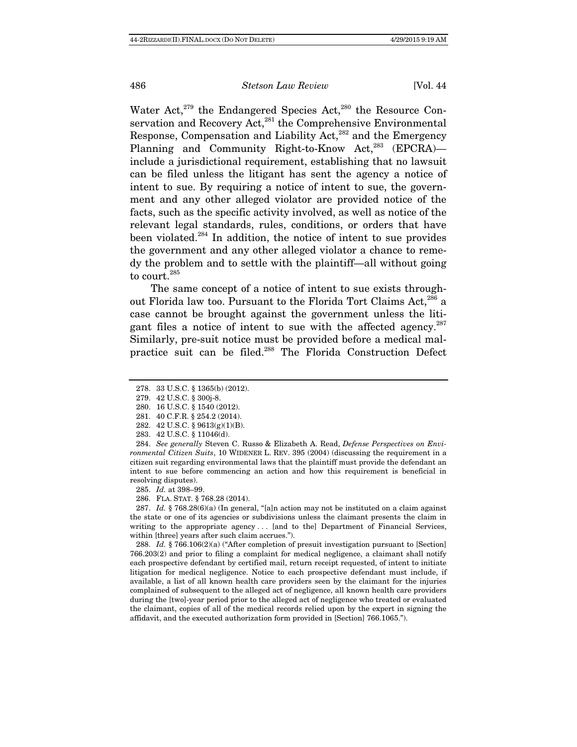Water Act, $279$  the Endangered Species Act, $280$  the Resource Conservation and Recovery Act,<sup>281</sup> the Comprehensive Environmental Response, Compensation and Liability Act,<sup>282</sup> and the Emergency Planning and Community Right-to-Know Act, $^{283}$  (EPCRA) include a jurisdictional requirement, establishing that no lawsuit can be filed unless the litigant has sent the agency a notice of intent to sue. By requiring a notice of intent to sue, the government and any other alleged violator are provided notice of the facts, such as the specific activity involved, as well as notice of the relevant legal standards, rules, conditions, or orders that have been violated.<sup>284</sup> In addition, the notice of intent to sue provides the government and any other alleged violator a chance to remedy the problem and to settle with the plaintiff—all without going to court.<sup>285</sup>

The same concept of a notice of intent to sue exists throughout Florida law too. Pursuant to the Florida Tort Claims Act,<sup>286</sup> a case cannot be brought against the government unless the litigant files a notice of intent to sue with the affected agency. $287$ Similarly, pre-suit notice must be provided before a medical malpractice suit can be filed.288 The Florida Construction Defect

 284. See generally Steven C. Russo & Elizabeth A. Read, Defense Perspectives on Environmental Citizen Suits, 10 WIDENER L. REV. 395 (2004) (discussing the requirement in a citizen suit regarding environmental laws that the plaintiff must provide the defendant an intent to sue before commencing an action and how this requirement is beneficial in resolving disputes).

285. Id. at 398–99.

287. Id. § 768.28(6)(a) (In general, "[a]n action may not be instituted on a claim against the state or one of its agencies or subdivisions unless the claimant presents the claim in writing to the appropriate agency ... [and to the] Department of Financial Services, within [three] years after such claim accrues.").

 288. Id. § 766.106(2)(a) ("After completion of presuit investigation pursuant to [Section] 766.203(2) and prior to filing a complaint for medical negligence, a claimant shall notify each prospective defendant by certified mail, return receipt requested, of intent to initiate litigation for medical negligence. Notice to each prospective defendant must include, if available, a list of all known health care providers seen by the claimant for the injuries complained of subsequent to the alleged act of negligence, all known health care providers during the [two]-year period prior to the alleged act of negligence who treated or evaluated the claimant, copies of all of the medical records relied upon by the expert in signing the affidavit, and the executed authorization form provided in [Section] 766.1065.").

 <sup>278. 33</sup> U.S.C. § 1365(b) (2012).

 <sup>279. 42</sup> U.S.C. § 300j-8.

 <sup>280. 16</sup> U.S.C. § 1540 (2012).

 <sup>281. 40</sup> C.F.R. § 254.2 (2014).

 <sup>282. 42</sup> U.S.C. § 9613(g)(1)(B).

 <sup>283. 42</sup> U.S.C. § 11046(d).

 <sup>286.</sup> FLA. STAT. § 768.28 (2014).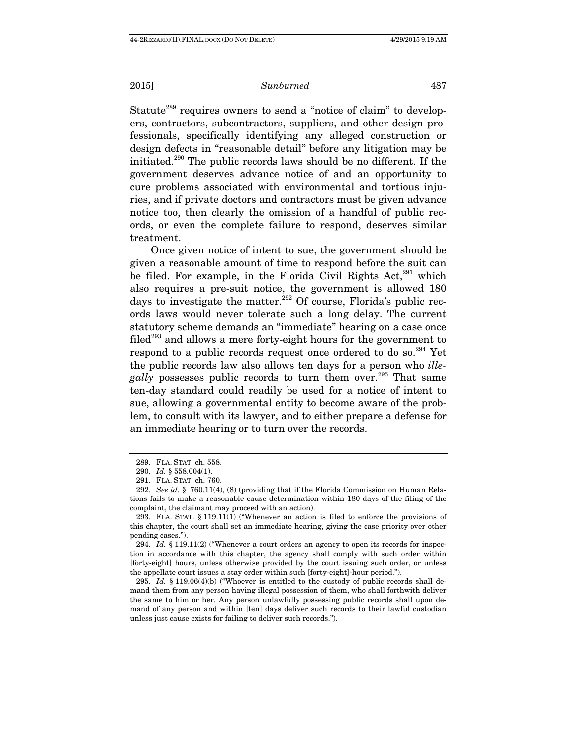Statute<sup>289</sup> requires owners to send a "notice of claim" to developers, contractors, subcontractors, suppliers, and other design professionals, specifically identifying any alleged construction or design defects in "reasonable detail" before any litigation may be initiated.290 The public records laws should be no different. If the government deserves advance notice of and an opportunity to cure problems associated with environmental and tortious injuries, and if private doctors and contractors must be given advance notice too, then clearly the omission of a handful of public records, or even the complete failure to respond, deserves similar treatment.

Once given notice of intent to sue, the government should be given a reasonable amount of time to respond before the suit can be filed. For example, in the Florida Civil Rights Act, $^{291}$  which also requires a pre-suit notice, the government is allowed 180 days to investigate the matter.<sup>292</sup> Of course, Florida's public records laws would never tolerate such a long delay. The current statutory scheme demands an "immediate" hearing on a case once filed<sup>293</sup> and allows a mere forty-eight hours for the government to respond to a public records request once ordered to do so.294 Yet the public records law also allows ten days for a person who *ille*gally possesses public records to turn them over.<sup>295</sup> That same ten-day standard could readily be used for a notice of intent to sue, allowing a governmental entity to become aware of the problem, to consult with its lawyer, and to either prepare a defense for an immediate hearing or to turn over the records.

 <sup>289.</sup> FLA. STAT. ch. 558.

 <sup>290.</sup> Id. § 558.004(1).

 <sup>291.</sup> FLA. STAT. ch. 760.

 <sup>292.</sup> See id. § 760.11(4), (8) (providing that if the Florida Commission on Human Relations fails to make a reasonable cause determination within 180 days of the filing of the complaint, the claimant may proceed with an action).

 <sup>293.</sup> FLA. STAT. § 119.11(1) ("Whenever an action is filed to enforce the provisions of this chapter, the court shall set an immediate hearing, giving the case priority over other pending cases.").

<sup>294.</sup> Id.  $§$  119.11(2) ("Whenever a court orders an agency to open its records for inspection in accordance with this chapter, the agency shall comply with such order within [forty-eight] hours, unless otherwise provided by the court issuing such order, or unless the appellate court issues a stay order within such [forty-eight]-hour period.").

 <sup>295.</sup> Id. § 119.06(4)(b) ("Whoever is entitled to the custody of public records shall demand them from any person having illegal possession of them, who shall forthwith deliver the same to him or her. Any person unlawfully possessing public records shall upon demand of any person and within [ten] days deliver such records to their lawful custodian unless just cause exists for failing to deliver such records.").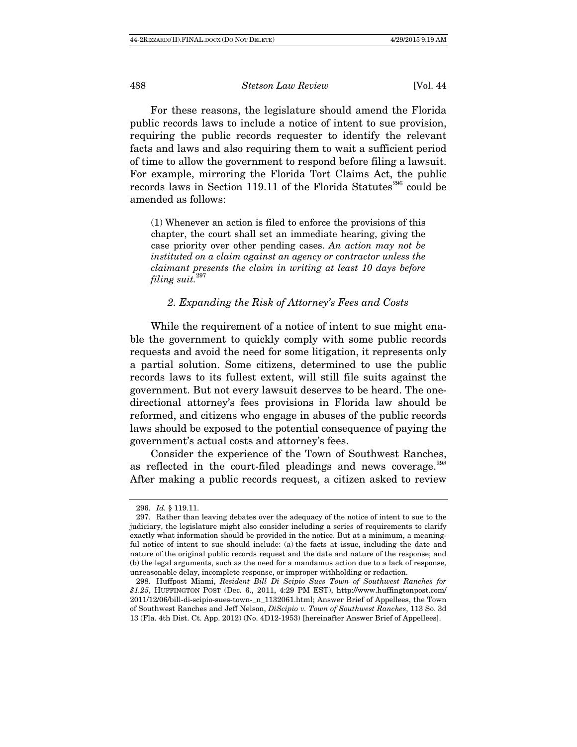For these reasons, the legislature should amend the Florida public records laws to include a notice of intent to sue provision, requiring the public records requester to identify the relevant facts and laws and also requiring them to wait a sufficient period of time to allow the government to respond before filing a lawsuit. For example, mirroring the Florida Tort Claims Act, the public records laws in Section 119.11 of the Florida Statutes<sup>296</sup> could be amended as follows:

(1) Whenever an action is filed to enforce the provisions of this chapter, the court shall set an immediate hearing, giving the case priority over other pending cases. An action may not be instituted on a claim against an agency or contractor unless the claimant presents the claim in writing at least 10 days before filing suit. $297$ 

## 2. Expanding the Risk of Attorney's Fees and Costs

While the requirement of a notice of intent to sue might enable the government to quickly comply with some public records requests and avoid the need for some litigation, it represents only a partial solution. Some citizens, determined to use the public records laws to its fullest extent, will still file suits against the government. But not every lawsuit deserves to be heard. The onedirectional attorney's fees provisions in Florida law should be reformed, and citizens who engage in abuses of the public records laws should be exposed to the potential consequence of paying the government's actual costs and attorney's fees.

Consider the experience of the Town of Southwest Ranches, as reflected in the court-filed pleadings and news coverage.<sup>298</sup> After making a public records request, a citizen asked to review

 <sup>296.</sup> Id. § 119.11.

 <sup>297.</sup> Rather than leaving debates over the adequacy of the notice of intent to sue to the judiciary, the legislature might also consider including a series of requirements to clarify exactly what information should be provided in the notice. But at a minimum, a meaningful notice of intent to sue should include: (a) the facts at issue, including the date and nature of the original public records request and the date and nature of the response; and (b) the legal arguments, such as the need for a mandamus action due to a lack of response, unreasonable delay, incomplete response, or improper withholding or redaction.

 <sup>298.</sup> Huffpost Miami, Resident Bill Di Scipio Sues Town of Southwest Ranches for \$1.25, HUFFINGTON POST (Dec. 6., 2011, 4:29 PM EST), http://www.huffingtonpost.com/ 2011/12/06/bill-di-scipio-sues-town-\_n\_1132061.html; Answer Brief of Appellees, the Town of Southwest Ranches and Jeff Nelson, DiScipio v. Town of Southwest Ranches, 113 So. 3d 13 (Fla. 4th Dist. Ct. App. 2012) (No. 4D12-1953) [hereinafter Answer Brief of Appellees].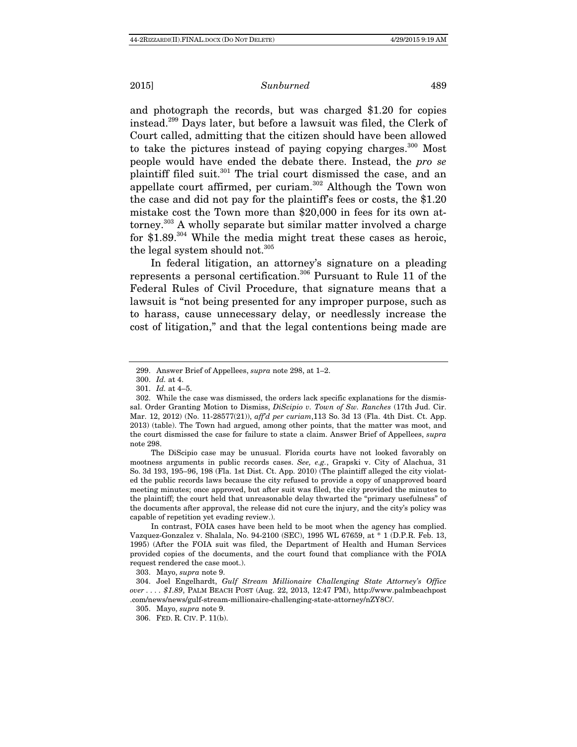and photograph the records, but was charged \$1.20 for copies instead.299 Days later, but before a lawsuit was filed, the Clerk of Court called, admitting that the citizen should have been allowed to take the pictures instead of paying copying charges. $300$  Most people would have ended the debate there. Instead, the pro se plaintiff filed suit.301 The trial court dismissed the case, and an appellate court affirmed, per curiam. $302$  Although the Town won the case and did not pay for the plaintiff's fees or costs, the \$1.20 mistake cost the Town more than \$20,000 in fees for its own attorney.303 A wholly separate but similar matter involved a charge for  $$1.89$ <sup>304</sup> While the media might treat these cases as heroic, the legal system should not.<sup>305</sup>

In federal litigation, an attorney's signature on a pleading represents a personal certification.306 Pursuant to Rule 11 of the Federal Rules of Civil Procedure, that signature means that a lawsuit is "not being presented for any improper purpose, such as to harass, cause unnecessary delay, or needlessly increase the cost of litigation," and that the legal contentions being made are

The DiScipio case may be unusual. Florida courts have not looked favorably on mootness arguments in public records cases. See, e.g., Grapski v. City of Alachua, 31 So. 3d 193, 195–96, 198 (Fla. 1st Dist. Ct. App. 2010) (The plaintiff alleged the city violated the public records laws because the city refused to provide a copy of unapproved board meeting minutes; once approved, but after suit was filed, the city provided the minutes to the plaintiff; the court held that unreasonable delay thwarted the "primary usefulness" of the documents after approval, the release did not cure the injury, and the city's policy was capable of repetition yet evading review.).

In contrast, FOIA cases have been held to be moot when the agency has complied. Vazquez-Gonzalez v. Shalala, No. 94-2100 (SEC), 1995 WL 67659, at \* 1 (D.P.R. Feb. 13, 1995) (After the FOIA suit was filed, the Department of Health and Human Services provided copies of the documents, and the court found that compliance with the FOIA request rendered the case moot.).

303. Mayo, supra note 9.

 <sup>299.</sup> Answer Brief of Appellees, supra note 298, at 1–2.

 <sup>300.</sup> Id. at 4.

 <sup>301.</sup> Id. at 4–5.

 <sup>302.</sup> While the case was dismissed, the orders lack specific explanations for the dismissal. Order Granting Motion to Dismiss, DiScipio v. Town of Sw. Ranches (17th Jud. Cir. Mar. 12, 2012) (No. 11-28577(21)), aff'd per curiam,113 So. 3d 13 (Fla. 4th Dist. Ct. App. 2013) (table). The Town had argued, among other points, that the matter was moot, and the court dismissed the case for failure to state a claim. Answer Brief of Appellees, supra note 298.

 <sup>304.</sup> Joel Engelhardt, Gulf Stream Millionaire Challenging State Attorney's Office over . . . . \$1.89, PALM BEACH POST (Aug. 22, 2013, 12:47 PM), http://www.palmbeachpost .com/news/news/gulf-stream-millionaire-challenging-state-attorney/nZY8C/.

 <sup>305.</sup> Mayo, supra note 9.

 <sup>306.</sup> FED. R. CIV. P. 11(b).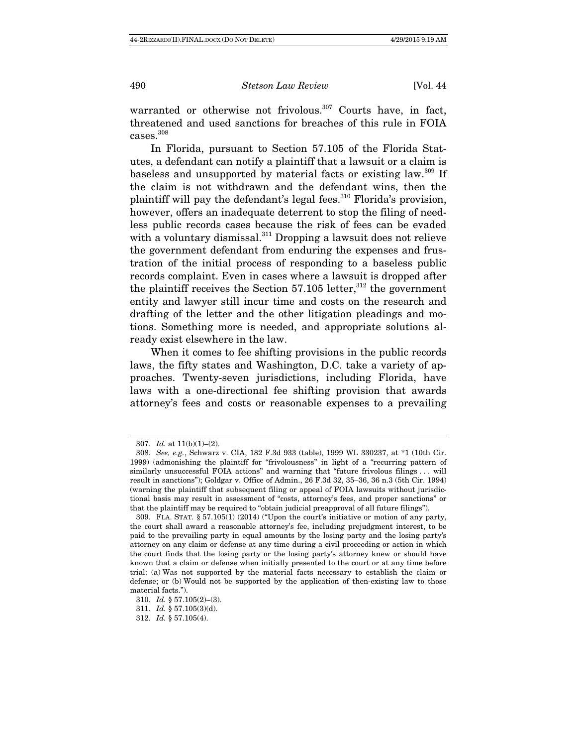warranted or otherwise not frivolous.<sup>307</sup> Courts have, in fact, threatened and used sanctions for breaches of this rule in FOIA cases.308

In Florida, pursuant to Section 57.105 of the Florida Statutes, a defendant can notify a plaintiff that a lawsuit or a claim is baseless and unsupported by material facts or existing law.<sup>309</sup> If the claim is not withdrawn and the defendant wins, then the plaintiff will pay the defendant's legal fees.<sup>310</sup> Florida's provision, however, offers an inadequate deterrent to stop the filing of needless public records cases because the risk of fees can be evaded with a voluntary dismissal.<sup>311</sup> Dropping a lawsuit does not relieve the government defendant from enduring the expenses and frustration of the initial process of responding to a baseless public records complaint. Even in cases where a lawsuit is dropped after the plaintiff receives the Section  $57.105$  letter,<sup>312</sup> the government entity and lawyer still incur time and costs on the research and drafting of the letter and the other litigation pleadings and motions. Something more is needed, and appropriate solutions already exist elsewhere in the law.

When it comes to fee shifting provisions in the public records laws, the fifty states and Washington, D.C. take a variety of approaches. Twenty-seven jurisdictions, including Florida, have laws with a one-directional fee shifting provision that awards attorney's fees and costs or reasonable expenses to a prevailing

<sup>307.</sup> *Id.* at  $11(b)(1)–(2)$ .

 <sup>308.</sup> See, e.g., Schwarz v. CIA, 182 F.3d 933 (table), 1999 WL 330237, at \*1 (10th Cir. 1999) (admonishing the plaintiff for "frivolousness" in light of a "recurring pattern of similarly unsuccessful FOIA actions" and warning that "future frivolous filings . . . will result in sanctions"); Goldgar v. Office of Admin., 26 F.3d 32, 35–36, 36 n.3 (5th Cir. 1994) (warning the plaintiff that subsequent filing or appeal of FOIA lawsuits without jurisdictional basis may result in assessment of "costs, attorney's fees, and proper sanctions" or that the plaintiff may be required to "obtain judicial preapproval of all future filings").

 <sup>309.</sup> FLA. STAT. § 57.105(1) (2014) ("Upon the court's initiative or motion of any party, the court shall award a reasonable attorney's fee, including prejudgment interest, to be paid to the prevailing party in equal amounts by the losing party and the losing party's attorney on any claim or defense at any time during a civil proceeding or action in which the court finds that the losing party or the losing party's attorney knew or should have known that a claim or defense when initially presented to the court or at any time before trial: (a) Was not supported by the material facts necessary to establish the claim or defense; or (b) Would not be supported by the application of then-existing law to those material facts.").

 <sup>310.</sup> Id. § 57.105(2)–(3).

 <sup>311.</sup> Id. § 57.105(3)(d).

 <sup>312.</sup> Id. § 57.105(4).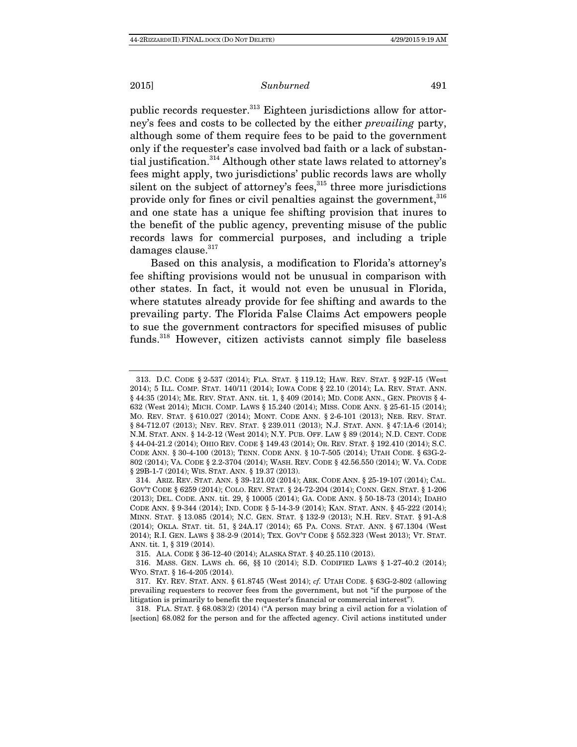public records requester.<sup>313</sup> Eighteen jurisdictions allow for attorney's fees and costs to be collected by the either prevailing party, although some of them require fees to be paid to the government only if the requester's case involved bad faith or a lack of substantial justification.314 Although other state laws related to attorney's fees might apply, two jurisdictions' public records laws are wholly silent on the subject of attorney's fees, $315$  three more jurisdictions provide only for fines or civil penalties against the government, 316 and one state has a unique fee shifting provision that inures to the benefit of the public agency, preventing misuse of the public records laws for commercial purposes, and including a triple damages clause.<sup>317</sup>

Based on this analysis, a modification to Florida's attorney's fee shifting provisions would not be unusual in comparison with other states. In fact, it would not even be unusual in Florida, where statutes already provide for fee shifting and awards to the prevailing party. The Florida False Claims Act empowers people to sue the government contractors for specified misuses of public funds.<sup>318</sup> However, citizen activists cannot simply file baseless

315. ALA. CODE § 36-12-40 (2014); ALASKA STAT. § 40.25.110 (2013).

 318. FLA. STAT. § 68.083(2) (2014) ("A person may bring a civil action for a violation of [section] 68.082 for the person and for the affected agency. Civil actions instituted under

 <sup>313.</sup> D.C. CODE § 2-537 (2014); FLA. STAT. § 119.12; HAW. REV. STAT. § 92F-15 (West 2014); 5 ILL. COMP. STAT. 140/11 (2014); IOWA CODE § 22.10 (2014); LA. REV. STAT. ANN. § 44:35 (2014); ME. REV. STAT. ANN. tit. 1, § 409 (2014); MD. CODE ANN., GEN. PROVIS § 4- 632 (West 2014); MICH. COMP. LAWS § 15.240 (2014); MISS. CODE ANN. § 25-61-15 (2014); MO. REV. STAT. § 610.027 (2014); MONT. CODE ANN. § 2-6-101 (2013); NEB. REV. STAT. § 84-712.07 (2013); NEV. REV. STAT. § 239.011 (2013); N.J. STAT. ANN. § 47:1A-6 (2014); N.M. STAT. ANN. § 14-2-12 (West 2014); N.Y. PUB. OFF. LAW § 89 (2014); N.D. CENT. CODE § 44-04-21.2 (2014); OHIO REV. CODE § 149.43 (2014); OR. REV. STAT. § 192.410 (2014); S.C. CODE ANN. § 30-4-100 (2013); TENN. CODE ANN. § 10-7-505 (2014); UTAH CODE. § 63G-2- 802 (2014); VA. CODE § 2.2-3704 (2014); WASH. REV. CODE § 42.56.550 (2014); W. VA. CODE § 29B-1-7 (2014); WIS. STAT. ANN. § 19.37 (2013).

 <sup>314.</sup> ARIZ. REV. STAT. ANN. § 39-121.02 (2014); ARK. CODE ANN. § 25-19-107 (2014); CAL. GOV'T CODE § 6259 (2014); COLO. REV. STAT. § 24-72-204 (2014); CONN. GEN. STAT. § 1-206 (2013); DEL. CODE. ANN. tit. 29, § 10005 (2014); GA. CODE ANN. § 50-18-73 (2014); IDAHO CODE ANN. § 9-344 (2014); IND. CODE § 5-14-3-9 (2014); KAN. STAT. ANN. § 45-222 (2014); MINN. STAT. § 13.085 (2014); N.C. GEN. STAT. § 132-9 (2013); N.H. REV. STAT. § 91-A:8 (2014); OKLA. STAT. tit. 51, § 24A.17 (2014); 65 PA. CONS. STAT. ANN. § 67.1304 (West 2014); R.I. GEN. LAWS § 38-2-9 (2014); TEX. GOV'T CODE § 552.323 (West 2013); VT. STAT. ANN. tit. 1, § 319 (2014).

 <sup>316.</sup> MASS. GEN. LAWS ch. 66, §§ 10 (2014); S.D. CODIFIED LAWS § 1-27-40.2 (2014); WYO. STAT. § 16-4-205 (2014).

 <sup>317.</sup> KY. REV. STAT. ANN. § 61.8745 (West 2014); cf. UTAH CODE. § 63G-2-802 (allowing prevailing requesters to recover fees from the government, but not "if the purpose of the litigation is primarily to benefit the requester's financial or commercial interest").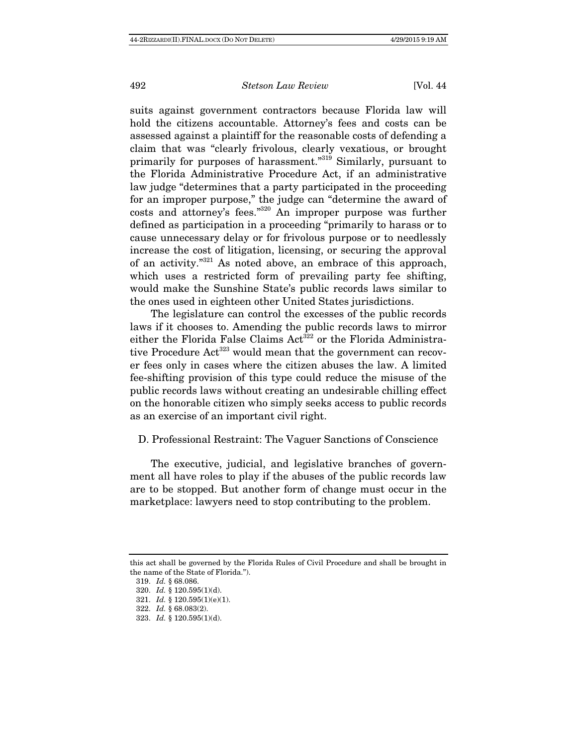suits against government contractors because Florida law will hold the citizens accountable. Attorney's fees and costs can be assessed against a plaintiff for the reasonable costs of defending a claim that was "clearly frivolous, clearly vexatious, or brought primarily for purposes of harassment."319 Similarly, pursuant to the Florida Administrative Procedure Act, if an administrative law judge "determines that a party participated in the proceeding for an improper purpose," the judge can "determine the award of costs and attorney's fees."320 An improper purpose was further defined as participation in a proceeding "primarily to harass or to cause unnecessary delay or for frivolous purpose or to needlessly increase the cost of litigation, licensing, or securing the approval of an activity."321 As noted above, an embrace of this approach, which uses a restricted form of prevailing party fee shifting, would make the Sunshine State's public records laws similar to the ones used in eighteen other United States jurisdictions.

The legislature can control the excesses of the public records laws if it chooses to. Amending the public records laws to mirror either the Florida False Claims Act<sup>322</sup> or the Florida Administrative Procedure Act<sup>323</sup> would mean that the government can recover fees only in cases where the citizen abuses the law. A limited fee-shifting provision of this type could reduce the misuse of the public records laws without creating an undesirable chilling effect on the honorable citizen who simply seeks access to public records as an exercise of an important civil right.

## D. Professional Restraint: The Vaguer Sanctions of Conscience

The executive, judicial, and legislative branches of government all have roles to play if the abuses of the public records law are to be stopped. But another form of change must occur in the marketplace: lawyers need to stop contributing to the problem.

319. Id. § 68.086.

this act shall be governed by the Florida Rules of Civil Procedure and shall be brought in the name of the State of Florida.").

 <sup>320.</sup> Id. § 120.595(1)(d).

 <sup>321.</sup> Id. § 120.595(1)(e)(1).

 <sup>322.</sup> Id. § 68.083(2).

 <sup>323.</sup> Id. § 120.595(1)(d).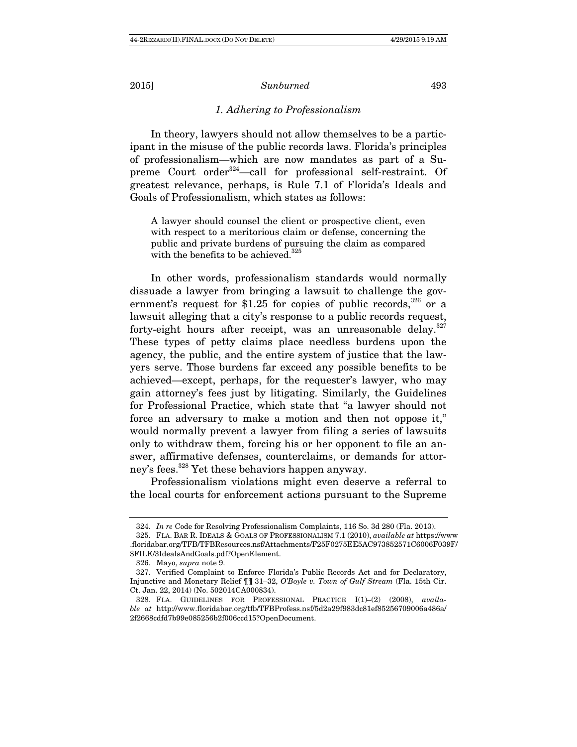# 1. Adhering to Professionalism

In theory, lawyers should not allow themselves to be a participant in the misuse of the public records laws. Florida's principles of professionalism—which are now mandates as part of a Supreme Court order<sup>324</sup>—call for professional self-restraint. Of greatest relevance, perhaps, is Rule 7.1 of Florida's Ideals and Goals of Professionalism, which states as follows:

A lawyer should counsel the client or prospective client, even with respect to a meritorious claim or defense, concerning the public and private burdens of pursuing the claim as compared with the benefits to be achieved.<sup>325</sup>

In other words, professionalism standards would normally dissuade a lawyer from bringing a lawsuit to challenge the government's request for \$1.25 for copies of public records,  $326$  or a lawsuit alleging that a city's response to a public records request, forty-eight hours after receipt, was an unreasonable delay.<sup>327</sup> These types of petty claims place needless burdens upon the agency, the public, and the entire system of justice that the lawyers serve. Those burdens far exceed any possible benefits to be achieved—except, perhaps, for the requester's lawyer, who may gain attorney's fees just by litigating. Similarly, the Guidelines for Professional Practice, which state that "a lawyer should not force an adversary to make a motion and then not oppose it," would normally prevent a lawyer from filing a series of lawsuits only to withdraw them, forcing his or her opponent to file an answer, affirmative defenses, counterclaims, or demands for attorney's fees.<sup>328</sup> Yet these behaviors happen anyway.

Professionalism violations might even deserve a referral to the local courts for enforcement actions pursuant to the Supreme

 <sup>324.</sup> In re Code for Resolving Professionalism Complaints, 116 So. 3d 280 (Fla. 2013).

 <sup>325.</sup> FLA. BAR R. IDEALS & GOALS OF PROFESSIONALISM 7.1 (2010), available at https://www .floridabar.org/TFB/TFBResources.nsf/Attachments/F25F0275EE5AC973852571C6006F039F/ \$FILE/3IdealsAndGoals.pdf?OpenElement.

 <sup>326.</sup> Mayo, supra note 9.

 <sup>327.</sup> Verified Complaint to Enforce Florida's Public Records Act and for Declaratory, Injunctive and Monetary Relief ¶¶ 31–32, O'Boyle v. Town of Gulf Stream (Fla. 15th Cir. Ct. Jan. 22, 2014) (No. 502014CA000834).

 <sup>328.</sup> FLA. GUIDELINES FOR PROFESSIONAL PRACTICE I(1)–(2) (2008), available at http://www.floridabar.org/tfb/TFBProfess.nsf/5d2a29f983dc81ef85256709006a486a/ 2f2668cdfd7b99e085256b2f006ccd15?OpenDocument.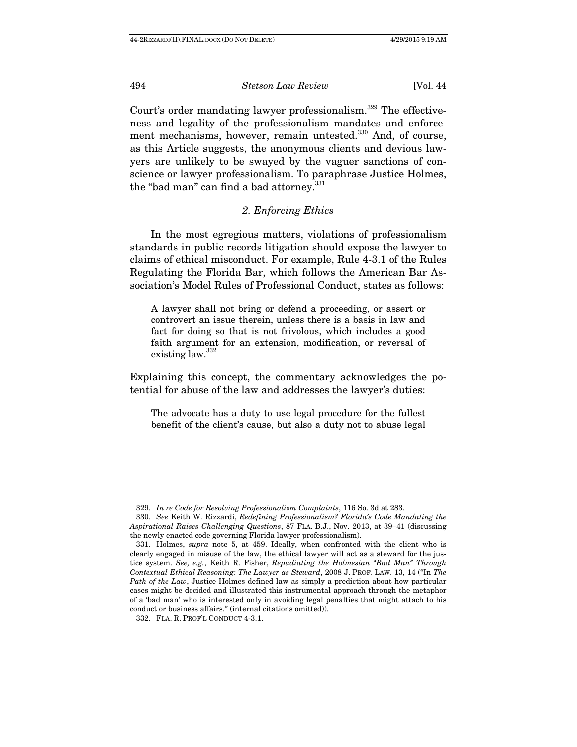Court's order mandating lawyer professionalism.<sup>329</sup> The effectiveness and legality of the professionalism mandates and enforcement mechanisms, however, remain untested.<sup>330</sup> And, of course, as this Article suggests, the anonymous clients and devious lawyers are unlikely to be swayed by the vaguer sanctions of conscience or lawyer professionalism. To paraphrase Justice Holmes, the "bad man" can find a bad attorney.<sup>331</sup>

# 2. Enforcing Ethics

In the most egregious matters, violations of professionalism standards in public records litigation should expose the lawyer to claims of ethical misconduct. For example, Rule 4-3.1 of the Rules Regulating the Florida Bar, which follows the American Bar Association's Model Rules of Professional Conduct, states as follows:

A lawyer shall not bring or defend a proceeding, or assert or controvert an issue therein, unless there is a basis in law and fact for doing so that is not frivolous, which includes a good faith argument for an extension, modification, or reversal of existing law.332

Explaining this concept, the commentary acknowledges the potential for abuse of the law and addresses the lawyer's duties:

The advocate has a duty to use legal procedure for the fullest benefit of the client's cause, but also a duty not to abuse legal

332. FLA. R. PROF'L CONDUCT 4-3.1.

 <sup>329.</sup> In re Code for Resolving Professionalism Complaints, 116 So. 3d at 283.

 <sup>330.</sup> See Keith W. Rizzardi, Redefining Professionalism? Florida's Code Mandating the Aspirational Raises Challenging Questions, 87 FLA. B.J., Nov. 2013, at 39–41 (discussing the newly enacted code governing Florida lawyer professionalism).

 <sup>331.</sup> Holmes, supra note 5, at 459. Ideally, when confronted with the client who is clearly engaged in misuse of the law, the ethical lawyer will act as a steward for the justice system. See, e.g., Keith R. Fisher, Repudiating the Holmesian "Bad Man" Through Contextual Ethical Reasoning: The Lawyer as Steward, 2008 J. PROF. LAW. 13, 14 ("In The Path of the Law, Justice Holmes defined law as simply a prediction about how particular cases might be decided and illustrated this instrumental approach through the metaphor of a 'bad man' who is interested only in avoiding legal penalties that might attach to his conduct or business affairs." (internal citations omitted)).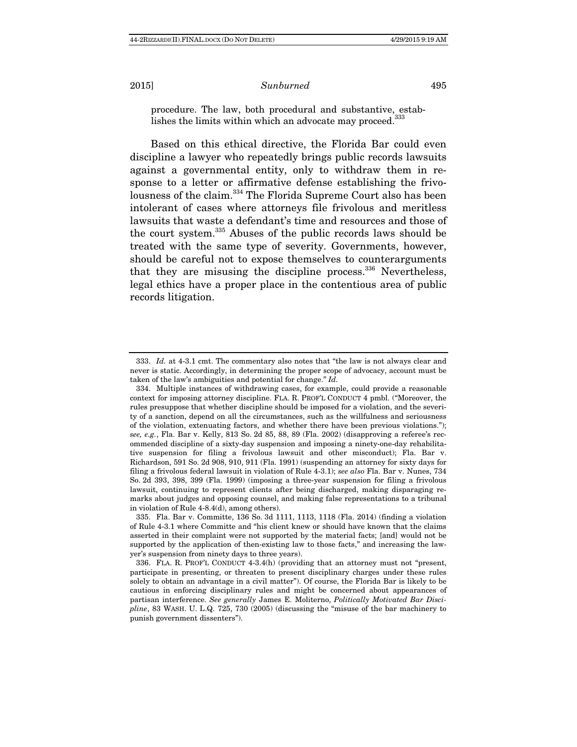procedure. The law, both procedural and substantive, estab-

lishes the limits within which an advocate may proceed.<sup>333</sup>

Based on this ethical directive, the Florida Bar could even discipline a lawyer who repeatedly brings public records lawsuits against a governmental entity, only to withdraw them in response to a letter or affirmative defense establishing the frivolousness of the claim.334 The Florida Supreme Court also has been intolerant of cases where attorneys file frivolous and meritless lawsuits that waste a defendant's time and resources and those of the court system.335 Abuses of the public records laws should be treated with the same type of severity. Governments, however, should be careful not to expose themselves to counterarguments that they are misusing the discipline process. $336$  Nevertheless, legal ethics have a proper place in the contentious area of public records litigation.

 <sup>333.</sup> Id. at 4-3.1 cmt. The commentary also notes that "the law is not always clear and never is static. Accordingly, in determining the proper scope of advocacy, account must be taken of the law's ambiguities and potential for change." Id.

 <sup>334.</sup> Multiple instances of withdrawing cases, for example, could provide a reasonable context for imposing attorney discipline. FLA. R. PROF'L CONDUCT 4 pmbl. ("Moreover, the rules presuppose that whether discipline should be imposed for a violation, and the severity of a sanction, depend on all the circumstances, such as the willfulness and seriousness of the violation, extenuating factors, and whether there have been previous violations."); see, e.g., Fla. Bar v. Kelly, 813 So. 2d 85, 88, 89 (Fla. 2002) (disapproving a referee's recommended discipline of a sixty-day suspension and imposing a ninety-one-day rehabilitative suspension for filing a frivolous lawsuit and other misconduct); Fla. Bar v. Richardson, 591 So. 2d 908, 910, 911 (Fla. 1991) (suspending an attorney for sixty days for filing a frivolous federal lawsuit in violation of Rule 4-3.1); see also Fla. Bar v. Nunes, 734 So. 2d 393, 398, 399 (Fla. 1999) (imposing a three-year suspension for filing a frivolous lawsuit, continuing to represent clients after being discharged, making disparaging remarks about judges and opposing counsel, and making false representations to a tribunal in violation of Rule 4-8.4(d), among others).

 <sup>335.</sup> Fla. Bar v. Committe, 136 So. 3d 1111, 1113, 1118 (Fla. 2014) (finding a violation of Rule 4-3.1 where Committe and "his client knew or should have known that the claims asserted in their complaint were not supported by the material facts; [and] would not be supported by the application of then-existing law to those facts," and increasing the lawyer's suspension from ninety days to three years).

 <sup>336.</sup> FLA. R. PROF'L CONDUCT 4-3.4(h) (providing that an attorney must not "present, participate in presenting, or threaten to present disciplinary charges under these rules solely to obtain an advantage in a civil matter"). Of course, the Florida Bar is likely to be cautious in enforcing disciplinary rules and might be concerned about appearances of partisan interference. See generally James E. Moliterno, Politically Motivated Bar Discipline, 83 WASH. U. L.Q. 725, 730 (2005) (discussing the "misuse of the bar machinery to punish government dissenters").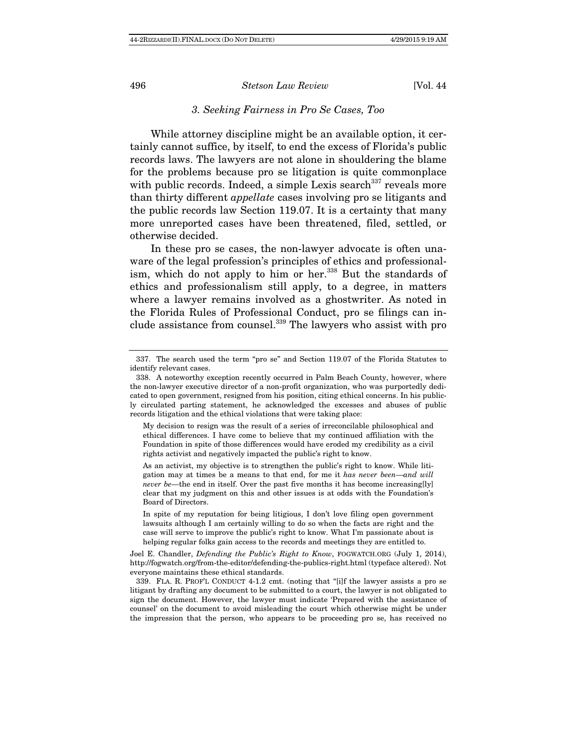# 3. Seeking Fairness in Pro Se Cases, Too

While attorney discipline might be an available option, it certainly cannot suffice, by itself, to end the excess of Florida's public records laws. The lawyers are not alone in shouldering the blame for the problems because pro se litigation is quite commonplace with public records. Indeed, a simple Lexis search  $337$  reveals more than thirty different appellate cases involving pro se litigants and the public records law Section 119.07. It is a certainty that many more unreported cases have been threatened, filed, settled, or otherwise decided.

In these pro se cases, the non-lawyer advocate is often unaware of the legal profession's principles of ethics and professionalism, which do not apply to him or her.<sup>338</sup> But the standards of ethics and professionalism still apply, to a degree, in matters where a lawyer remains involved as a ghostwriter. As noted in the Florida Rules of Professional Conduct, pro se filings can include assistance from counsel.<sup>339</sup> The lawyers who assist with pro

 <sup>337.</sup> The search used the term "pro se" and Section 119.07 of the Florida Statutes to identify relevant cases.

 <sup>338.</sup> A noteworthy exception recently occurred in Palm Beach County, however, where the non-lawyer executive director of a non-profit organization, who was purportedly dedicated to open government, resigned from his position, citing ethical concerns. In his publicly circulated parting statement, he acknowledged the excesses and abuses of public records litigation and the ethical violations that were taking place:

My decision to resign was the result of a series of irreconcilable philosophical and ethical differences. I have come to believe that my continued affiliation with the Foundation in spite of those differences would have eroded my credibility as a civil rights activist and negatively impacted the public's right to know.

As an activist, my objective is to strengthen the public's right to know. While litigation may at times be a means to that end, for me it has never been—and will never be—the end in itself. Over the past five months it has become increasing[ly] clear that my judgment on this and other issues is at odds with the Foundation's Board of Directors.

In spite of my reputation for being litigious, I don't love filing open government lawsuits although I am certainly willing to do so when the facts are right and the case will serve to improve the public's right to know. What I'm passionate about is helping regular folks gain access to the records and meetings they are entitled to.

Joel E. Chandler, Defending the Public's Right to Know, FOGWATCH.ORG (July 1, 2014), http://fogwatch.org/from-the-editor/defending-the-publics-right.html (typeface altered). Not everyone maintains these ethical standards.

 <sup>339.</sup> FLA. R. PROF'L CONDUCT 4-1.2 cmt. (noting that "[i]f the lawyer assists a pro se litigant by drafting any document to be submitted to a court, the lawyer is not obligated to sign the document. However, the lawyer must indicate 'Prepared with the assistance of counsel' on the document to avoid misleading the court which otherwise might be under the impression that the person, who appears to be proceeding pro se, has received no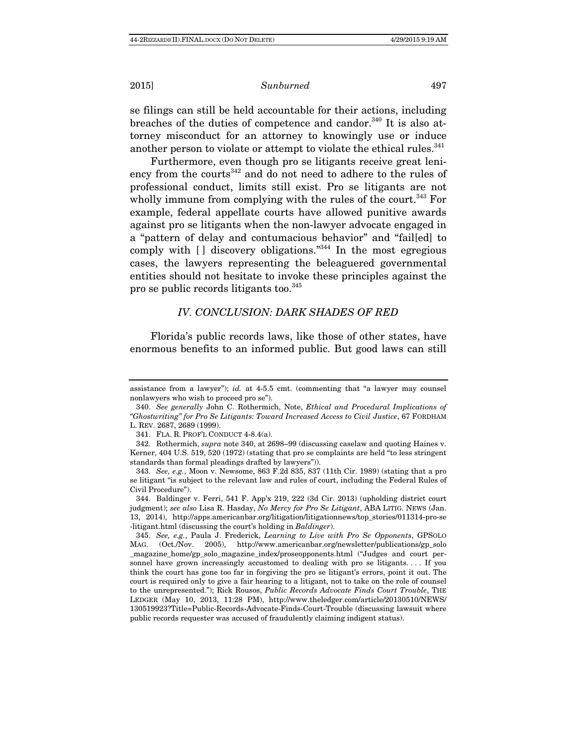2015] Sunburned 497

se filings can still be held accountable for their actions, including breaches of the duties of competence and candor.<sup>340</sup> It is also attorney misconduct for an attorney to knowingly use or induce another person to violate or attempt to violate the ethical rules.<sup>341</sup>

Furthermore, even though pro se litigants receive great leniency from the courts<sup>342</sup> and do not need to adhere to the rules of professional conduct, limits still exist. Pro se litigants are not wholly immune from complying with the rules of the court.<sup>343</sup> For example, federal appellate courts have allowed punitive awards against pro se litigants when the non-lawyer advocate engaged in a "pattern of delay and contumacious behavior" and "fail[ed] to comply with  $\left[ \ \right]$  discovery obligations.<sup>"344</sup> In the most egregious cases, the lawyers representing the beleaguered governmental entities should not hesitate to invoke these principles against the pro se public records litigants too.345

## IV. CONCLUSION: DARK SHADES OF RED

Florida's public records laws, like those of other states, have enormous benefits to an informed public. But good laws can still

assistance from a lawyer");  $id.$  at 4-5.5 cmt. (commenting that "a lawyer may counsel nonlawyers who wish to proceed pro se").

 <sup>340.</sup> See generally John C. Rothermich, Note, Ethical and Procedural Implications of "Ghostwriting" for Pro Se Litigants: Toward Increased Access to Civil Justice, 67 FORDHAM L. REV. 2687, 2689 (1999).

 <sup>341.</sup> FLA. R. PROF'L CONDUCT 4-8.4(a).

<sup>342.</sup> Rothermich, supra note 340, at 2698–99 (discussing caselaw and quoting Haines v. Kerner, 404 U.S. 519, 520 (1972) (stating that pro se complaints are held "to less stringent standards than formal pleadings drafted by lawyers")).

 <sup>343.</sup> See, e.g., Moon v. Newsome, 863 F.2d 835, 837 (11th Cir. 1989) (stating that a pro se litigant "is subject to the relevant law and rules of court, including the Federal Rules of Civil Procedure").

 <sup>344.</sup> Baldinger v. Ferri, 541 F. App'x 219, 222 (3d Cir. 2013) (upholding district court judgment); see also Lisa R. Hasday, No Mercy for Pro Se Litigant, ABA LITIG. NEWS (Jan. 13, 2014), http://apps.americanbar.org/litigation/litigationnews/top\_stories/011314-pro-se -litigant.html (discussing the court's holding in Baldinger).

 <sup>345.</sup> See, e.g., Paula J. Frederick, Learning to Live with Pro Se Opponents, GPSOLO MAG. (Oct./Nov. 2005), http://www.americanbar.org/newsletter/publications/gp\_solo \_magazine\_home/gp\_solo\_magazine\_index/proseopponents.html ("Judges and court personnel have grown increasingly accustomed to dealing with pro se litigants. . . . If you think the court has gone too far in forgiving the pro se litigant's errors, point it out. The court is required only to give a fair hearing to a litigant, not to take on the role of counsel to the unrepresented."); Rick Rousos, Public Records Advocate Finds Court Trouble, THE LEDGER (May 10, 2013, 11:28 PM), http://www.theledger.com/article/20130510/NEWS/ 130519923?Title=Public-Records-Advocate-Finds-Court-Trouble (discussing lawsuit where public records requester was accused of fraudulently claiming indigent status).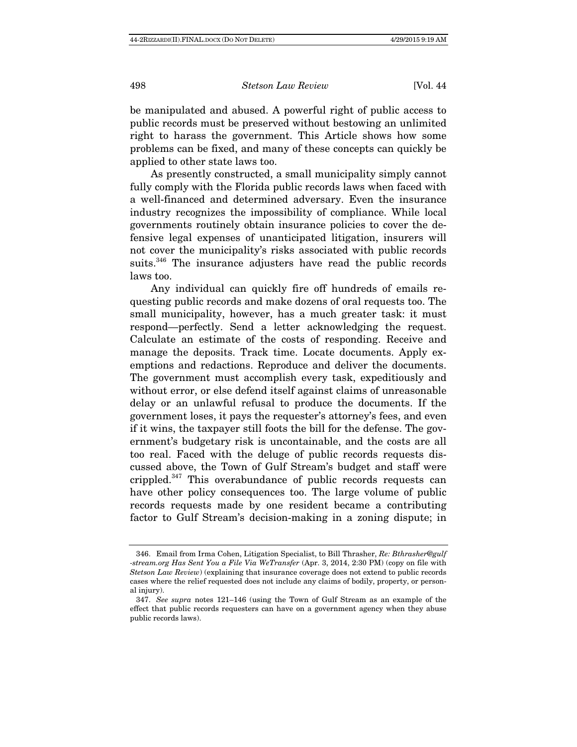498 Stetson Law Review [Vol. 44]

be manipulated and abused. A powerful right of public access to public records must be preserved without bestowing an unlimited right to harass the government. This Article shows how some problems can be fixed, and many of these concepts can quickly be applied to other state laws too.

As presently constructed, a small municipality simply cannot fully comply with the Florida public records laws when faced with a well-financed and determined adversary. Even the insurance industry recognizes the impossibility of compliance. While local governments routinely obtain insurance policies to cover the defensive legal expenses of unanticipated litigation, insurers will not cover the municipality's risks associated with public records suits.<sup>346</sup> The insurance adjusters have read the public records laws too.

Any individual can quickly fire off hundreds of emails requesting public records and make dozens of oral requests too. The small municipality, however, has a much greater task: it must respond—perfectly. Send a letter acknowledging the request. Calculate an estimate of the costs of responding. Receive and manage the deposits. Track time. Locate documents. Apply exemptions and redactions. Reproduce and deliver the documents. The government must accomplish every task, expeditiously and without error, or else defend itself against claims of unreasonable delay or an unlawful refusal to produce the documents. If the government loses, it pays the requester's attorney's fees, and even if it wins, the taxpayer still foots the bill for the defense. The government's budgetary risk is uncontainable, and the costs are all too real. Faced with the deluge of public records requests discussed above, the Town of Gulf Stream's budget and staff were crippled.347 This overabundance of public records requests can have other policy consequences too. The large volume of public records requests made by one resident became a contributing factor to Gulf Stream's decision-making in a zoning dispute; in

<sup>346.</sup> Email from Irma Cohen, Litigation Specialist, to Bill Thrasher, Re: Bthrasher@gulf -stream.org Has Sent You a File Via WeTransfer (Apr. 3, 2014, 2:30 PM) (copy on file with Stetson Law Review) (explaining that insurance coverage does not extend to public records cases where the relief requested does not include any claims of bodily, property, or personal injury).

 <sup>347.</sup> See supra notes 121–146 (using the Town of Gulf Stream as an example of the effect that public records requesters can have on a government agency when they abuse public records laws).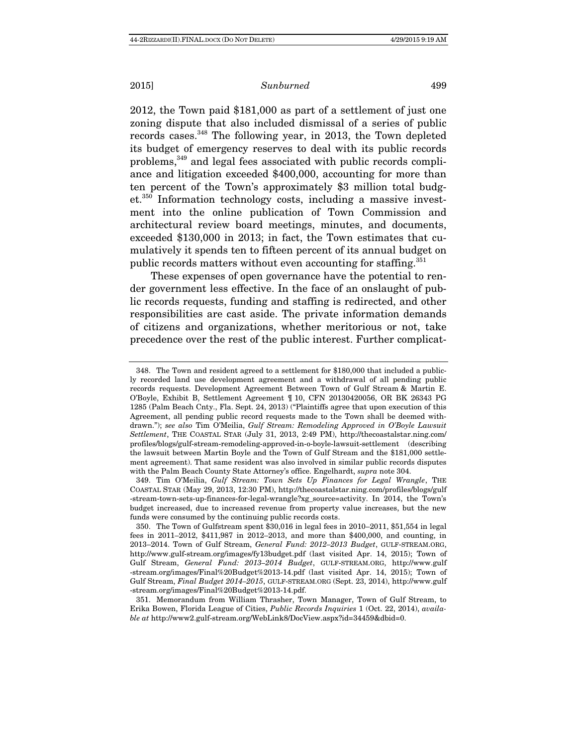## 2015] Sunburned 499

2012, the Town paid \$181,000 as part of a settlement of just one zoning dispute that also included dismissal of a series of public records cases.<sup>348</sup> The following year, in 2013, the Town depleted its budget of emergency reserves to deal with its public records problems,<sup>349</sup> and legal fees associated with public records compliance and litigation exceeded \$400,000, accounting for more than ten percent of the Town's approximately \$3 million total budget.350 Information technology costs, including a massive investment into the online publication of Town Commission and architectural review board meetings, minutes, and documents, exceeded \$130,000 in 2013; in fact, the Town estimates that cumulatively it spends ten to fifteen percent of its annual budget on public records matters without even accounting for staffing.<sup>351</sup>

These expenses of open governance have the potential to render government less effective. In the face of an onslaught of public records requests, funding and staffing is redirected, and other responsibilities are cast aside. The private information demands of citizens and organizations, whether meritorious or not, take precedence over the rest of the public interest. Further complicat-

 <sup>348.</sup> The Town and resident agreed to a settlement for \$180,000 that included a publicly recorded land use development agreement and a withdrawal of all pending public records requests. Development Agreement Between Town of Gulf Stream & Martin E. O'Boyle, Exhibit B, Settlement Agreement ¶ 10, CFN 20130420056, OR BK 26343 PG 1285 (Palm Beach Cnty., Fla. Sept. 24, 2013) ("Plaintiffs agree that upon execution of this Agreement, all pending public record requests made to the Town shall be deemed withdrawn."); see also Tim O'Meilia, Gulf Stream: Remodeling Approved in O'Boyle Lawsuit Settlement, THE COASTAL STAR (July 31, 2013, 2:49 PM), http://thecoastalstar.ning.com/ profiles/blogs/gulf-stream-remodeling-approved-in-o-boyle-lawsuit-settlement (describing the lawsuit between Martin Boyle and the Town of Gulf Stream and the \$181,000 settlement agreement). That same resident was also involved in similar public records disputes with the Palm Beach County State Attorney's office. Engelhardt, supra note 304.

 <sup>349.</sup> Tim O'Meilia, Gulf Stream: Town Sets Up Finances for Legal Wrangle, THE COASTAL STAR (May 29, 2013, 12:30 PM), http://thecoastalstar.ning.com/profiles/blogs/gulf -stream-town-sets-up-finances-for-legal-wrangle?xg\_source=activity. In 2014, the Town's budget increased, due to increased revenue from property value increases, but the new funds were consumed by the continuing public records costs.

 <sup>350.</sup> The Town of Gulfstream spent \$30,016 in legal fees in 2010–2011, \$51,554 in legal fees in 2011–2012, \$411,987 in 2012–2013, and more than \$400,000, and counting, in 2013–2014. Town of Gulf Stream, General Fund: 2012–2013 Budget, GULF-STREAM.ORG, http://www.gulf-stream.org/images/fy13budget.pdf (last visited Apr. 14, 2015); Town of Gulf Stream, General Fund: 2013–2014 Budget, GULF-STREAM.ORG, http://www.gulf -stream.org/images/Final%20Budget%2013-14.pdf (last visited Apr. 14, 2015); Town of Gulf Stream, Final Budget 2014–2015, GULF-STREAM.ORG (Sept. 23, 2014), http://www.gulf -stream.org/images/Final%20Budget%2013-14.pdf.

 <sup>351.</sup> Memorandum from William Thrasher, Town Manager, Town of Gulf Stream, to Erika Bowen, Florida League of Cities, Public Records Inquiries 1 (Oct. 22, 2014), available at http://www2.gulf-stream.org/WebLink8/DocView.aspx?id=34459&dbid=0.